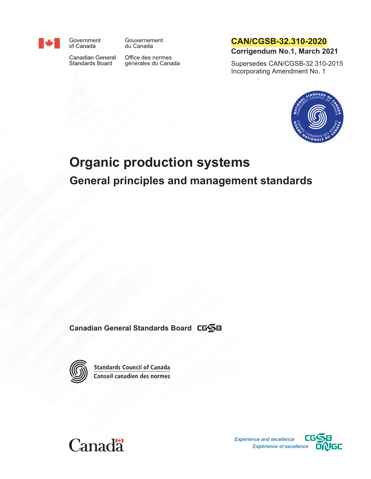

Government of Canada

du Canada

Canadian General Standards Board

Office des normes générales du Canada

Gouvernement

<span id="page-0-2"></span>**CAN/CGSB-32.310-2020**

<span id="page-0-3"></span>**Corrigendum No.1, March 2021**

Supersedes CAN/CGSB-32.310-2015 Incorporating Amendment No. 1



# <span id="page-0-1"></span><span id="page-0-0"></span>**Organic production systems General principles and management standards**

**Canadian General Standards Board**



**Standards Council of Canada** Conseil canadien des normes



Experience and excellence Expérience et excellence DNGC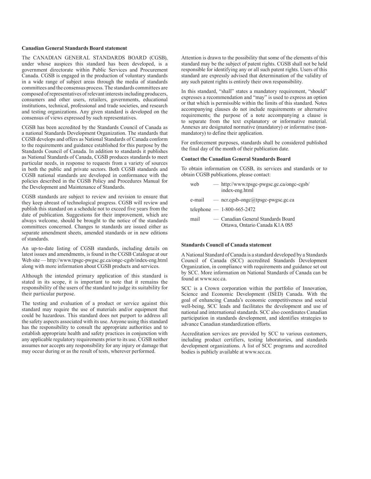#### **Canadian General Standards Board statement**

The CANADIAN GENERAL STANDARDS BOARD (CGSB), under whose auspices this standard has been developed, is a government directorate within Public Services and Procurement Canada. CGSB is engaged in the production of voluntary standards in a wide range of subject areas through the media of standards committees and the consensus process. The standards committees are composed of representatives of relevant interests including producers, consumers and other users, retailers, governments, educational institutions, technical, professional and trade societies, and research and testing organizations. Any given standard is developed on the consensus of views expressed by such representatives.

CGSB has been accredited by the Standards Council of Canada as a national Standards Development Organization. The standards that CGSB develops and offers as National Standards of Canada conform to the requirements and guidance established for this purpose by the Standards Council of Canada. In addition to standards it publishes as National Standards of Canada, CGSB produces standards to meet particular needs, in response to requests from a variety of sources in both the public and private sectors. Both CGSB standards and CGSB national standards are developed in conformance with the policies described in the CGSB Policy and Procedures Manual for the Development and Maintenance of Standards.

CGSB standards are subject to review and revision to ensure that they keep abreast of technological progress. CGSB will review and publish this standard on a schedule not to exceed five years from the date of publication. Suggestions for their improvement, which are always welcome, should be brought to the notice of the standards committees concerned. Changes to standards are issued either as separate amendment sheets, amended standards or in new editions of standards.

An up-to-date listing of CGSB standards, including details on latest issues and amendments, is found in the CGSB Catalogue at our Web site — http://www.tpsgc-pwgsc.gc.ca/ongc-cgsb/index-eng.html along with more information about CGSB products and services.

Although the intended primary application of this standard is stated in its scope, it is important to note that it remains the responsibility of the users of the standard to judge its suitability for their particular purpose.

The testing and evaluation of a product or service against this standard may require the use of materials and/or equipment that could be hazardous. This standard does not purport to address all the safety aspects associated with its use. Anyone using this standard has the responsibility to consult the appropriate authorities and to establish appropriate health and safety practices in conjunction with any applicable regulatory requirements prior to its use. CGSB neither assumes nor accepts any responsibility for any injury or damage that may occur during or as the result of tests, wherever performed.

Attention is drawn to the possibility that some of the elements of this standard may be the subject of patent rights. CGSB shall not be held responsible for identifying any or all such patent rights. Users of this standard are expressly advised that determination of the validity of any such patent rights is entirely their own responsibility.

In this standard, "shall" states a mandatory requirement, "should" expresses a recommendation and "may" is used to express an option or that which is permissible within the limits of this standard. Notes accompanying clauses do not include requirements or alternative requirements; the purpose of a note accompanying a clause is to separate from the text explanatory or informative material. Annexes are designated normative (mandatory) or informative (nonmandatory) to define their application.

For enforcement purposes, standards shall be considered published the final day of the month of their publication date.

#### **Contact the Canadian General Standards Board**

To obtain information on CGSB, its services and standards or to obtain CGSB publications, please contact:

| web    | — http://www.tpsgc-pwgsc.gc.ca/ongc-cgsb/<br>index-eng.html          |
|--------|----------------------------------------------------------------------|
| e-mail | $-$ ncr.cgsb-ongc@tpsgc-pwgsc.gc.ca                                  |
|        | telephone $- 1-800-665-2472$                                         |
| mail   | — Canadian General Standards Board<br>Ottawa, Ontario Canada K1A 0S5 |

#### **Standards Council of Canada statement**

A National Standard of Canada is a standard developed by a Standards Council of Canada (SCC) accredited Standards Development Organization, in compliance with requirements and guidance set out by SCC. More information on National Standards of Canada can be found at www.scc.ca.

SCC is a Crown corporation within the portfolio of Innovation, Science and Economic Development (ISED) Canada. With the goal of enhancing Canada's economic competitiveness and social well-being, SCC leads and facilitates the development and use of national and international standards. SCC also coordinates Canadian participation in standards development, and identifies strategies to advance Canadian standardization efforts.

Accreditation services are provided by SCC to various customers, including product certifiers, testing laboratories, and standards development organizations. A list of SCC programs and accredited bodies is publicly available at www.scc.ca.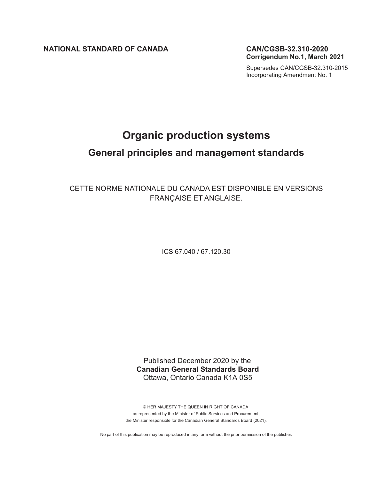**NATIONAL STANDARD OF CANADA [CAN/CGSB-32.310-2020](#page-0-2)**

**Corrigendum No.1, March 2021**

[Supersedes CAN/CGSB-32.310-2015](#page-0-3) Incorporating Amendment No. 1

## **[Organic production systems](#page-0-0)**

## **[General principles and management standards](#page-0-1)**

CETTE NORME NATIONALE DU CANADA EST DISPONIBLE EN VERSIONS FRANÇAISE ET ANGLAISE.

ICS 67.040 / 67.120.30

Published December 2020 by the **Canadian General Standards Board** Ottawa, Ontario Canada K1A 0S5

© HER MAJESTY THE QUEEN IN RIGHT OF CANADA, as represented by the Minister of Public Services and Procurement, the Minister responsible for the Canadian General Standards Board (2021).

No part of this publication may be reproduced in any form without the prior permission of the publisher.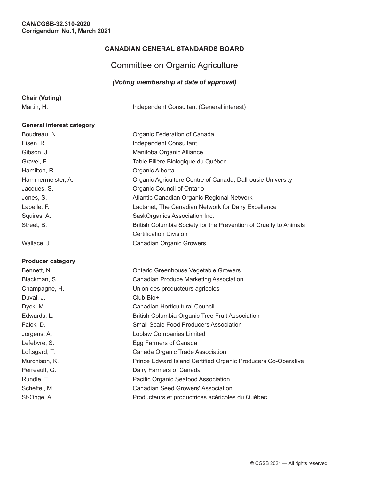## **CANADIAN GENERAL STANDARDS BOARD**

## Committee on Organic Agriculture

## *(Voting membership at date of approval)*

|  | <b>Chair (Voting)</b> |  |  |
|--|-----------------------|--|--|
|  |                       |  |  |

Martin, H. **Independent Consultant (General interest)** 

#### **General interest category**

Boudreau, N. Soudreau, N. Soudreau, N. Soudreau, N. Soudreau, N. Soudreau, N. Soudreau, N. Soudreau, N. Soudreau, N. Soudreau, N. Soudreau, N. Soudreau, N. Soudreau, N. Soudreau, N. Soudreau, N. Soudreau, N. Soudreau, N. S Eisen, R. **Independent Consultant** Gibson, J. Manitoba Organic Alliance Gravel, F. Table Filière Biologique du Québec Hamilton, R. **Camilton, R. A. A. Camilton**, R. **Camilton**, R. **Campaigneer** Hammermeister, A. **Canada, Dalhousie University** Organic Agriculture Centre of Canada, Dalhousie University Jacques, S. **Calculate Council of Ontario** Organic Council of Ontario Jones, S. Atlantic Canadian Organic Regional Network Labelle, F. Lactanet, The Canadian Network for Dairy Excellence Squires, A. SaskOrganics Association Inc. Street, B. British Columbia Society for the Prevention of Cruelty to Animals

Wallace, J. Canadian Organic Growers

#### **Producer category**

Bennett, N. Ontario Greenhouse Vegetable Growers Blackman, S. Canadian Produce Marketing Association Champagne, H. Union des producteurs agricoles Duval, J. Club Bio+ Dyck, M. Canadian Horticultural Council Edwards, L. British Columbia Organic Tree Fruit Association Falck, D. Small Scale Food Producers Association Jorgens, A. Loblaw Companies Limited Lefebvre, S. **Egg Farmers of Canada** Loftsgard, T. Canada Organic Trade Association Murchison, K. *Prince Edward Island Certified Organic Producers Co-Operative* Perreault, G. **Dairy Farmers of Canada** Rundle, T. **Network Pacific Organic Seafood Association** Scheffel, M. Canadian Seed Growers' Association St-Onge, A. Producteurs et productrices acéricoles du Québec

Certification Division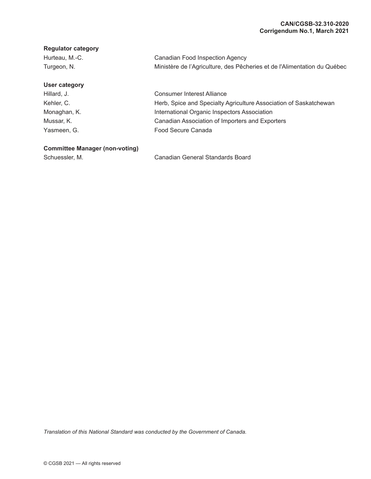#### **Regulator category**

| Hurteau, M.-C. | Canadian Food Inspection Agency                                          |
|----------------|--------------------------------------------------------------------------|
| Turgeon, N.    | Ministère de l'Agriculture, des Pêcheries et de l'Alimentation du Québec |

## **User category**

Hillard, J. Kehler, C. Monaghan, K. Mussar, K. Yasmeen, G.

Consumer Interest Alliance Herb, Spice and Specialty Agriculture Association of Saskatchewan International Organic Inspectors Association Canadian Association of Importers and Exporters Food Secure Canada

## **Committee Manager (non-voting)**

Schuessler, M. Canadian General Standards Board

*Translation of this National Standard was conducted by the Government of Canada.*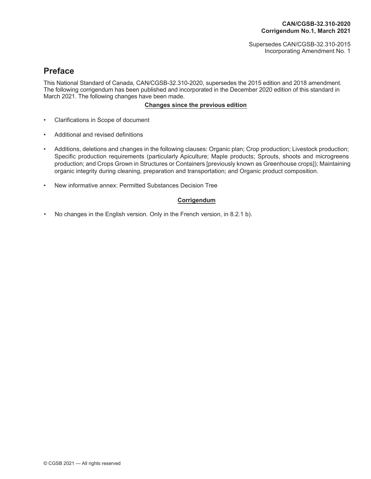Supersedes CAN/CGSB-32.310-2015 Incorporating Amendment No. 1

## **Preface**

This National Standard of Canada, CAN/CGSB-32.310-2020, supersedes the 2015 edition and 2018 amendment. The following corrigendum has been published and incorporated in the December 2020 edition of this standard in March 2021. The following changes have been made.

## **Changes since the previous edition**

- Clarifications in Scope of document
- Additional and revised definitions
- Additions, deletions and changes in the following clauses: Organic plan; Crop production; Livestock production; Specific production requirements (particularly Apiculture; Maple products; Sprouts, shoots and microgreens production; and Crops Grown in Structures or Containers [previously known as Greenhouse crops]); Maintaining organic integrity during cleaning, preparation and transportation; and Organic product composition.
- New informative annex: Permitted Substances Decision Tree

#### **Corrigendum**

No changes in the English version. Only in the French version, in 8.2.1 b).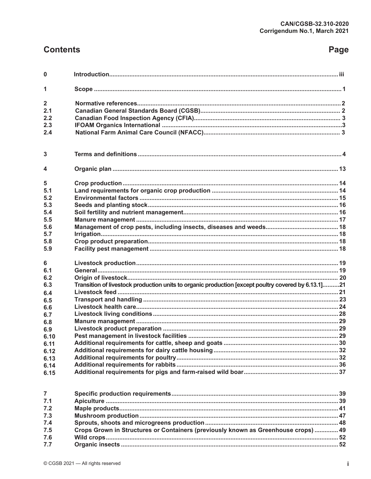## **Contents**

## Page

| $\mathbf 0$                                                                                                                        |                                                                                                     |  |
|------------------------------------------------------------------------------------------------------------------------------------|-----------------------------------------------------------------------------------------------------|--|
| 1                                                                                                                                  |                                                                                                     |  |
| $\overline{2}$<br>2.1<br>2.2<br>2.3<br>2.4                                                                                         |                                                                                                     |  |
| 3                                                                                                                                  |                                                                                                     |  |
| 4                                                                                                                                  |                                                                                                     |  |
| 5<br>5.1<br>5.2<br>5.3<br>5.4<br>5.5<br>5.6<br>5.7<br>5.8                                                                          |                                                                                                     |  |
| 5.9                                                                                                                                |                                                                                                     |  |
| 6<br>6.1<br>6.2<br>6.3<br>6.4<br>6.5<br>6.6<br>6.7<br>6.8<br>6.9<br>6.10<br>6.11<br>6.12<br>6.13<br>6.14<br>6.15<br>$\overline{7}$ | Transition of livestock production units to organic production [except poultry covered by 6.13.1]21 |  |
| 7.1                                                                                                                                |                                                                                                     |  |
| 7.2                                                                                                                                |                                                                                                     |  |
| 7.3                                                                                                                                |                                                                                                     |  |
| 7.4                                                                                                                                |                                                                                                     |  |
| 7.5                                                                                                                                | Crops Grown in Structures or Containers (previously known as Greenhouse crops)  49                  |  |
| 7.6                                                                                                                                |                                                                                                     |  |
| 7.7                                                                                                                                |                                                                                                     |  |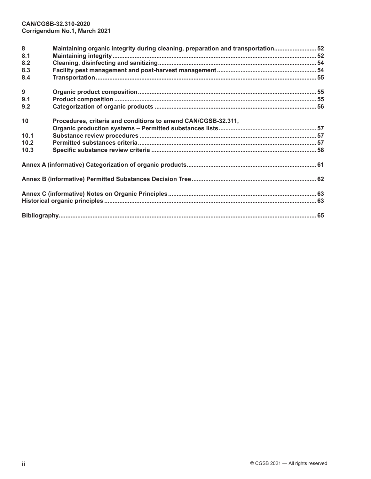| 8<br>8.1<br>8.2<br>8.3<br>8.4 | Maintaining organic integrity during cleaning, preparation and transportation 52 |  |
|-------------------------------|----------------------------------------------------------------------------------|--|
| 9<br>9.1<br>9.2               |                                                                                  |  |
| 10<br>10.1                    | Procedures, criteria and conditions to amend CAN/CGSB-32.311,                    |  |
| 10.2<br>10.3                  |                                                                                  |  |
|                               |                                                                                  |  |
|                               |                                                                                  |  |
|                               |                                                                                  |  |
|                               |                                                                                  |  |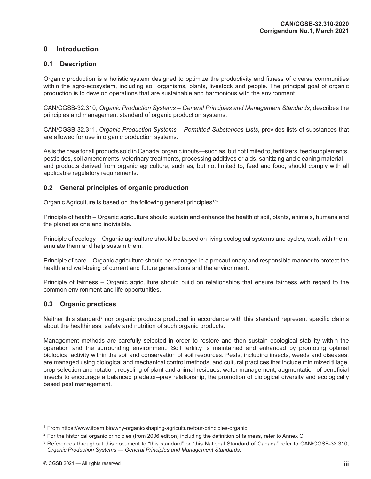## <span id="page-8-0"></span>**0 Introduction**

## **0.1 Description**

Organic production is a holistic system designed to optimize the productivity and fitness of diverse communities within the agro-ecosystem, including soil organisms, plants, livestock and people. The principal goal of organic production is to develop operations that are sustainable and harmonious with the environment.

CAN/CGSB-32.310, *Organic Production Systems – General Principles and Management Standards*, describes the principles and management standard of organic production systems.

CAN/CGSB-32.311, *Organic Production Systems – Permitted Substances Lists*, provides lists of substances that are allowed for use in organic production systems.

As is the case for all products sold in Canada, organic inputs—such as, but not limited to, fertilizers, feed supplements, pesticides, soil amendments, veterinary treatments, processing additives or aids, sanitizing and cleaning material and products derived from organic agriculture, such as, but not limited to, feed and food, should comply with all applicable regulatory requirements.

## **0.2 General principles of organic production**

Organic Agriculture is based on the following general principles<sup>1,2</sup>:

Principle of health – Organic agriculture should sustain and enhance the health of soil, plants, animals, humans and the planet as one and indivisible.

Principle of ecology – Organic agriculture should be based on living ecological systems and cycles, work with them, emulate them and help sustain them.

Principle of care – Organic agriculture should be managed in a precautionary and responsible manner to protect the health and well-being of current and future generations and the environment.

Principle of fairness – Organic agriculture should build on relationships that ensure fairness with regard to the common environment and life opportunities.

## **0.3 Organic practices**

Neither this standard<sup>3</sup> nor organic products produced in accordance with this standard represent specific claims about the healthiness, safety and nutrition of such organic products.

Management methods are carefully selected in order to restore and then sustain ecological stability within the operation and the surrounding environment. Soil fertility is maintained and enhanced by promoting optimal biological activity within the soil and conservation of soil resources. Pests, including insects, weeds and diseases, are managed using biological and mechanical control methods, and cultural practices that include minimized tillage, crop selection and rotation, recycling of plant and animal residues, water management, augmentation of beneficial insects to encourage a balanced predator–prey relationship, the promotion of biological diversity and ecologically based pest management.

<sup>&</sup>lt;sup>1</sup> From<https://www.ifoam.bio/why-organic/shaping-agriculture/four-principles-organic>

 $2$  For the historical organic principles (from 2006 edition) including the definition of fairness, refer to Annex C.

<sup>&</sup>lt;sup>3</sup> References throughout this document to "this standard" or "this National Standard of Canada" refer to CAN/CGSB-32.310, *Organic Production Systems — General Principles and Management Standards*.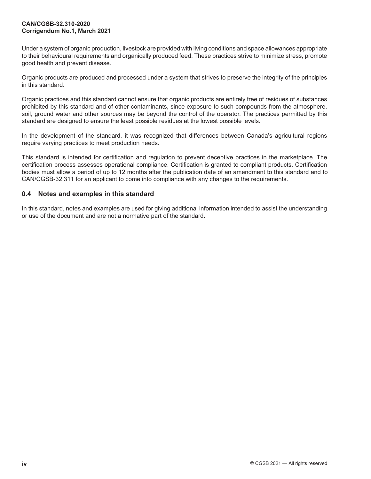Under a system of organic production, livestock are provided with living conditions and space allowances appropriate to their behavioural requirements and organically produced feed. These practices strive to minimize stress, promote good health and prevent disease.

Organic products are produced and processed under a system that strives to preserve the integrity of the principles in this standard.

Organic practices and this standard cannot ensure that organic products are entirely free of residues of substances prohibited by this standard and of other contaminants, since exposure to such compounds from the atmosphere, soil, ground water and other sources may be beyond the control of the operator. The practices permitted by this standard are designed to ensure the least possible residues at the lowest possible levels.

In the development of the standard, it was recognized that differences between Canada's agricultural regions require varying practices to meet production needs.

This standard is intended for certification and regulation to prevent deceptive practices in the marketplace. The certification process assesses operational compliance. Certification is granted to compliant products. Certification bodies must allow a period of up to 12 months after the publication date of an amendment to this standard and to CAN/CGSB-32.311 for an applicant to come into compliance with any changes to the requirements.

## **0.4 Notes and examples in this standard**

In this standard, notes and examples are used for giving additional information intended to assist the understanding or use of the document and are not a normative part of the standard.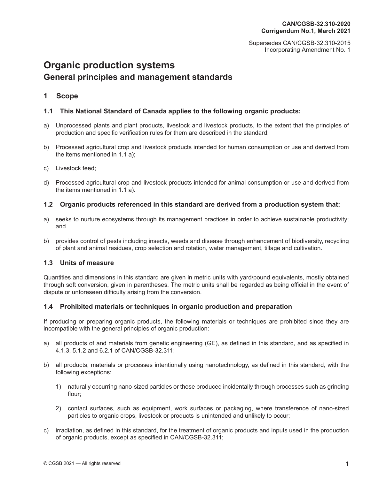Supersedes CAN/CGSB-32.310-2015 Incorporating Amendment No. 1

## <span id="page-10-0"></span>**[Organic production systems](#page-0-0) [General principles and management standards](#page-0-1)**

## **1 Scope**

## **1.1 This National Standard of Canada applies to the following organic products:**

- a) Unprocessed plants and plant products, livestock and livestock products, to the extent that the principles of production and specific verification rules for them are described in the standard;
- b) Processed agricultural crop and livestock products intended for human consumption or use and derived from the items mentioned in 1.1 a);
- c) Livestock feed;
- d) Processed agricultural crop and livestock products intended for animal consumption or use and derived from the items mentioned in 1.1 a).

## **1.2 Organic products referenced in this standard are derived from a production system that:**

- a) seeks to nurture ecosystems through its management practices in order to achieve sustainable productivity; and
- b) provides control of pests including insects, weeds and disease through enhancement of biodiversity, recycling of plant and animal residues, crop selection and rotation, water management, tillage and cultivation.

## **1.3 Units of measure**

Quantities and dimensions in this standard are given in metric units with yard/pound equivalents, mostly obtained through soft conversion, given in parentheses. The metric units shall be regarded as being official in the event of dispute or unforeseen difficulty arising from the conversion.

## **1.4 Prohibited materials or techniques in organic production and preparation**

If producing or preparing organic products, the following materials or techniques are prohibited since they are incompatible with the general principles of organic production:

- a) all products of and materials from genetic engineering (GE), as defined in this standard, and as specified in 4.1.3, 5.1.2 and 6.2.1 of CAN/CGSB-32.311;
- b) all products, materials or processes intentionally using nanotechnology, as defined in this standard, with the following exceptions:
	- 1) naturally occurring nano-sized particles or those produced incidentally through processes such as grinding flour;
	- 2) contact surfaces, such as equipment, work surfaces or packaging, where transference of nano-sized particles to organic crops, livestock or products is unintended and unlikely to occur;
- c) irradiation, as defined in this standard, for the treatment of organic products and inputs used in the production of organic products, except as specified in CAN/CGSB-32.311;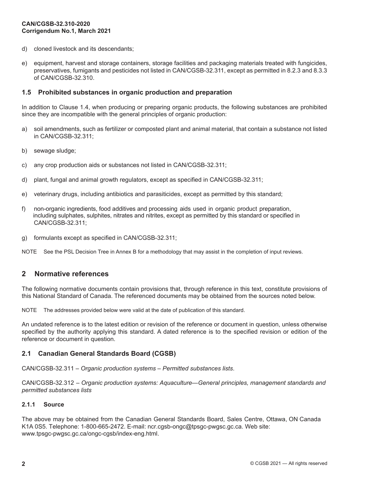- <span id="page-11-0"></span>d) cloned livestock and its descendants;
- e) equipment, harvest and storage containers, storage facilities and packaging materials treated with fungicides, preservatives, fumigants and pesticides not listed in CAN/CGSB-32.311, except as permitted in 8.2.3 and 8.3.3 of CAN/CGSB-32.310.

#### **1.5 Prohibited substances in organic production and preparation**

In addition to Clause 1.4, when producing or preparing organic products, the following substances are prohibited since they are incompatible with the general principles of organic production:

- a) soil amendments, such as fertilizer or composted plant and animal material, that contain a substance not listed in CAN/CGSB-32.311;
- b) sewage sludge;
- c) any crop production aids or substances not listed in CAN/CGSB-32.311;
- d) plant, fungal and animal growth regulators, except as specified in CAN/CGSB-32.311;
- e) veterinary drugs, including antibiotics and parasiticides, except as permitted by this standard;
- f) non-organic ingredients, food additives and processing aids used in organic product preparation, including sulphates, sulphites, nitrates and nitrites, except as permitted by this standard or specified in CAN/CGSB-32.311;
- g) formulants except as specified in CAN/CGSB-32.311;

NOTE See the PSL Decision Tree in Annex B for a methodology that may assist in the completion of input reviews.

## **2 Normative references**

The following normative documents contain provisions that, through reference in this text, constitute provisions of this National Standard of Canada. The referenced documents may be obtained from the sources noted below.

NOTE The addresses provided below were valid at the date of publication of this standard.

An undated reference is to the latest edition or revision of the reference or document in question, unless otherwise specified by the authority applying this standard. A dated reference is to the specified revision or edition of the reference or document in question.

## **2.1 Canadian General Standards Board (CGSB)**

CAN/CGSB-32.311 – *Organic production systems – Permitted substances lists*.

CAN/CGSB-32.312 – *Organic production systems: Aquaculture—General principles, management standards and permitted substances lists*

#### **2.1.1 Source**

The above may be obtained from the Canadian General Standards Board, Sales Centre, Ottawa, ON Canada K1A 0S5. Telephone: 1-800-665-2472. E-mail: ncr.cgsb-ongc@tpsgc-pwgsc.gc.ca. Web site: www.tpsgc-pwgsc.gc.ca/ongc-cgsb/index-eng.html.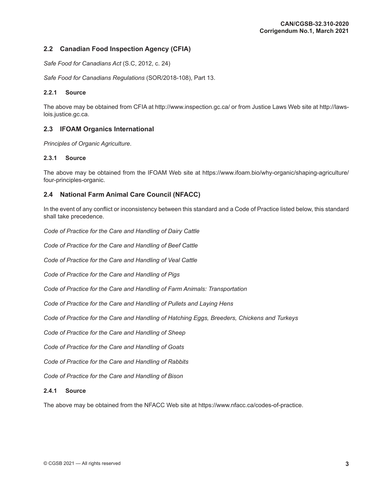## <span id="page-12-0"></span>**2.2 Canadian Food Inspection Agency (CFIA)**

*Safe Food for Canadians Act* (S.C, 2012, c. 24)

*Safe Food for Canadians Regulations* (SOR/2018-108), Part 13.

#### **2.2.1 Source**

The above may be obtained from CFIA at http://www.inspection.gc.ca/ or from Justice Laws Web site at http://lawslois.justice.gc.ca.

## **2.3 IFOAM Organics International**

*Principles of Organic Agriculture*.

#### **2.3.1 Source**

The above may be obtained from the IFOAM Web site at [https://www.ifoam.bio/why-organic/shaping-agriculture/](https://www.ifoam.bio/why-organic/shaping-agriculture/four-principles-organic) [four-principles-organic.](https://www.ifoam.bio/why-organic/shaping-agriculture/four-principles-organic)

## **2.4 National Farm Animal Care Council (NFACC)**

In the event of any conflict or inconsistency between this standard and a Code of Practice listed below, this standard shall take precedence.

*Code of Practice for the Care and Handling of Dairy Cattle*

*Code of Practice for the Care and Handling of Beef Cattle*

*Code of Practice for the Care and Handling of Veal Cattle*

*Code of Practice for the Care and Handling of Pigs*

*Code of Practice for the Care and Handling of Farm Animals: Transportation*

*Code of Practice for the Care and Handling of Pullets and Laying Hens*

*Code of Practice for the Care and Handling of Hatching Eggs, Breeders, Chickens and Turkeys* 

*Code of Practice for the Care and Handling of Sheep*

*Code of Practice for the Care and Handling of Goats*

*Code of Practice for the Care and Handling of Rabbits*

*Code of Practice for the Care and Handling of Bison*

#### **2.4.1 Source**

The above may be obtained from the NFACC Web site at https://www.nfacc.ca/codes-of-practice.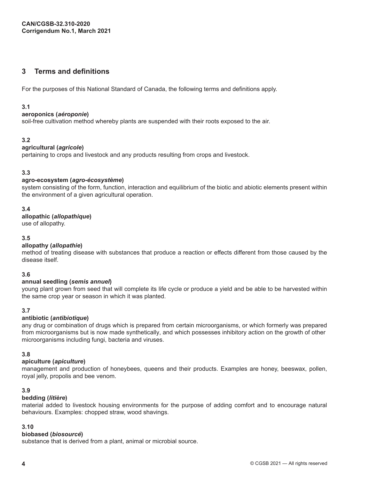## <span id="page-13-0"></span>**3 Terms and definitions**

For the purposes of this National Standard of Canada, the following terms and definitions apply.

## **3.1**

#### **aeroponics (***aéroponie***)**

soil-free cultivation method whereby plants are suspended with their roots exposed to the air.

## **3.2**

#### **agricultural (***agricole***)**

pertaining to crops and livestock and any products resulting from crops and livestock.

## **3.3**

#### **agro-ecosystem (***agro-écosystème***)**

system consisting of the form, function, interaction and equilibrium of the biotic and abiotic elements present within the environment of a given agricultural operation.

## **3.4**

#### **allopathic (***allopathique***)**

use of allopathy.

## **3.5**

## **allopathy (***allopathie***)**

method of treating disease with substances that produce a reaction or effects different from those caused by the disease itself.

## **3.6**

## **annual seedling (***semis annuel***)**

young plant grown from seed that will complete its life cycle or produce a yield and be able to be harvested within the same crop year or season in which it was planted.

## **3.7**

## **antibiotic (***antibiotique***)**

any drug or combination of drugs which is prepared from certain microorganisms, or which formerly was prepared from microorganisms but is now made synthetically, and which possesses inhibitory action on the growth of other microorganisms including fungi, bacteria and viruses.

## **3.8**

## **apiculture (***apiculture***)**

management and production of honeybees, queens and their products. Examples are honey, beeswax, pollen, royal jelly, propolis and bee venom.

## **3.9**

#### **bedding (***litière***)**

material added to livestock housing environments for the purpose of adding comfort and to encourage natural behaviours. Examples: chopped straw, wood shavings.

#### **3.10**

#### **biobased (***biosourcé***)**

substance that is derived from a plant, animal or microbial source.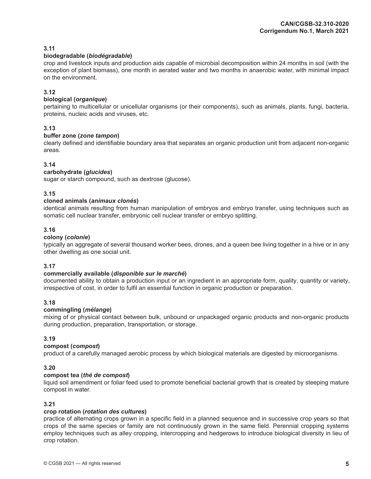#### **biodegradable (***biodégradable***)**

crop and livestock inputs and production aids capable of microbial decomposition within 24 months in soil (with the exception of plant biomass), one month in aerated water and two months in anaerobic water, with minimal impact on the environment.

## **3.12**

#### **biological (***organique***)**

pertaining to multicellular or unicellular organisms (or their components), such as animals, plants, fungi, bacteria, proteins, nucleic acids and viruses, etc.

## **3.13**

#### **buffer zone (***zone tampon***)**

clearly defined and identifiable boundary area that separates an organic production unit from adjacent non-organic areas.

#### **3.14**

#### **carbohydrate (***glucides***)**

sugar or starch compound, such as dextrose (glucose).

#### **3.15**

#### **cloned animals (***animaux clonés***)**

identical animals resulting from human manipulation of embryos and embryo transfer, using techniques such as somatic cell nuclear transfer, embryonic cell nuclear transfer or embryo splitting.

#### **3.16**

#### **colony (***colonie***)**

typically an aggregate of several thousand worker bees, drones, and a queen bee living together in a hive or in any other dwelling as one social unit.

#### **3.17**

#### **commercially available (***disponible sur le marché***)**

documented ability to obtain a production input or an ingredient in an appropriate form, quality, quantity or variety, irrespective of cost, in order to fulfil an essential function in organic production or preparation.

## **3.18**

#### **commingling (***mélange***)**

mixing of or physical contact between bulk, unbound or unpackaged organic products and non-organic products during production, preparation, transportation, or storage.

#### **3.19**

#### **compost (***compost***)**

product of a carefully managed aerobic process by which biological materials are digested by microorganisms.

#### **3.20**

#### **compost tea (***thé de compost***)**

liquid soil amendment or foliar feed used to promote beneficial bacterial growth that is created by steeping mature compost in water.

#### **3.21**

#### **crop rotation (***rotation des cultures***)**

practice of alternating crops grown in a specific field in a planned sequence and in successive crop years so that crops of the same species or family are not continuously grown in the same field. Perennial cropping systems employ techniques such as alley cropping, intercropping and hedgerows to introduce biological diversity in lieu of crop rotation.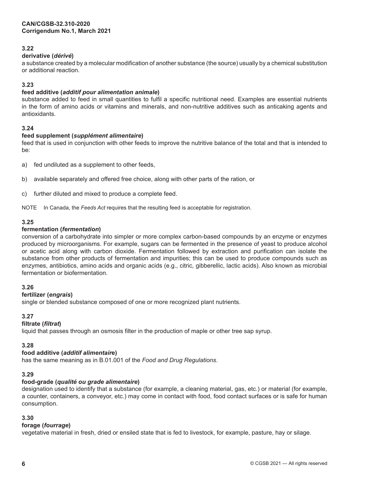## **derivative (***dérivé***)**

a substance created by a molecular modification of another substance (the source) usually by a chemical substitution or additional reaction.

## **3.23**

## **feed additive (***additif pour alimentation animale***)**

substance added to feed in small quantities to fulfil a specific nutritional need. Examples are essential nutrients in the form of amino acids or vitamins and minerals, and non-nutritive additives such as anticaking agents and antioxidants.

## **3.24**

#### **feed supplement (***supplément alimentaire***)**

feed that is used in conjunction with other feeds to improve the nutritive balance of the total and that is intended to be:

a) fed undiluted as a supplement to other feeds,

- b) available separately and offered free choice, along with other parts of the ration, or
- c) further diluted and mixed to produce a complete feed.

NOTE In Canada, the *Feeds Act* requires that the resulting feed is acceptable for registration.

#### **3.25**

#### **fermentation (***fermentation***)**

conversion of a carbohydrate into simpler or more complex carbon-based compounds by an enzyme or enzymes produced by microorganisms. For example, sugars can be fermented in the presence of yeast to produce alcohol or acetic acid along with carbon dioxide. Fermentation followed by extraction and purification can isolate the substance from other products of fermentation and impurities; this can be used to produce compounds such as enzymes, antibiotics, amino acids and organic acids (e.g., citric, gibberellic, lactic acids). Also known as microbial fermentation or biofermentation.

## **3.26**

## **fertilizer (***engrais***)**

single or blended substance composed of one or more recognized plant nutrients.

## **3.27**

## **filtrate (***filtrat***)**

liquid that passes through an osmosis filter in the production of maple or other tree sap syrup.

## **3.28**

## **food additive (***additif alimentair***e)**

has the same meaning as in B.01.001 of the *Food and Drug Regulations*.

## **3.29**

## **food-grade (***qualité ou grade alimentaire***)**

designation used to identify that a substance (for example, a cleaning material, gas, etc.) or material (for example, a counter, containers, a conveyor, etc.) may come in contact with food, food contact surfaces or is safe for human consumption.

## **3.30**

## **forage (***fourrage***)**

vegetative material in fresh, dried or ensiled state that is fed to livestock, for example, pasture, hay or silage.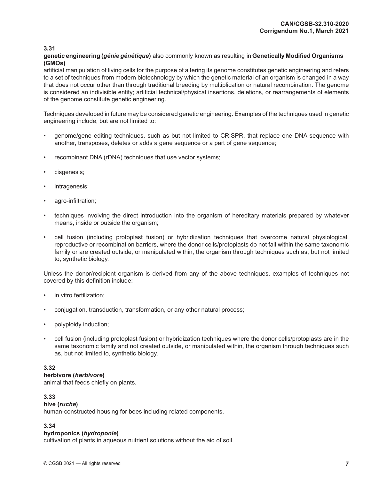**genetic engineering (***génie génétique***)** also commonly known as resulting in **Genetically Modified Organisms (GMOs)**

artificial manipulation of living cells for the purpose of altering its genome constitutes genetic engineering and refers to a set of techniques from modern biotechnology by which the genetic material of an organism is changed in a way that does not occur other than through traditional breeding by multiplication or natural recombination. The genome is considered an indivisible entity; artificial technical/physical insertions, deletions, or rearrangements of elements of the genome constitute genetic engineering.

Techniques developed in future may be considered genetic engineering. Examples of the techniques used in genetic engineering include, but are not limited to:

- genome/gene editing techniques, such as but not limited to CRISPR, that replace one DNA sequence with another, transposes, deletes or adds a gene sequence or a part of gene sequence;
- recombinant DNA (rDNA) techniques that use vector systems;
- cisgenesis;
- intragenesis;
- agro-infiltration;
- techniques involving the direct introduction into the organism of hereditary materials prepared by whatever means, inside or outside the organism;
- cell fusion (including protoplast fusion) or hybridization techniques that overcome natural physiological, reproductive or recombination barriers, where the donor cells/protoplasts do not fall within the same taxonomic family or are created outside, or manipulated within, the organism through techniques such as, but not limited to, synthetic biology.

Unless the donor/recipient organism is derived from any of the above techniques, examples of techniques not covered by this definition include:

- in vitro fertilization;
- conjugation, transduction, transformation, or any other natural process;
- polyploidy induction;
- cell fusion (including protoplast fusion) or hybridization techniques where the donor cells/protoplasts are in the same taxonomic family and not created outside, or manipulated within, the organism through techniques such as, but not limited to, synthetic biology.

## **3.32**

#### **herbivore (***herbivore***)**

animal that feeds chiefly on plants.

## **3.33**

#### **hive (***ruche***)**

human-constructed housing for bees including related components.

## **3.34**

#### **hydroponics (***hydroponie***)**

cultivation of plants in aqueous nutrient solutions without the aid of soil.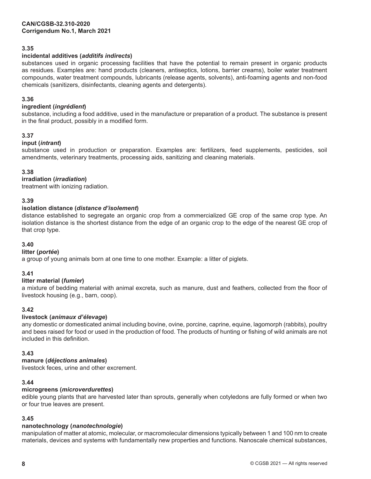## **incidental additives (***additifs indirects***)**

substances used in organic processing facilities that have the potential to remain present in organic products as residues. Examples are: hand products (cleaners, antiseptics, lotions, barrier creams), boiler water treatment compounds, water treatment compounds, lubricants (release agents, solvents), anti-foaming agents and non-food chemicals (sanitizers, disinfectants, cleaning agents and detergents).

## **3.36**

## **ingredient (***ingrédient***)**

substance, including a food additive, used in the manufacture or preparation of a product. The substance is present in the final product, possibly in a modified form.

#### **3.37**

#### **input (***intrant***)**

substance used in production or preparation. Examples are: fertilizers, feed supplements, pesticides, soil amendments, veterinary treatments, processing aids, sanitizing and cleaning materials.

#### **3.38**

#### **irradiation (***irradiation***)**

treatment with ionizing radiation.

#### **3.39**

#### **isolation distance (***distance d'isolement***)**

distance established to segregate an organic crop from a commercialized GE crop of the same crop type. An isolation distance is the shortest distance from the edge of an organic crop to the edge of the nearest GE crop of that crop type.

#### **3.40**

#### **litter (***portée***)**

a group of young animals born at one time to one mother. Example: a litter of piglets.

#### **3.41**

#### **litter material (***fumier***)**

a mixture of bedding material with animal excreta, such as manure, dust and feathers, collected from the floor of livestock housing (e.g., barn, coop).

#### **3.42**

#### **livestock (***animaux d'élevage***)**

any domestic or domesticated animal including bovine, ovine, porcine, caprine, equine, lagomorph (rabbits), poultry and bees raised for food or used in the production of food. The products of hunting or fishing of wild animals are not included in this definition.

#### **3.43**

#### **manure (***déjections animales***)**

livestock feces, urine and other excrement.

#### **3.44**

#### **microgreens (***microverdurettes***)**

edible young plants that are harvested later than sprouts, generally when cotyledons are fully formed or when two or four true leaves are present.

## **3.45**

## **nanotechnology (***nanotechnologie***)**

manipulation of matter at atomic, molecular, or macromolecular dimensions typically between 1 and 100 nm to create materials, devices and systems with fundamentally new properties and functions. Nanoscale chemical substances,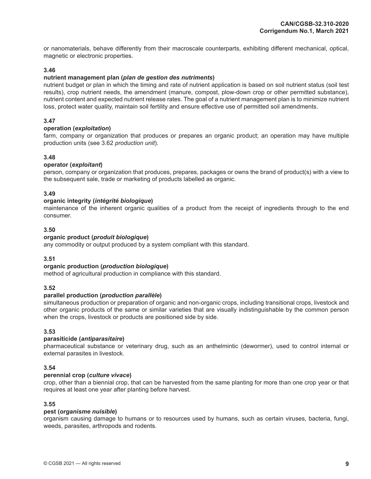or nanomaterials, behave differently from their macroscale counterparts, exhibiting different mechanical, optical, magnetic or electronic properties.

#### **3.46**

#### **nutrient management plan (***plan de gestion des nutriments***)**

nutrient budget or plan in which the timing and rate of nutrient application is based on soil nutrient status (soil test results), crop nutrient needs, the amendment (manure, compost, plow-down crop or other permitted substance), nutrient content and expected nutrient release rates. The goal of a nutrient management plan is to minimize nutrient loss, protect water quality, maintain soil fertility and ensure effective use of permitted soil amendments.

## **3.47**

#### **operation (***exploitation***)**

farm, company or organization that produces or prepares an organic product; an operation may have multiple production units (see 3.62 *production unit*).

#### **3.48**

#### **operator (***exploitant***)**

person, company or organization that produces, prepares, packages or owns the brand of product(s) with a view to the subsequent sale, trade or marketing of products labelled as organic.

#### **3.49**

#### **organic integrity (***intégrité biologique***)**

maintenance of the inherent organic qualities of a product from the receipt of ingredients through to the end consumer.

#### **3.50**

#### **organic product (***produit biologique***)**

any commodity or output produced by a system compliant with this standard.

## **3.51**

#### **organic production (***production biologique***)**

method of agricultural production in compliance with this standard.

#### **3.52**

#### **parallel production (***production parallèle***)**

simultaneous production or preparation of organic and non-organic crops, including transitional crops, livestock and other organic products of the same or similar varieties that are visually indistinguishable by the common person when the crops, livestock or products are positioned side by side.

#### **3.53**

#### **parasiticide (***antiparasitaire***)**

pharmaceutical substance or veterinary drug, such as an anthelmintic (dewormer), used to control internal or external parasites in livestock.

#### **3.54**

#### **perennial crop (***culture vivace***)**

crop, other than a biennial crop, that can be harvested from the same planting for more than one crop year or that requires at least one year after planting before harvest.

#### **3.55**

#### **pest (***organisme nuisible***)**

organism causing damage to humans or to resources used by humans, such as certain viruses, bacteria, fungi, weeds, parasites, arthropods and rodents.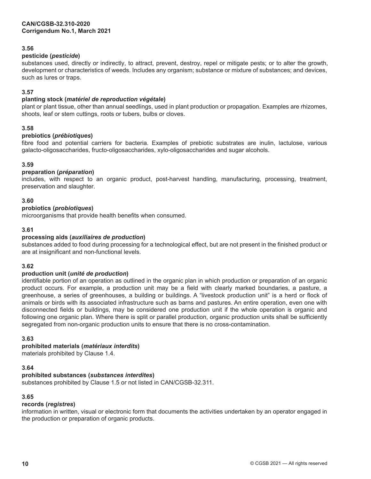#### **pesticide (***pesticide***)**

substances used, directly or indirectly, to attract, prevent, destroy, repel or mitigate pests; or to alter the growth, development or characteristics of weeds. Includes any organism; substance or mixture of substances; and devices, such as lures or traps.

#### **3.57**

#### **planting stock (***matériel de reproduction végétale***)**

plant or plant tissue, other than annual seedlings, used in plant production or propagation. Examples are rhizomes, shoots, leaf or stem cuttings, roots or tubers, bulbs or cloves.

#### **3.58**

#### **prebiotics (***prébiotiques***)**

fibre food and potential carriers for bacteria. Examples of prebiotic substrates are inulin, lactulose, various galacto-oligosaccharides, fructo-oligosaccharides, xylo-oligosaccharides and sugar alcohols.

#### **3.59**

#### **preparation (***préparation***)**

includes, with respect to an organic product, post-harvest handling, manufacturing, processing, treatment, preservation and slaughter.

#### **3.60**

#### **probiotics (***probiotiques***)**

microorganisms that provide health benefits when consumed.

#### **3.61**

#### **processing aids (***auxiliaires de production***)**

substances added to food during processing for a technological effect, but are not present in the finished product or are at insignificant and non-functional levels.

#### **3.62**

#### **production unit (***unité de production***)**

identifiable portion of an operation as outlined in the organic plan in which production or preparation of an organic product occurs. For example, a production unit may be a field with clearly marked boundaries, a pasture, a greenhouse, a series of greenhouses, a building or buildings. A "livestock production unit" is a herd or flock of animals or birds with its associated infrastructure such as barns and pastures. An entire operation, even one with disconnected fields or buildings, may be considered one production unit if the whole operation is organic and following one organic plan. Where there is split or parallel production, organic production units shall be sufficiently segregated from non-organic production units to ensure that there is no cross-contamination.

#### **3.63**

## **prohibited materials (***matériaux interdits***)**

materials prohibited by Clause 1.4.

## **3.64**

## **prohibited substances (***substances interdites***)**

substances prohibited by Clause 1.5 or not listed in CAN/CGSB-32.311.

#### **3.65**

#### **records (***registres***)**

information in written, visual or electronic form that documents the activities undertaken by an operator engaged in the production or preparation of organic products.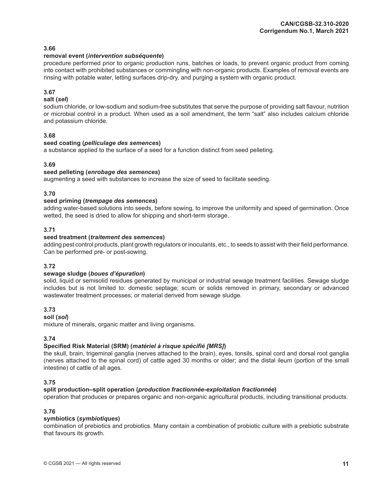#### **removal event (***intervention subséquente***)**

procedure performed prior to organic production runs, batches or loads, to prevent organic product from coming into contact with prohibited substances or commingling with non-organic products. Examples of removal events are rinsing with potable water, letting surfaces drip-dry, and purging a system with organic product.

## **3.67**

#### **salt (***sel***)**

sodium chloride, or low-sodium and sodium-free substitutes that serve the purpose of providing salt flavour, nutrition or microbial control in a product. When used as a soil amendment, the term "salt" also includes calcium chloride and potassium chloride.

#### **3.68**

#### **seed coating (***pelliculage des semences***)**

a substance applied to the surface of a seed for a function distinct from seed pelleting.

#### **3.69**

#### **seed pelleting (***enrobage des semences***)**

augmenting a seed with substances to increase the size of seed to facilitate seeding.

#### **3.70**

#### **seed priming (***trempage des semences***)**

adding water-based solutions into seeds, before sowing, to improve the uniformity and speed of germination. Once wetted, the seed is dried to allow for shipping and short-term storage.

## **3.71**

#### **seed treatment (***traitement des semences***)**

adding pest control products, plant growth regulators or inoculants, etc., to seeds to assist with their field performance. Can be performed pre- or post-sowing.

#### **3.72**

#### **sewage sludge (***boues d'épuration***)**

solid, liquid or semisolid residues generated by municipal or industrial sewage treatment facilities. Sewage sludge includes but is not limited to: domestic septage; scum or solids removed in primary, secondary or advanced wastewater treatment processes; or material derived from sewage sludge.

## **3.73**

#### **soil (***sol***)**

mixture of minerals, organic matter and living organisms.

## **3.74**

## **Specified Risk Material (SRM) (***matériel à risque spécifié [MRS]***)**

the skull, brain, trigeminal ganglia (nerves attached to the brain), eyes, tonsils, spinal cord and dorsal root ganglia (nerves attached to the spinal cord) of cattle aged 30 months or older; and the distal ileum (portion of the small intestine) of cattle of all ages.

#### **3.75**

#### **split production–split operation (***production fractionnée-exploitation fractionnée***)**

operation that produces or prepares organic and non-organic agricultural products, including transitional products.

## **3.76**

#### **symbiotics (***symbiotiques***)**

combination of prebiotics and probiotics. Many contain a combination of probiotic culture with a prebiotic substrate that favours its growth.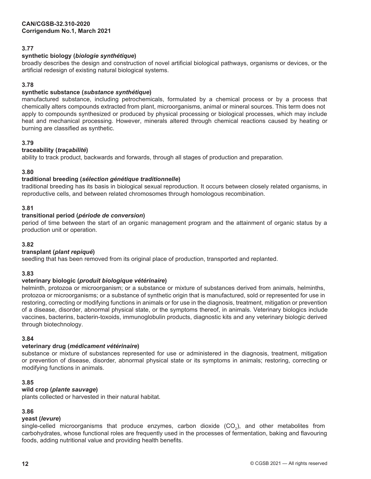## **synthetic biology (***biologie synthétique***)**

broadly describes the design and construction of novel artificial biological pathways, organisms or devices, or the artificial redesign of existing natural biological systems.

## **3.78**

## **synthetic substance (***substance synthétique***)**

manufactured substance, including petrochemicals, formulated by a chemical process or by a process that chemically alters compounds extracted from plant, microorganisms, animal or mineral sources. This term does not apply to compounds synthesized or produced by physical processing or biological processes, which may include heat and mechanical processing. However, minerals altered through chemical reactions caused by heating or burning are classified as synthetic.

#### **3.79**

#### **traceability (***traçabilité***)**

ability to track product, backwards and forwards, through all stages of production and preparation.

#### **3.80**

#### **traditional breeding (***sélection génétique traditionnelle***)**

traditional breeding has its basis in biological sexual reproduction. It occurs between closely related organisms, in reproductive cells, and between related chromosomes through homologous recombination.

#### **3.81**

#### **transitional period (***période de conversion***)**

period of time between the start of an organic management program and the attainment of organic status by a production unit or operation.

#### **3.82**

## **transplant (***plant repiqué***)**

seedling that has been removed from its original place of production, transported and replanted.

#### **3.83**

## **veterinary biologic (***produit biologique vétérinaire***)**

helminth, protozoa or microorganism; or a substance or mixture of substances derived from animals, helminths, protozoa or microorganisms; or a substance of synthetic origin that is manufactured, sold or represented for use in restoring, correcting or modifying functions in animals or for use in the diagnosis, treatment, mitigation or prevention of a disease, disorder, abnormal physical state, or the symptoms thereof, in animals. Veterinary biologics include vaccines, bacterins, bacterin-toxoids, immunoglobulin products, diagnostic kits and any veterinary biologic derived through biotechnology.

#### **3.84**

## **veterinary drug (***médicament vétérinaire***)**

substance or mixture of substances represented for use or administered in the diagnosis, treatment, mitigation or prevention of disease, disorder, abnormal physical state or its symptoms in animals; restoring, correcting or modifying functions in animals.

#### **3.85**

## **wild crop (***plante sauvage***)**

plants collected or harvested in their natural habitat.

## **3.86**

#### **yeast (***levure***)**

single-celled microorganisms that produce enzymes, carbon dioxide  $(CO_2)$ , and other metabolites from carbohydrates, whose functional roles are frequently used in the processes of fermentation, baking and flavouring foods, adding nutritional value and providing health benefits.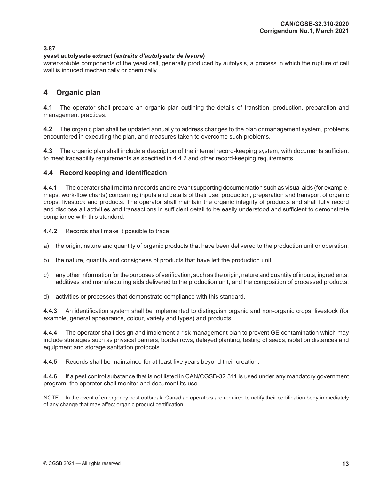#### <span id="page-22-0"></span>**yeast autolysate extract (***extraits d'autolysats de levure***)**

water-soluble components of the yeast cell, generally produced by autolysis, a process in which the rupture of cell wall is induced mechanically or chemically.

## **4 Organic plan**

**4.1** The operator shall prepare an organic plan outlining the details of transition, production, preparation and management practices.

**4.2** The organic plan shall be updated annually to address changes to the plan or management system, problems encountered in executing the plan, and measures taken to overcome such problems.

**4.3** The organic plan shall include a description of the internal record-keeping system, with documents sufficient to meet traceability requirements as specified in 4.4.2 and other record-keeping requirements.

## **4.4 Record keeping and identification**

**4.4.1** The operator shall maintain records and relevant supporting documentation such as visual aids (for example, maps, work-flow charts) concerning inputs and details of their use, production, preparation and transport of organic crops, livestock and products. The operator shall maintain the organic integrity of products and shall fully record and disclose all activities and transactions in sufficient detail to be easily understood and sufficient to demonstrate compliance with this standard.

**4.4.2** Records shall make it possible to trace

- a) the origin, nature and quantity of organic products that have been delivered to the production unit or operation;
- b) the nature, quantity and consignees of products that have left the production unit;
- c) any other information for the purposes of verification, such as the origin, nature and quantity of inputs, ingredients, additives and manufacturing aids delivered to the production unit, and the composition of processed products;
- d) activities or processes that demonstrate compliance with this standard.

**4.4.3** An identification system shall be implemented to distinguish organic and non-organic crops, livestock (for example, general appearance, colour, variety and types) and products.

**4.4.4** The operator shall design and implement a risk management plan to prevent GE contamination which may include strategies such as physical barriers, border rows, delayed planting, testing of seeds, isolation distances and equipment and storage sanitation protocols.

**4.4.5** Records shall be maintained for at least five years beyond their creation.

**4.4.6** If a pest control substance that is not listed in CAN/CGSB-32.311 is used under any mandatory government program, the operator shall monitor and document its use.

NOTE In the event of emergency pest outbreak, Canadian operators are required to notify their certification body immediately of any change that may affect organic product certification.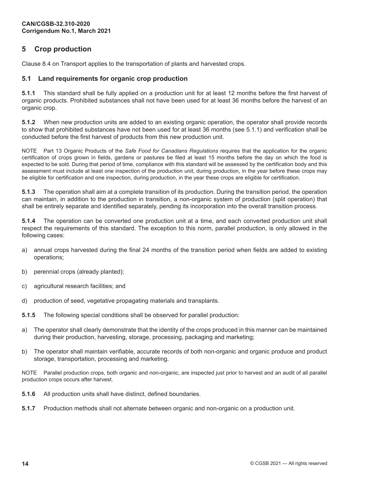## <span id="page-23-0"></span>**5 Crop production**

Clause 8.4 on Transport applies to the transportation of plants and harvested crops.

## **5.1 Land requirements for organic crop production**

**5.1.1** This standard shall be fully applied on a production unit for at least 12 months before the first harvest of organic products. Prohibited substances shall not have been used for at least 36 months before the harvest of an organic crop.

**5.1.2** When new production units are added to an existing organic operation, the operator shall provide records to show that prohibited substances have not been used for at least 36 months (see 5.1.1) and verification shall be conducted before the first harvest of products from this new production unit.

NOTE Part 13 Organic Products of the *Safe Food for Canadians Regulations* requires that the application for the organic certification of crops grown in fields, gardens or pastures be filed at least 15 months before the day on which the food is expected to be sold. During that period of time, compliance with this standard will be assessed by the certification body and this assessment must include at least one inspection of the production unit, during production, in the year before these crops may be eligible for certification and one inspection, during production, in the year these crops are eligible for certification.

**5.1.3** The operation shall aim at a complete transition of its production. During the transition period, the operation can maintain, in addition to the production in transition, a non-organic system of production (split operation) that shall be entirely separate and identified separately, pending its incorporation into the overall transition process.

**5.1.4** The operation can be converted one production unit at a time, and each converted production unit shall respect the requirements of this standard. The exception to this norm, parallel production, is only allowed in the following cases:

- a) annual crops harvested during the final 24 months of the transition period when fields are added to existing operations;
- b) perennial crops (already planted);
- c) agricultural research facilities; and
- d) production of seed, vegetative propagating materials and transplants.
- **5.1.5** The following special conditions shall be observed for parallel production:
- a) The operator shall clearly demonstrate that the identity of the crops produced in this manner can be maintained during their production, harvesting, storage, processing, packaging and marketing;
- b) The operator shall maintain verifiable, accurate records of both non-organic and organic produce and product storage, transportation, processing and marketing.

NOTE Parallel production crops, both organic and non-organic, are inspected just prior to harvest and an audit of all parallel production crops occurs after harvest.

- **5.1.6** All production units shall have distinct, defined boundaries.
- **5.1.7** Production methods shall not alternate between organic and non-organic on a production unit.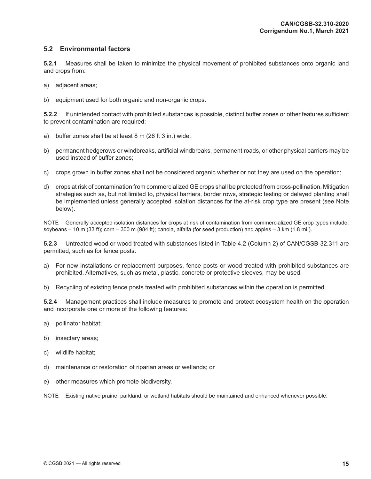## <span id="page-24-0"></span>**5.2 Environmental factors**

**5.2.1** Measures shall be taken to minimize the physical movement of prohibited substances onto organic land and crops from:

- a) adjacent areas;
- b) equipment used for both organic and non-organic crops.

**5.2.2** If unintended contact with prohibited substances is possible, distinct buffer zones or other features sufficient to prevent contamination are required:

- a) buffer zones shall be at least 8 m (26 ft 3 in.) wide;
- b) permanent hedgerows or windbreaks, artificial windbreaks, permanent roads, or other physical barriers may be used instead of buffer zones;
- c) crops grown in buffer zones shall not be considered organic whether or not they are used on the operation;
- d) crops at risk of contamination from commercialized GE crops shall be protected from cross-pollination. Mitigation strategies such as, but not limited to, physical barriers, border rows, strategic testing or delayed planting shall be implemented unless generally accepted isolation distances for the at-risk crop type are present (see Note below).

NOTE Generally accepted isolation distances for crops at risk of contamination from commercialized GE crop types include: soybeans – 10 m (33 ft); corn – 300 m (984 ft); canola, alfalfa (for seed production) and apples – 3 km (1.8 mi.).

**5.2.3** Untreated wood or wood treated with substances listed in Table 4.2 (Column 2) of CAN/CGSB-32.311 are permitted, such as for fence posts.

- a) For new installations or replacement purposes, fence posts or wood treated with prohibited substances are prohibited. Alternatives, such as metal, plastic, concrete or protective sleeves, may be used.
- b) Recycling of existing fence posts treated with prohibited substances within the operation is permitted.

**5.2.4** Management practices shall include measures to promote and protect ecosystem health on the operation and incorporate one or more of the following features:

- a) pollinator habitat;
- b) insectary areas;
- c) wildlife habitat;
- d) maintenance or restoration of riparian areas or wetlands; or
- e) other measures which promote biodiversity.

NOTE Existing native prairie, parkland, or wetland habitats should be maintained and enhanced whenever possible.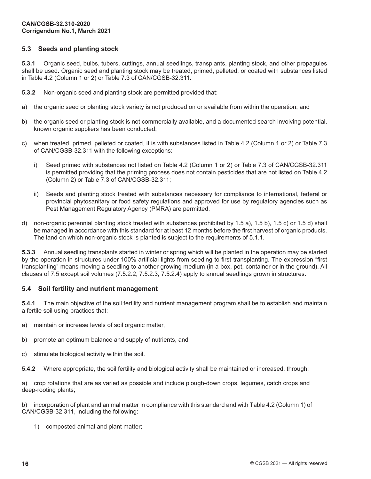## <span id="page-25-0"></span>**5.3 Seeds and planting stock**

**5.3.1** Organic seed, bulbs, tubers, cuttings, annual seedlings, transplants, planting stock, and other propagules shall be used. Organic seed and planting stock may be treated, primed, pelleted, or coated with substances listed in Table 4.2 (Column 1 or 2) or Table 7.3 of CAN/CGSB-32.311.

**5.3.2** Non-organic seed and planting stock are permitted provided that:

- a) the organic seed or planting stock variety is not produced on or available from within the operation; and
- b) the organic seed or planting stock is not commercially available, and a documented search involving potential, known organic suppliers has been conducted;
- c) when treated, primed, pelleted or coated, it is with substances listed in Table 4.2 (Column 1 or 2) or Table 7.3 of CAN/CGSB-32.311 with the following exceptions:
	- i) Seed primed with substances not listed on Table 4.2 (Column 1 or 2) or Table 7.3 of CAN/CGSB-32.311 is permitted providing that the priming process does not contain pesticides that are not listed on Table 4.2 (Column 2) or Table 7.3 of CAN/CGSB-32.311;
	- ii) Seeds and planting stock treated with substances necessary for compliance to international, federal or provincial phytosanitary or food safety regulations and approved for use by regulatory agencies such as Pest Management Regulatory Agency (PMRA) are permitted,
- d) non-organic perennial planting stock treated with substances prohibited by 1.5 a), 1.5 b), 1.5 c) or 1.5 d) shall be managed in accordance with this standard for at least 12 months before the first harvest of organic products. The land on which non-organic stock is planted is subject to the requirements of 5.1.1.

**5.3.3** Annual seedling transplants started in winter or spring which will be planted in the operation may be started by the operation in structures under 100% artificial lights from seeding to first transplanting. The expression "first transplanting" means moving a seedling to another growing medium (in a box, pot, container or in the ground). All clauses of 7.5 except soil volumes (7.5.2.2, 7.5.2.3, 7.5.2.4) apply to annual seedlings grown in structures.

## **5.4 Soil fertility and nutrient management**

**5.4.1** The main objective of the soil fertility and nutrient management program shall be to establish and maintain a fertile soil using practices that:

- a) maintain or increase levels of soil organic matter,
- b) promote an optimum balance and supply of nutrients, and
- c) stimulate biological activity within the soil.

**5.4.2** Where appropriate, the soil fertility and biological activity shall be maintained or increased, through:

a) crop rotations that are as varied as possible and include plough-down crops, legumes, catch crops and deep-rooting plants;

b) incorporation of plant and animal matter in compliance with this standard and with Table 4.2 (Column 1) of CAN/CGSB-32.311, including the following:

1) composted animal and plant matter;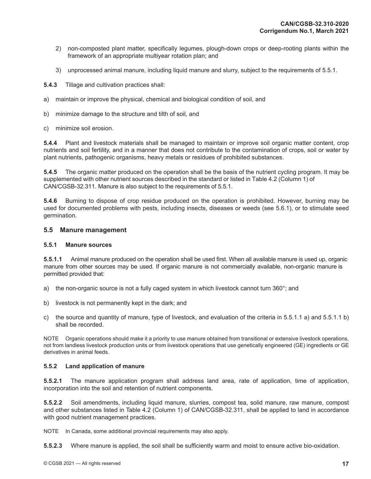- <span id="page-26-0"></span>2) non-composted plant matter, specifically legumes, plough-down crops or deep-rooting plants within the framework of an appropriate multiyear rotation plan; and
- 3) unprocessed animal manure, including liquid manure and slurry, subject to the requirements of 5.5.1.

**5.4.3** Tillage and cultivation practices shall:

- a) maintain or improve the physical, chemical and biological condition of soil, and
- b) minimize damage to the structure and tilth of soil, and
- c) minimize soil erosion.

**5.4.4** Plant and livestock materials shall be managed to maintain or improve soil organic matter content, crop nutrients and soil fertility, and in a manner that does not contribute to the contamination of crops, soil or water by plant nutrients, pathogenic organisms, heavy metals or residues of prohibited substances.

**5.4.5** The organic matter produced on the operation shall be the basis of the nutrient cycling program. It may be supplemented with other nutrient sources described in the standard or listed in Table 4.2 (Column 1) of CAN/CGSB-32.311. Manure is also subject to the requirements of 5.5.1.

**5.4.6** Burning to dispose of crop residue produced on the operation is prohibited. However, burning may be used for documented problems with pests, including insects, diseases or weeds (see 5.6.1), or to stimulate seed germination.

#### **5.5 Manure management**

#### **5.5.1 Manure sources**

**5.5.1.1** Animal manure produced on the operation shall be used first. When all available manure is used up, organic manure from other sources may be used. If organic manure is not commercially available, non-organic manure is permitted provided that:

- a) the non-organic source is not a fully caged system in which livestock cannot turn 360°; and
- b) livestock is not permanently kept in the dark; and
- c) the source and quantity of manure, type of livestock, and evaluation of the criteria in 5.5.1.1 a) and 5.5.1.1 b) shall be recorded.

NOTE Organic operations should make it a priority to use manure obtained from transitional or extensive livestock operations, not from landless livestock production units or from livestock operations that use genetically engineered (GE) ingredients or GE derivatives in animal feeds.

## **5.5.2 Land application of manure**

**5.5.2.1** The manure application program shall address land area, rate of application, time of application, incorporation into the soil and retention of nutrient components.

**5.5.2.2** Soil amendments, including liquid manure, slurries, compost tea, solid manure, raw manure, compost and other substances listed in Table 4.2 (Column 1) of CAN/CGSB-32.311, shall be applied to land in accordance with good nutrient management practices.

NOTE In Canada, some additional provincial requirements may also apply.

**5.5.2.3** Where manure is applied, the soil shall be sufficiently warm and moist to ensure active bio-oxidation.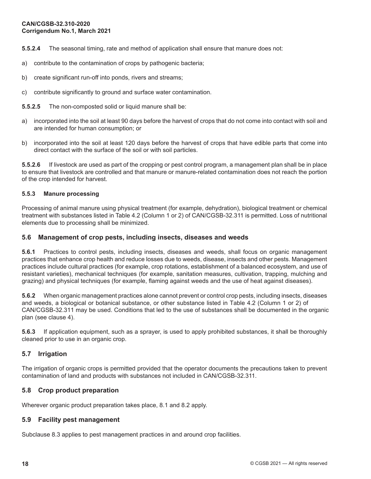<span id="page-27-0"></span>**5.5.2.4** The seasonal timing, rate and method of application shall ensure that manure does not:

- a) contribute to the contamination of crops by pathogenic bacteria;
- b) create significant run-off into ponds, rivers and streams;
- c) contribute significantly to ground and surface water contamination.

**5.5.2.5** The non-composted solid or liquid manure shall be:

- a) incorporated into the soil at least 90 days before the harvest of crops that do not come into contact with soil and are intended for human consumption; or
- b) incorporated into the soil at least 120 days before the harvest of crops that have edible parts that come into direct contact with the surface of the soil or with soil particles.

**5.5.2.6** If livestock are used as part of the cropping or pest control program, a management plan shall be in place to ensure that livestock are controlled and that manure or manure-related contamination does not reach the portion of the crop intended for harvest.

#### **5.5.3 Manure processing**

Processing of animal manure using physical treatment (for example, dehydration), biological treatment or chemical treatment with substances listed in Table 4.2 (Column 1 or 2) of CAN/CGSB-32.311 is permitted. Loss of nutritional elements due to processing shall be minimized.

#### **5.6 Management of crop pests, including insects, diseases and weeds**

**5.6.1** Practices to control pests, including insects, diseases and weeds, shall focus on organic management practices that enhance crop health and reduce losses due to weeds, disease, insects and other pests. Management practices include cultural practices (for example, crop rotations, establishment of a balanced ecosystem, and use of resistant varieties), mechanical techniques (for example, sanitation measures, cultivation, trapping, mulching and grazing) and physical techniques (for example, flaming against weeds and the use of heat against diseases).

**5.6.2** When organic management practices alone cannot prevent or control crop pests, including insects, diseases and weeds, a biological or botanical substance, or other substance listed in Table 4.2 (Column 1 or 2) of CAN/CGSB-32.311 may be used. Conditions that led to the use of substances shall be documented in the organic plan (see clause 4).

**5.6.3** If application equipment, such as a sprayer, is used to apply prohibited substances, it shall be thoroughly cleaned prior to use in an organic crop.

#### **5.7 Irrigation**

The irrigation of organic crops is permitted provided that the operator documents the precautions taken to prevent contamination of land and products with substances not included in CAN/CGSB-32.311.

## **5.8 Crop product preparation**

Wherever organic product preparation takes place, 8.1 and 8.2 apply.

#### **5.9 Facility pest management**

Subclause 8.3 applies to pest management practices in and around crop facilities.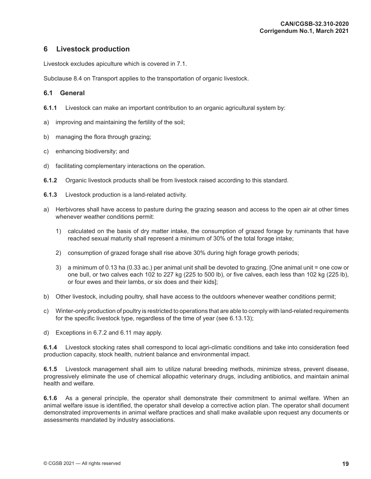## <span id="page-28-0"></span>**6 Livestock production**

Livestock excludes apiculture which is covered in 7.1.

Subclause 8.4 on Transport applies to the transportation of organic livestock.

## **6.1 General**

- **6.1.1** Livestock can make an important contribution to an organic agricultural system by:
- a) improving and maintaining the fertility of the soil;
- b) managing the flora through grazing;
- c) enhancing biodiversity; and
- d) facilitating complementary interactions on the operation.
- **6.1.2** Organic livestock products shall be from livestock raised according to this standard.
- **6.1.3** Livestock production is a land-related activity.
- a) Herbivores shall have access to pasture during the grazing season and access to the open air at other times whenever weather conditions permit:
	- 1) calculated on the basis of dry matter intake, the consumption of grazed forage by ruminants that have reached sexual maturity shall represent a minimum of 30% of the total forage intake;
	- 2) consumption of grazed forage shall rise above 30% during high forage growth periods;
	- 3) a minimum of 0.13 ha (0.33 ac.) per animal unit shall be devoted to grazing. [One animal unit = one cow or one bull, or two calves each 102 to 227 kg (225 to 500 lb), or five calves, each less than 102 kg (225 lb), or four ewes and their lambs, or six does and their kids];
- b) Other livestock, including poultry, shall have access to the outdoors whenever weather conditions permit;
- c) Winter-only production of poultry is restricted to operations that are able to comply with land-related requirements for the specific livestock type, regardless of the time of year (see 6.13.13);
- d) Exceptions in 6.7.2 and 6.11 may apply.

**6.1.4** Livestock stocking rates shall correspond to local agri-climatic conditions and take into consideration feed production capacity, stock health, nutrient balance and environmental impact.

**6.1.5** Livestock management shall aim to utilize natural breeding methods, minimize stress, prevent disease, progressively eliminate the use of chemical allopathic veterinary drugs, including antibiotics, and maintain animal health and welfare.

**6.1.6** As a general principle, the operator shall demonstrate their commitment to animal welfare. When an animal welfare issue is identified, the operator shall develop a corrective action plan. The operator shall document demonstrated improvements in animal welfare practices and shall make available upon request any documents or assessments mandated by industry associations.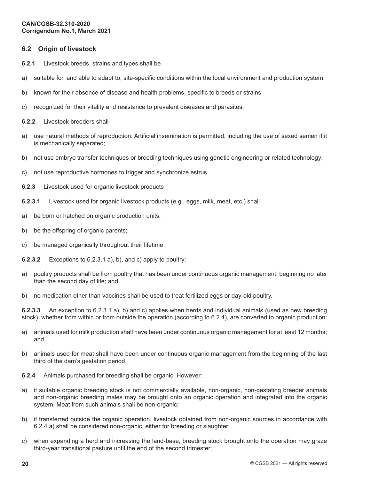## <span id="page-29-0"></span>**6.2 Origin of livestock**

- **6.2.1** Livestock breeds, strains and types shall be
- a) suitable for, and able to adapt to, site-specific conditions within the local environment and production system;
- b) known for their absence of disease and health problems, specific to breeds or strains;
- c) recognized for their vitality and resistance to prevalent diseases and parasites.
- **6.2.2** Livestock breeders shall
- a) use natural methods of reproduction. Artificial insemination is permitted, including the use of sexed semen if it is mechanically separated;
- b) not use embryo transfer techniques or breeding techniques using genetic engineering or related technology;
- c) not use reproductive hormones to trigger and synchronize estrus.
- **6.2.3** Livestock used for organic livestock products
- **6.2.3.1** Livestock used for organic livestock products (e.g., eggs, milk, meat, etc.) shall
- a) be born or hatched on organic production units;
- b) be the offspring of organic parents;
- c) be managed organically throughout their lifetime.
- **6.2.3.2** Exceptions to 6.2.3.1 a), b), and c) apply to poultry:
- a) poultry products shall be from poultry that has been under continuous organic management, beginning no later than the second day of life; and
- b) no medication other than vaccines shall be used to treat fertilized eggs or day-old poultry.

**6.2.3.3** An exception to 6.2.3.1 a), b) and c) applies when herds and individual animals (used as new breeding stock), whether from within or from outside the operation (according to 6.2.4), are converted to organic production:

- a) animals used for milk production shall have been under continuous organic management for at least 12 months; and
- b) animals used for meat shall have been under continuous organic management from the beginning of the last third of the dam's gestation period.
- **6.2.4** Animals purchased for breeding shall be organic. However:
- a) if suitable organic breeding stock is not commercially available, non-organic, non-gestating breeder animals and non-organic breeding males may be brought onto an organic operation and integrated into the organic system. Meat from such animals shall be non-organic;
- b) if transferred outside the organic operation, livestock obtained from non-organic sources in accordance with 6.2.4 a) shall be considered non-organic, either for breeding or slaughter;
- c) when expanding a herd and increasing the land-base, breeding stock brought onto the operation may graze third-year transitional pasture until the end of the second trimester;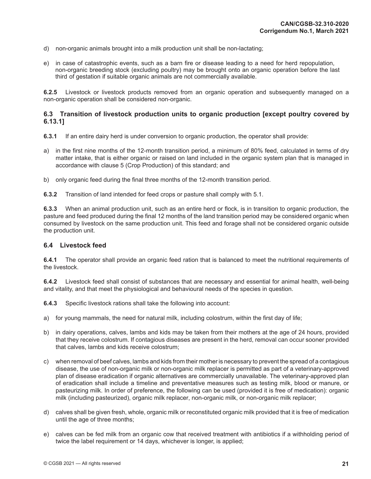- <span id="page-30-0"></span>d) non-organic animals brought into a milk production unit shall be non-lactating;
- e) in case of catastrophic events, such as a barn fire or disease leading to a need for herd repopulation, non-organic breeding stock (excluding poultry) may be brought onto an organic operation before the last third of gestation if suitable organic animals are not commercially available.

**6.2.5** Livestock or livestock products removed from an organic operation and subsequently managed on a non-organic operation shall be considered non-organic.

## **6.3 Transition of livestock production units to organic production [except poultry covered by 6.13.1]**

- **6.3.1** If an entire dairy herd is under conversion to organic production, the operator shall provide:
- a) in the first nine months of the 12-month transition period, a minimum of 80% feed, calculated in terms of dry matter intake, that is either organic or raised on land included in the organic system plan that is managed in accordance with clause 5 (Crop Production) of this standard; and
- b) only organic feed during the final three months of the 12-month transition period.

**6.3.2** Transition of land intended for feed crops or pasture shall comply with 5.1.

**6.3.3** When an animal production unit, such as an entire herd or flock, is in transition to organic production, the pasture and feed produced during the final 12 months of the land transition period may be considered organic when consumed by livestock on the same production unit. This feed and forage shall not be considered organic outside the production unit.

#### **6.4 Livestock feed**

**6.4.1** The operator shall provide an organic feed ration that is balanced to meet the nutritional requirements of the livestock.

**6.4.2** Livestock feed shall consist of substances that are necessary and essential for animal health, well-being and vitality, and that meet the physiological and behavioural needs of the species in question.

**6.4.3** Specific livestock rations shall take the following into account:

- a) for young mammals, the need for natural milk, including colostrum, within the first day of life;
- b) in dairy operations, calves, lambs and kids may be taken from their mothers at the age of 24 hours, provided that they receive colostrum. If contagious diseases are present in the herd, removal can occur sooner provided that calves, lambs and kids receive colostrum;
- c) when removal of beef calves, lambs and kids from their mother is necessary to prevent the spread of a contagious disease, the use of non-organic milk or non-organic milk replacer is permitted as part of a veterinary-approved plan of disease eradication if organic alternatives are commercially unavailable. The veterinary-approved plan of eradication shall include a timeline and preventative measures such as testing milk, blood or manure, or pasteurizing milk. In order of preference, the following can be used (provided it is free of medication): organic milk (including pasteurized), organic milk replacer, non-organic milk, or non-organic milk replacer;
- d) calves shall be given fresh, whole, organic milk or reconstituted organic milk provided that it is free of medication until the age of three months;
- e) calves can be fed milk from an organic cow that received treatment with antibiotics if a withholding period of twice the label requirement or 14 days, whichever is longer, is applied;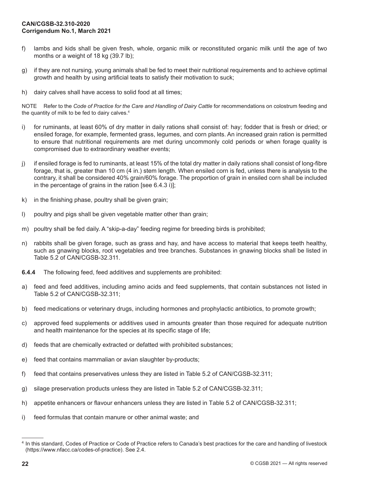- f) lambs and kids shall be given fresh, whole, organic milk or reconstituted organic milk until the age of two months or a weight of 18 kg (39.7 lb);
- g) if they are not nursing, young animals shall be fed to meet their nutritional requirements and to achieve optimal growth and health by using artificial teats to satisfy their motivation to suck;
- h) dairy calves shall have access to solid food at all times;

NOTE Refer to the *Code of Practice for the Care and Handling of Dairy Cattle* for recommendations on colostrum feeding and the quantity of milk to be fed to dairy calves.<sup>4</sup>

- i) for ruminants, at least 60% of dry matter in daily rations shall consist of: hay; fodder that is fresh or dried; or ensiled forage, for example, fermented grass, legumes, and corn plants. An increased grain ration is permitted to ensure that nutritional requirements are met during uncommonly cold periods or when forage quality is compromised due to extraordinary weather events;
- j) if ensiled forage is fed to ruminants, at least 15% of the total dry matter in daily rations shall consist of long-fibre forage, that is, greater than 10 cm (4 in.) stem length. When ensiled corn is fed, unless there is analysis to the contrary, it shall be considered 40% grain/60% forage. The proportion of grain in ensiled corn shall be included in the percentage of grains in the ration [see 6.4.3 i)];
- k) in the finishing phase, poultry shall be given grain;
- l) poultry and pigs shall be given vegetable matter other than grain;
- m) poultry shall be fed daily. A "skip-a-day" feeding regime for breeding birds is prohibited;
- n) rabbits shall be given forage, such as grass and hay, and have access to material that keeps teeth healthy, such as gnawing blocks, root vegetables and tree branches. Substances in gnawing blocks shall be listed in Table 5.2 of CAN/CGSB-32.311.
- **6.4.4** The following feed, feed additives and supplements are prohibited:
- a) feed and feed additives, including amino acids and feed supplements, that contain substances not listed in Table 5.2 of CAN/CGSB-32.311;
- b) feed medications or veterinary drugs, including hormones and prophylactic antibiotics, to promote growth;
- c) approved feed supplements or additives used in amounts greater than those required for adequate nutrition and health maintenance for the species at its specific stage of life;
- d) feeds that are chemically extracted or defatted with prohibited substances;
- e) feed that contains mammalian or avian slaughter by-products;
- f) feed that contains preservatives unless they are listed in Table 5.2 of CAN/CGSB-32.311;
- g) silage preservation products unless they are listed in Table 5.2 of CAN/CGSB-32.311;
- h) appetite enhancers or flavour enhancers unless they are listed in Table 5.2 of CAN/CGSB-32.311;
- i) feed formulas that contain manure or other animal waste; and

<sup>4</sup> In this standard, Codes of Practice or Code of Practice refers to Canada's best practices for the care and handling of livestock (https://www.nfacc.ca/codes-of-practice). See 2.4.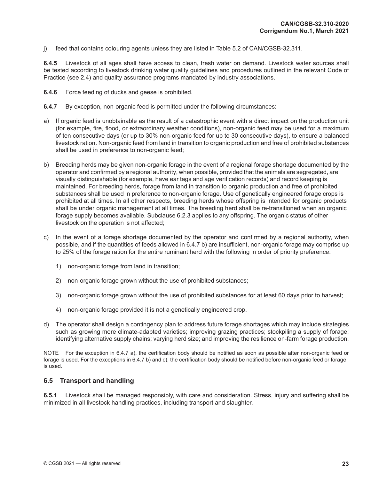<span id="page-32-0"></span>j) feed that contains colouring agents unless they are listed in Table 5.2 of CAN/CGSB-32.311.

**6.4.5** Livestock of all ages shall have access to clean, fresh water on demand. Livestock water sources shall be tested according to livestock drinking water quality guidelines and procedures outlined in the relevant Code of Practice (see 2.4) and quality assurance programs mandated by industry associations.

- **6.4.6** Force feeding of ducks and geese is prohibited.
- **6.4.7** By exception, non-organic feed is permitted under the following circumstances:
- a) If organic feed is unobtainable as the result of a catastrophic event with a direct impact on the production unit (for example, fire, flood, or extraordinary weather conditions), non-organic feed may be used for a maximum of ten consecutive days (or up to 30% non-organic feed for up to 30 consecutive days), to ensure a balanced livestock ration. Non-organic feed from land in transition to organic production and free of prohibited substances shall be used in preference to non-organic feed;
- b) Breeding herds may be given non-organic forage in the event of a regional forage shortage documented by the operator and confirmed by a regional authority, when possible, provided that the animals are segregated, are visually distinguishable (for example, have ear tags and age verification records) and record keeping is maintained. For breeding herds, forage from land in transition to organic production and free of prohibited substances shall be used in preference to non-organic forage. Use of genetically engineered forage crops is prohibited at all times. In all other respects, breeding herds whose offspring is intended for organic products shall be under organic management at all times. The breeding herd shall be re-transitioned when an organic forage supply becomes available. Subclause 6.2.3 applies to any offspring. The organic status of other livestock on the operation is not affected;
- c) In the event of a forage shortage documented by the operator and confirmed by a regional authority, when possible, and if the quantities of feeds allowed in 6.4.7 b) are insufficient, non-organic forage may comprise up to 25% of the forage ration for the entire ruminant herd with the following in order of priority preference:
	- 1) non-organic forage from land in transition;
	- 2) non-organic forage grown without the use of prohibited substances;
	- 3) non-organic forage grown without the use of prohibited substances for at least 60 days prior to harvest;
	- 4) non-organic forage provided it is not a genetically engineered crop.
- d) The operator shall design a contingency plan to address future forage shortages which may include strategies such as growing more climate-adapted varieties; improving grazing practices; stockpiling a supply of forage; identifying alternative supply chains; varying herd size; and improving the resilience on-farm forage production.

NOTE For the exception in 6.4.7 a), the certification body should be notified as soon as possible after non-organic feed or forage is used. For the exceptions in 6.4.7 b) and c), the certification body should be notified before non-organic feed or forage is used.

#### **6.5 Transport and handling**

**6.5.1** Livestock shall be managed responsibly, with care and consideration. Stress, injury and suffering shall be minimized in all livestock handling practices, including transport and slaughter.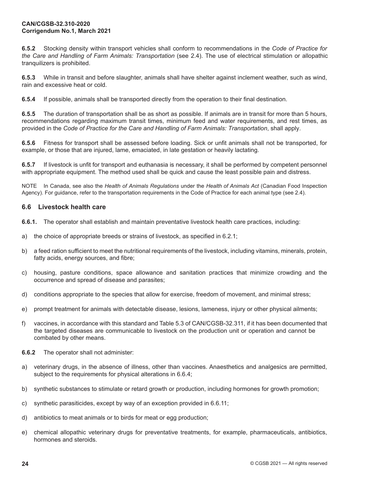<span id="page-33-0"></span>**6.5.2** Stocking density within transport vehicles shall conform to recommendations in the *Code of Practice for the Care and Handling of Farm Animals: Transportation* (see 2.4). The use of electrical stimulation or allopathic tranquilizers is prohibited.

**6.5.3** While in transit and before slaughter, animals shall have shelter against inclement weather, such as wind, rain and excessive heat or cold.

**6.5.4** If possible, animals shall be transported directly from the operation to their final destination.

**6.5.5** The duration of transportation shall be as short as possible. If animals are in transit for more than 5 hours, recommendations regarding maximum transit times, minimum feed and water requirements, and rest times, as provided in the *Code of Practice for the Care and Handling of Farm Animals: Transportation*, shall apply.

**6.5.6** Fitness for transport shall be assessed before loading. Sick or unfit animals shall not be transported, for example, or those that are injured, lame, emaciated, in late gestation or heavily lactating.

**6.5.7** If livestock is unfit for transport and euthanasia is necessary, it shall be performed by competent personnel with appropriate equipment. The method used shall be quick and cause the least possible pain and distress.

NOTE In Canada, see also the *Health of Animals Regulations* under the *Health of Animals Act* (Canadian Food Inspection Agency). For guidance, refer to the transportation requirements in the Code of Practice for each animal type (see 2.4).

#### **6.6 Livestock health care**

**6.6.1.** The operator shall establish and maintain preventative livestock health care practices, including:

- a) the choice of appropriate breeds or strains of livestock, as specified in 6.2.1;
- b) a feed ration sufficient to meet the nutritional requirements of the livestock, including vitamins, minerals, protein, fatty acids, energy sources, and fibre;
- c) housing, pasture conditions, space allowance and sanitation practices that minimize crowding and the occurrence and spread of disease and parasites;
- d) conditions appropriate to the species that allow for exercise, freedom of movement, and minimal stress;
- e) prompt treatment for animals with detectable disease, lesions, lameness, injury or other physical ailments;
- f) vaccines, in accordance with this standard and Table 5.3 of CAN/CGSB-32.311, if it has been documented that the targeted diseases are communicable to livestock on the production unit or operation and cannot be combated by other means.
- **6.6.2** The operator shall not administer:
- a) veterinary drugs, in the absence of illness, other than vaccines. Anaesthetics and analgesics are permitted, subject to the requirements for physical alterations in 6.6.4;
- b) synthetic substances to stimulate or retard growth or production, including hormones for growth promotion;
- c) synthetic parasiticides, except by way of an exception provided in 6.6.11;
- d) antibiotics to meat animals or to birds for meat or egg production;
- e) chemical allopathic veterinary drugs for preventative treatments, for example, pharmaceuticals, antibiotics, hormones and steroids.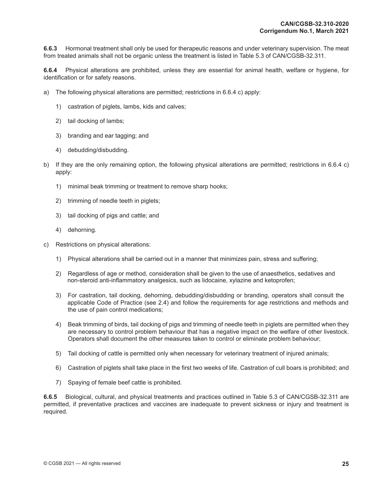**6.6.3** Hormonal treatment shall only be used for therapeutic reasons and under veterinary supervision. The meat from treated animals shall not be organic unless the treatment is listed in Table 5.3 of CAN/CGSB-32.311.

**6.6.4** Physical alterations are prohibited, unless they are essential for animal health, welfare or hygiene, for identification or for safety reasons.

- a) The following physical alterations are permitted; restrictions in 6.6.4 c) apply:
	- 1) castration of piglets, lambs, kids and calves;
	- 2) tail docking of lambs;
	- 3) branding and ear tagging; and
	- 4) debudding/disbudding.
- b) If they are the only remaining option, the following physical alterations are permitted; restrictions in 6.6.4 c) apply:
	- 1) minimal beak trimming or treatment to remove sharp hooks;
	- 2) trimming of needle teeth in piglets;
	- 3) tail docking of pigs and cattle; and
	- 4) dehorning.
- c) Restrictions on physical alterations:
	- 1) Physical alterations shall be carried out in a manner that minimizes pain, stress and suffering;
	- 2) Regardless of age or method, consideration shall be given to the use of anaesthetics, sedatives and non-steroid anti-inflammatory analgesics, such as lidocaine, xylazine and ketoprofen;
	- 3) For castration, tail docking, dehorning, debudding/disbudding or branding, operators shall consult the applicable Code of Practice (see 2.4) and follow the requirements for age restrictions and methods and the use of pain control medications;
	- 4) Beak trimming of birds, tail docking of pigs and trimming of needle teeth in piglets are permitted when they are necessary to control problem behaviour that has a negative impact on the welfare of other livestock. Operators shall document the other measures taken to control or eliminate problem behaviour;
	- 5) Tail docking of cattle is permitted only when necessary for veterinary treatment of injured animals;
	- 6) Castration of piglets shall take place in the first two weeks of life. Castration of cull boars is prohibited; and
	- 7) Spaying of female beef cattle is prohibited.

**6.6.5** Biological, cultural, and physical treatments and practices outlined in Table 5.3 of CAN/CGSB-32.311 are permitted, if preventative practices and vaccines are inadequate to prevent sickness or injury and treatment is required.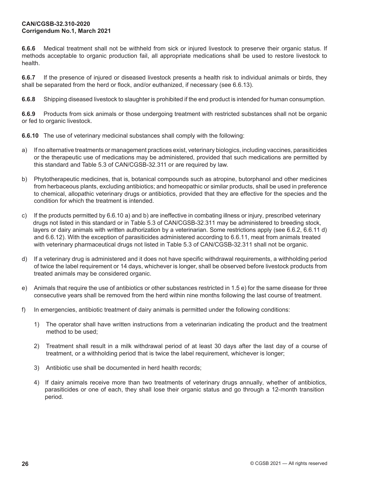**6.6.6** Medical treatment shall not be withheld from sick or injured livestock to preserve their organic status. If methods acceptable to organic production fail, all appropriate medications shall be used to restore livestock to health.

**6.6.7** If the presence of injured or diseased livestock presents a health risk to individual animals or birds, they shall be separated from the herd or flock, and/or euthanized, if necessary (see 6.6.13).

**6.6.8** Shipping diseased livestock to slaughter is prohibited if the end product is intended for human consumption.

**6.6.9** Products from sick animals or those undergoing treatment with restricted substances shall not be organic or fed to organic livestock.

**6.6.10** The use of veterinary medicinal substances shall comply with the following:

- a) If no alternative treatments or management practices exist, veterinary biologics, including vaccines, parasiticides or the therapeutic use of medications may be administered, provided that such medications are permitted by this standard and Table 5.3 of CAN/CGSB-32.311 or are required by law.
- b) Phytotherapeutic medicines, that is, botanical compounds such as atropine, butorphanol and other medicines from herbaceous plants, excluding antibiotics; and homeopathic or similar products, shall be used in preference to chemical, allopathic veterinary drugs or antibiotics, provided that they are effective for the species and the condition for which the treatment is intended.
- c) If the products permitted by 6.6.10 a) and b) are ineffective in combating illness or injury, prescribed veterinary drugs not listed in this standard or in Table 5.3 of CAN/CGSB-32.311 may be administered to breeding stock, layers or dairy animals with written authorization by a veterinarian. Some restrictions apply (see 6.6.2, 6.6.11 d) and 6.6.12). With the exception of parasiticides administered according to 6.6.11, meat from animals treated with veterinary pharmaceutical drugs not listed in Table 5.3 of CAN/CGSB-32.311 shall not be organic.
- d) If a veterinary drug is administered and it does not have specific withdrawal requirements, a withholding period of twice the label requirement or 14 days, whichever is longer, shall be observed before livestock products from treated animals may be considered organic.
- e) Animals that require the use of antibiotics or other substances restricted in 1.5 e) for the same disease for three consecutive years shall be removed from the herd within nine months following the last course of treatment.
- f) In emergencies, antibiotic treatment of dairy animals is permitted under the following conditions:
	- 1) The operator shall have written instructions from a veterinarian indicating the product and the treatment method to be used;
	- 2) Treatment shall result in a milk withdrawal period of at least 30 days after the last day of a course of treatment, or a withholding period that is twice the label requirement, whichever is longer;
	- 3) Antibiotic use shall be documented in herd health records;
	- 4) If dairy animals receive more than two treatments of veterinary drugs annually, whether of antibiotics, parasiticides or one of each, they shall lose their organic status and go through a 12-month transition period.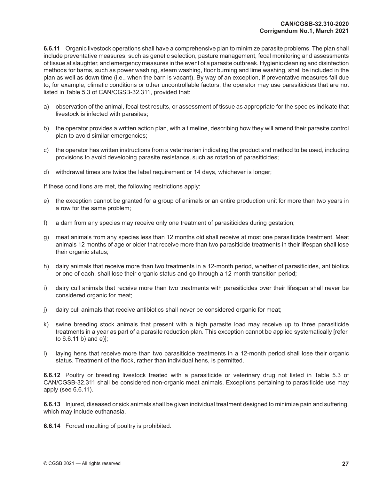**6.6.11** Organic livestock operations shall have a comprehensive plan to minimize parasite problems. The plan shall include preventative measures, such as genetic selection, pasture management, fecal monitoring and assessments of tissue at slaughter, and emergency measures in the event of a parasite outbreak. Hygienic cleaning and disinfection methods for barns, such as power washing, steam washing, floor burning and lime washing, shall be included in the plan as well as down time (i.e., when the barn is vacant). By way of an exception, if preventative measures fail due to, for example, climatic conditions or other uncontrollable factors, the operator may use parasiticides that are not listed in Table 5.3 of CAN/CGSB-32.311, provided that:

- a) observation of the animal, fecal test results, or assessment of tissue as appropriate for the species indicate that livestock is infected with parasites;
- b) the operator provides a written action plan, with a timeline, describing how they will amend their parasite control plan to avoid similar emergencies;
- c) the operator has written instructions from a veterinarian indicating the product and method to be used, including provisions to avoid developing parasite resistance**,** such as rotation of parasiticides;
- d) withdrawal times are twice the label requirement or 14 days, whichever is longer;

If these conditions are met, the following restrictions apply:

- e) the exception cannot be granted for a group of animals or an entire production unit for more than two years in a row for the same problem;
- f) a dam from any species may receive only one treatment of parasiticides during gestation;
- g) meat animals from any species less than 12 months old shall receive at most one parasiticide treatment. Meat animals 12 months of age or older that receive more than two parasiticide treatments in their lifespan shall lose their organic status;
- h) dairy animals that receive more than two treatments in a 12-month period, whether of parasiticides, antibiotics or one of each, shall lose their organic status and go through a 12-month transition period**;**
- i) dairy cull animals that receive more than two treatments with parasiticides over their lifespan shall never be considered organic for meat;
- j) dairy cull animals that receive antibiotics shall never be considered organic for meat;
- k) swine breeding stock animals that present with a high parasite load may receive up to three parasiticide treatments in a year as part of a parasite reduction plan. This exception cannot be applied systematically [refer to 6.6.11 b) and e)];
- l) laying hens that receive more than two parasiticide treatments in a 12-month period shall lose their organic status. Treatment of the flock, rather than individual hens, is permitted.

**6.6.12** Poultry or breeding livestock treated with a parasiticide or veterinary drug not listed in Table 5.3 of CAN/CGSB-32.311 shall be considered non-organic meat animals. Exceptions pertaining to parasiticide use may apply (see 6.6.11).

**6.6.13** Injured, diseased or sick animals shall be given individual treatment designed to minimize pain and suffering, which may include euthanasia.

**6.6.14** Forced moulting of poultry is prohibited.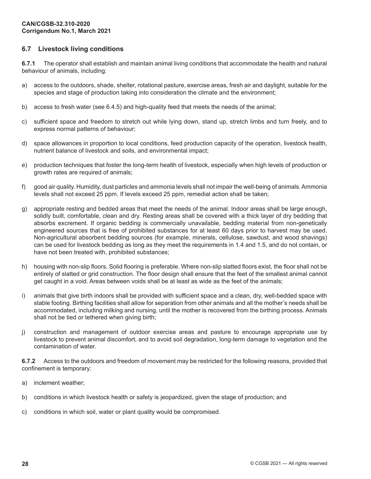# **6.7 Livestock living conditions**

**6.7.1** The operator shall establish and maintain animal living conditions that accommodate the health and natural behaviour of animals, including:

- a) access to the outdoors, shade, shelter, rotational pasture, exercise areas, fresh air and daylight, suitable for the species and stage of production taking into consideration the climate and the environment;
- b) access to fresh water (see 6.4.5) and high-quality feed that meets the needs of the animal;
- c) sufficient space and freedom to stretch out while lying down, stand up, stretch limbs and turn freely, and to express normal patterns of behaviour;
- d) space allowances in proportion to local conditions, feed production capacity of the operation, livestock health, nutrient balance of livestock and soils, and environmental impact;
- e) production techniques that foster the long-term health of livestock, especially when high levels of production or growth rates are required of animals;
- f) good air quality. Humidity, dust particles and ammonia levels shall not impair the well-being of animals. Ammonia levels shall not exceed 25 ppm. If levels exceed 25 ppm, remedial action shall be taken;
- g) appropriate resting and bedded areas that meet the needs of the animal. Indoor areas shall be large enough, solidly built, comfortable, clean and dry. Resting areas shall be covered with a thick layer of dry bedding that absorbs excrement. If organic bedding is commercially unavailable, bedding material from non-genetically engineered sources that is free of prohibited substances for at least 60 days prior to harvest may be used. Non-agricultural absorbent bedding sources (for example, minerals, cellulose, sawdust, and wood shavings) can be used for livestock bedding as long as they meet the requirements in 1.4 and 1.5, and do not contain, or have not been treated with, prohibited substances;
- h) housing with non-slip floors. Solid flooring is preferable. Where non-slip slatted floors exist, the floor shall not be entirely of slatted or grid construction. The floor design shall ensure that the feet of the smallest animal cannot get caught in a void. Areas between voids shall be at least as wide as the feet of the animals;
- i) animals that give birth indoors shall be provided with sufficient space and a clean, dry, well-bedded space with stable footing. Birthing facilities shall allow for separation from other animals and all the mother's needs shall be accommodated, including milking and nursing, until the mother is recovered from the birthing process. Animals shall not be tied or tethered when giving birth;
- j) construction and management of outdoor exercise areas and pasture to encourage appropriate use by livestock to prevent animal discomfort, and to avoid soil degradation, long-term damage to vegetation and the contamination of water.

**6.7.2** Access to the outdoors and freedom of movement may be restricted for the following reasons, provided that confinement is temporary:

- a) inclement weather;
- b) conditions in which livestock health or safety is jeopardized, given the stage of production; and
- c) conditions in which soil, water or plant quality would be compromised.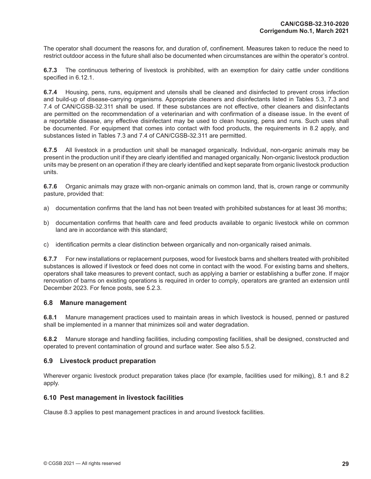The operator shall document the reasons for, and duration of, confinement. Measures taken to reduce the need to restrict outdoor access in the future shall also be documented when circumstances are within the operator's control.

**6.7.3** The continuous tethering of livestock is prohibited, with an exemption for dairy cattle under conditions specified in 6.12.1.

**6.7.4** Housing, pens, runs, equipment and utensils shall be cleaned and disinfected to prevent cross infection and build-up of disease-carrying organisms. Appropriate cleaners and disinfectants listed in Tables 5.3, 7.3 and 7.4 of CAN/CGSB-32.311 shall be used. If these substances are not effective, other cleaners and disinfectants are permitted on the recommendation of a veterinarian and with confirmation of a disease issue. In the event of a reportable disease, any effective disinfectant may be used to clean housing, pens and runs. Such uses shall be documented. For equipment that comes into contact with food products, the requirements in 8.2 apply, and substances listed in Tables 7.3 and 7.4 of CAN/CGSB-32.311 are permitted.

**6.7.5** All livestock in a production unit shall be managed organically. Individual, non-organic animals may be present in the production unit if they are clearly identified and managed organically. Non-organic livestock production units may be present on an operation if they are clearly identified and kept separate from organic livestock production units.

**6.7.6** Organic animals may graze with non-organic animals on common land, that is, crown range or community pasture, provided that:

- a) documentation confirms that the land has not been treated with prohibited substances for at least 36 months;
- b) documentation confirms that health care and feed products available to organic livestock while on common land are in accordance with this standard;
- c) identification permits a clear distinction between organically and non-organically raised animals.

**6.7.7** For new installations or replacement purposes, wood for livestock barns and shelters treated with prohibited substances is allowed if livestock or feed does not come in contact with the wood. For existing barns and shelters, operators shall take measures to prevent contact, such as applying a barrier or establishing a buffer zone. If major renovation of barns on existing operations is required in order to comply, operators are granted an extension until December 2023. For fence posts, see 5.2.3.

#### **6.8 Manure management**

**6.8.1** Manure management practices used to maintain areas in which livestock is housed, penned or pastured shall be implemented in a manner that minimizes soil and water degradation.

**6.8.2** Manure storage and handling facilities, including composting facilities, shall be designed, constructed and operated to prevent contamination of ground and surface water. See also 5.5.2.

## **6.9 Livestock product preparation**

Wherever organic livestock product preparation takes place (for example, facilities used for milking), 8.1 and 8.2 apply.

#### **6.10 Pest management in livestock facilities**

Clause 8.3 applies to pest management practices in and around livestock facilities.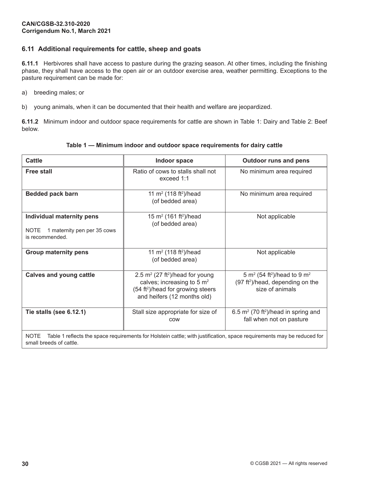# **6.11 Additional requirements for cattle, sheep and goats**

**6.11.1** Herbivores shall have access to pasture during the grazing season. At other times, including the finishing phase, they shall have access to the open air or an outdoor exercise area, weather permitting. Exceptions to the pasture requirement can be made for:

a) breeding males; or

b) young animals, when it can be documented that their health and welfare are jeopardized.

**6.11.2** Minimum indoor and outdoor space requirements for cattle are shown in Table 1: Dairy and Table 2: Beef below.

| <b>Cattle</b>                                                                                                                                                    | Indoor space                                                                                                                                                             | <b>Outdoor runs and pens</b>                                                                                                       |  |
|------------------------------------------------------------------------------------------------------------------------------------------------------------------|--------------------------------------------------------------------------------------------------------------------------------------------------------------------------|------------------------------------------------------------------------------------------------------------------------------------|--|
| <b>Free stall</b>                                                                                                                                                | Ratio of cows to stalls shall not<br>exceed 1:1                                                                                                                          | No minimum area required                                                                                                           |  |
| <b>Bedded pack barn</b>                                                                                                                                          | 11 m <sup>2</sup> (118 ft <sup>2</sup> )/head<br>(of bedded area)                                                                                                        | No minimum area required                                                                                                           |  |
| Individual maternity pens<br>1 maternity pen per 35 cows<br><b>NOTE</b><br>is recommended.                                                                       | 15 m <sup>2</sup> (161 ft <sup>2</sup> )/head<br>(of bedded area)                                                                                                        | Not applicable                                                                                                                     |  |
| <b>Group maternity pens</b>                                                                                                                                      | 11 m <sup>2</sup> (118 ft <sup>2</sup> )/head<br>(of bedded area)                                                                                                        | Not applicable                                                                                                                     |  |
| <b>Calves and young cattle</b>                                                                                                                                   | 2.5 $m^2$ (27 ft <sup>2</sup> )/head for young<br>calves; increasing to 5 m <sup>2</sup><br>(54 ft <sup>2</sup> )/head for growing steers<br>and heifers (12 months old) | 5 m <sup>2</sup> (54 ft <sup>2</sup> )/head to 9 m <sup>2</sup><br>(97 ft <sup>2</sup> )/head, depending on the<br>size of animals |  |
| Tie stalls (see 6.12.1)                                                                                                                                          | Stall size appropriate for size of<br>COW                                                                                                                                | 6.5 $m^2$ (70 ft <sup>2</sup> )/head in spring and<br>fall when not on pasture                                                     |  |
| <b>NOTE</b><br>Table 1 reflects the space requirements for Holstein cattle; with justification, space requirements may be reduced for<br>small breeds of cattle. |                                                                                                                                                                          |                                                                                                                                    |  |

## **Table 1 — Minimum indoor and outdoor space requirements for dairy cattle**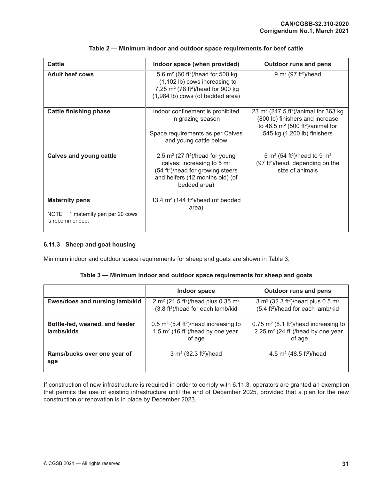| <b>Cattle</b>                                                                          | Indoor space (when provided)                                                                                                                                                       | <b>Outdoor runs and pens</b>                                                                                                                                                     |
|----------------------------------------------------------------------------------------|------------------------------------------------------------------------------------------------------------------------------------------------------------------------------------|----------------------------------------------------------------------------------------------------------------------------------------------------------------------------------|
| <b>Adult beef cows</b>                                                                 | 5.6 $m^2$ (60 ft <sup>2</sup> )/head for 500 kg<br>(1,102 lb) cows increasing to<br>7.25 m <sup>2</sup> (78 ft <sup>2</sup> )/head for 900 kg<br>(1,984 lb) cows (of bedded area)  | 9 m <sup>2</sup> (97 ft <sup>2</sup> )/head                                                                                                                                      |
| <b>Cattle finishing phase</b>                                                          | Indoor confinement is prohibited<br>in grazing season<br>Space requirements as per Calves<br>and young cattle below                                                                | 23 m <sup>2</sup> (247.5 ft <sup>2</sup> )/animal for 363 kg<br>(800 lb) finishers and increase<br>to 46.5 $m2$ (500 ft <sup>2</sup> )/animal for<br>545 kg (1,200 lb) finishers |
| <b>Calves and young cattle</b>                                                         | 2.5 $m^2$ (27 ft <sup>2</sup> )/head for young<br>calves; increasing to 5 $m2$<br>(54 ft <sup>2</sup> )/head for growing steers<br>and heifers (12 months old) (of<br>bedded area) | 5 m <sup>2</sup> (54 ft <sup>2</sup> )/head to 9 m <sup>2</sup><br>(97 ft <sup>2</sup> )/head, depending on the<br>size of animals                                               |
| <b>Maternity pens</b><br>1 maternity pen per 20 cows<br><b>NOTE</b><br>is recommended. | 13.4 $m2$ (144 ft <sup>2</sup> )/head (of bedded<br>area)                                                                                                                          |                                                                                                                                                                                  |

## **Table 2 — Minimum indoor and outdoor space requirements for beef cattle**

## **6.11.3 Sheep and goat housing**

Minimum indoor and outdoor space requirements for sheep and goats are shown in Table 3.

#### **Table 3 — Minimum indoor and outdoor space requirements for sheep and goats**

|                                              | Indoor space                                                                                                            | <b>Outdoor runs and pens</b>                                                                                                   |
|----------------------------------------------|-------------------------------------------------------------------------------------------------------------------------|--------------------------------------------------------------------------------------------------------------------------------|
| Ewes/does and nursing lamb/kid               | 2 m <sup>2</sup> (21.5 ft <sup>2</sup> )/head plus 0.35 m <sup>2</sup><br>(3.8 ft <sup>2</sup> )/head for each lamb/kid | 3 m <sup>2</sup> (32.3 ft <sup>2</sup> )/head plus 0.5 m <sup>2</sup><br>(5.4 ft <sup>2</sup> )/head for each lamb/kid         |
| Bottle-fed, weaned, and feeder<br>lambs/kids | 0.5 $m^2$ (5.4 ft <sup>2</sup> )/head increasing to<br>1.5 $m^2$ (16 ft <sup>2</sup> )/head by one year<br>of age       | $0.75$ m <sup>2</sup> (8.1 ft <sup>2</sup> )/head increasing to<br>2.25 $m^2$ (24 ft <sup>2</sup> )/head by one year<br>of age |
| Rams/bucks over one year of<br>age           | 3 m <sup>2</sup> (32.3 ft <sup>2</sup> )/head                                                                           | 4.5 $m^2$ (48.5 ft <sup>2</sup> )/head                                                                                         |

If construction of new infrastructure is required in order to comply with 6.11.3, operators are granted an exemption that permits the use of existing infrastructure until the end of December 2025, provided that a plan for the new construction or renovation is in place by December 2023.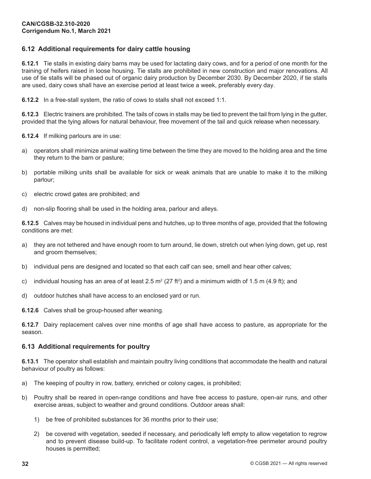# **6.12 Additional requirements for dairy cattle housing**

**6.12.1** Tie stalls in existing dairy barns may be used for lactating dairy cows, and for a period of one month for the training of heifers raised in loose housing. Tie stalls are prohibited in new construction and major renovations. All use of tie stalls will be phased out of organic dairy production by December 2030. By December 2020, if tie stalls are used, dairy cows shall have an exercise period at least twice a week, preferably every day.

**6.12.2** In a free-stall system, the ratio of cows to stalls shall not exceed 1:1.

**6.12.3** Electric trainers are prohibited. The tails of cows in stalls may be tied to prevent the tail from lying in the gutter, provided that the tying allows for natural behaviour, free movement of the tail and quick release when necessary.

**6.12.4** If milking parlours are in use:

- a) operators shall minimize animal waiting time between the time they are moved to the holding area and the time they return to the barn or pasture;
- b) portable milking units shall be available for sick or weak animals that are unable to make it to the milking parlour;
- c) electric crowd gates are prohibited; and
- d) non-slip flooring shall be used in the holding area, parlour and alleys.

**6.12.5** Calves may be housed in individual pens and hutches, up to three months of age, provided that the following conditions are met:

- a) they are not tethered and have enough room to turn around, lie down, stretch out when lying down, get up, rest and groom themselves;
- b) individual pens are designed and located so that each calf can see, smell and hear other calves;
- c) individual housing has an area of at least 2.5 m² (27 ft²) and a minimum width of 1.5 m (4.9 ft); and
- d) outdoor hutches shall have access to an enclosed yard or run.

**6.12.6** Calves shall be group-housed after weaning.

**6.12.7** Dairy replacement calves over nine months of age shall have access to pasture, as appropriate for the season.

## **6.13 Additional requirements for poultry**

**6.13.1** The operator shall establish and maintain poultry living conditions that accommodate the health and natural behaviour of poultry as follows:

- a) The keeping of poultry in row, battery, enriched or colony cages, is prohibited;
- b) Poultry shall be reared in open-range conditions and have free access to pasture, open-air runs, and other exercise areas, subject to weather and ground conditions. Outdoor areas shall:
	- 1) be free of prohibited substances for 36 months prior to their use;
	- 2) be covered with vegetation, seeded if necessary, and periodically left empty to allow vegetation to regrow and to prevent disease build-up. To facilitate rodent control, a vegetation-free perimeter around poultry houses is permitted;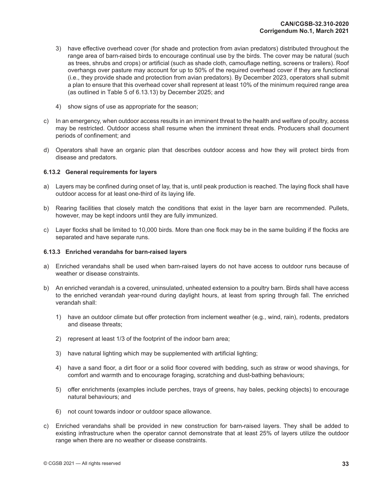- 3) have effective overhead cover (for shade and protection from avian predators) distributed throughout the range area of barn-raised birds to encourage continual use by the birds. The cover may be natural (such as trees, shrubs and crops) or artificial (such as shade cloth, camouflage netting, screens or trailers). Roof overhangs over pasture may account for up to 50% of the required overhead cover if they are functional (i.e., they provide shade and protection from avian predators). By December 2023, operators shall submit a plan to ensure that this overhead cover shall represent at least 10% of the minimum required range area (as outlined in Table 5 of 6.13.13) by December 2025; and
- 4) show signs of use as appropriate for the season;
- c) In an emergency, when outdoor access results in an imminent threat to the health and welfare of poultry, access may be restricted. Outdoor access shall resume when the imminent threat ends. Producers shall document periods of confinement; and
- d) Operators shall have an organic plan that describes outdoor access and how they will protect birds from disease and predators.

#### **6.13.2 General requirements for layers**

- a) Layers may be confined during onset of lay, that is, until peak production is reached. The laying flock shall have outdoor access for at least one-third of its laying life.
- b) Rearing facilities that closely match the conditions that exist in the layer barn are recommended. Pullets, however, may be kept indoors until they are fully immunized.
- c) Layer flocks shall be limited to 10,000 birds. More than one flock may be in the same building if the flocks are separated and have separate runs.

#### **6.13.3 Enriched verandahs for barn-raised layers**

- a) Enriched verandahs shall be used when barn-raised layers do not have access to outdoor runs because of weather or disease constraints.
- b) An enriched verandah is a covered, uninsulated, unheated extension to a poultry barn. Birds shall have access to the enriched verandah year-round during daylight hours, at least from spring through fall. The enriched verandah shall:
	- 1) have an outdoor climate but offer protection from inclement weather (e.g., wind, rain), rodents, predators and disease threats;
	- 2) represent at least 1/3 of the footprint of the indoor barn area;
	- 3) have natural lighting which may be supplemented with artificial lighting;
	- 4) have a sand floor, a dirt floor or a solid floor covered with bedding, such as straw or wood shavings, for comfort and warmth and to encourage foraging, scratching and dust-bathing behaviours;
	- 5) offer enrichments (examples include perches, trays of greens, hay bales, pecking objects) to encourage natural behaviours; and
	- 6) not count towards indoor or outdoor space allowance.
- c) Enriched verandahs shall be provided in new construction for barn-raised layers. They shall be added to existing infrastructure when the operator cannot demonstrate that at least 25% of layers utilize the outdoor range when there are no weather or disease constraints.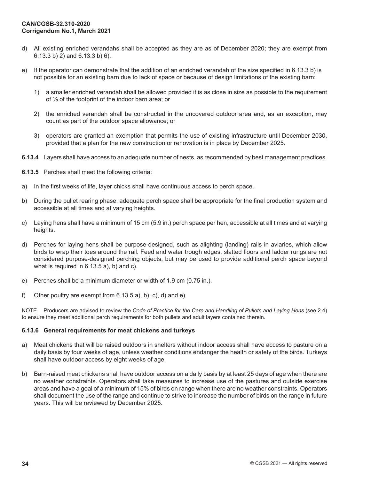- d) All existing enriched verandahs shall be accepted as they are as of December 2020; they are exempt from 6.13.3 b) 2) and 6.13.3 b) 6).
- e) If the operator can demonstrate that the addition of an enriched verandah of the size specified in 6.13.3 b) is not possible for an existing barn due to lack of space or because of design limitations of the existing barn:
	- 1) a smaller enriched verandah shall be allowed provided it is as close in size as possible to the requirement of ⅓ of the footprint of the indoor barn area; or
	- 2) the enriched verandah shall be constructed in the uncovered outdoor area and, as an exception, may count as part of the outdoor space allowance; or
	- 3) operators are granted an exemption that permits the use of existing infrastructure until December 2030, provided that a plan for the new construction or renovation is in place by December 2025.
- **6.13.4** Layers shall have access to an adequate number of nests, as recommended by best management practices.
- **6.13.5** Perches shall meet the following criteria:
- a) In the first weeks of life, layer chicks shall have continuous access to perch space.
- b) During the pullet rearing phase, adequate perch space shall be appropriate for the final production system and accessible at all times and at varying heights.
- c) Laying hens shall have a minimum of 15 cm (5.9 in.) perch space per hen, accessible at all times and at varying heights.
- d) Perches for laying hens shall be purpose-designed, such as alighting (landing) rails in aviaries, which allow birds to wrap their toes around the rail. Feed and water trough edges, slatted floors and ladder rungs are not considered purpose-designed perching objects, but may be used to provide additional perch space beyond what is required in 6.13.5 a), b) and c).
- e) Perches shall be a minimum diameter or width of 1.9 cm (0.75 in.).
- f) Other poultry are exempt from 6.13.5 a), b), c), d) and e).

NOTE Producers are advised to review the *Code of Practice for the Care and Handling of Pullets and Laying Hens* (see 2.4) to ensure they meet additional perch requirements for both pullets and adult layers contained therein.

#### **6.13.6 General requirements for meat chickens and turkeys**

- a) Meat chickens that will be raised outdoors in shelters without indoor access shall have access to pasture on a daily basis by four weeks of age, unless weather conditions endanger the health or safety of the birds. Turkeys shall have outdoor access by eight weeks of age.
- b) Barn-raised meat chickens shall have outdoor access on a daily basis by at least 25 days of age when there are no weather constraints. Operators shall take measures to increase use of the pastures and outside exercise areas and have a goal of a minimum of 15% of birds on range when there are no weather constraints. Operators shall document the use of the range and continue to strive to increase the number of birds on the range in future years. This will be reviewed by December 2025.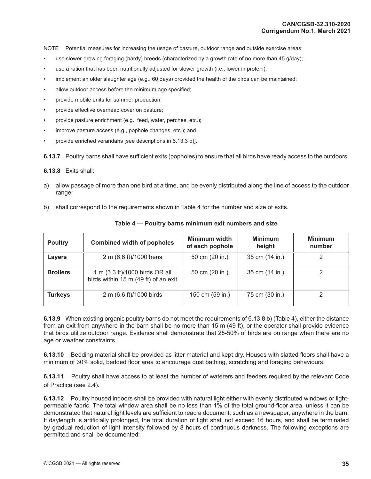NOTE Potential measures for increasing the usage of pasture, outdoor range and outside exercise areas:

- use slower-growing foraging (hardy) breeds (characterized by a growth rate of no more than 45 g/day);
- use a ration that has been nutritionally adjusted for slower growth (i.e., lower in protein);
- implement an older slaughter age (e.g., 60 days) provided the health of the birds can be maintained;
- allow outdoor access before the minimum age specified;
- provide mobile units for summer production;
- provide effective overhead cover on pasture;
- provide pasture enrichment (e.g., feed, water, perches, etc.);
- improve pasture access (e.g., pophole changes, etc.); and
- provide enriched verandahs [see descriptions in 6.13.3 b)].

**6.13.7** Poultry barns shall have sufficient exits (popholes) to ensure that all birds have ready access to the outdoors.

**6.13.8** Exits shall:

- a) allow passage of more than one bird at a time, and be evenly distributed along the line of access to the outdoor range;
- b) shall correspond to the requirements shown in Table 4 for the number and size of exits.

| <b>Poultry</b>  | <b>Combined width of popholes</b>                                      | Minimum width<br>of each pophole | <b>Minimum</b><br>height | <b>Minimum</b><br>number |
|-----------------|------------------------------------------------------------------------|----------------------------------|--------------------------|--------------------------|
| Layers          | 2 m (6.6 ft)/1000 hens                                                 | 50 cm (20 in.)                   | 35 cm (14 in.)           |                          |
| <b>Broilers</b> | 1 m (3.3 ft)/1000 birds OR all<br>birds within 15 m (49 ft) of an exit | 50 cm (20 in.)                   | 35 cm (14 in.)           |                          |
| <b>Turkeys</b>  | 2 m (6.6 ft)/1000 birds                                                | 150 cm (59 in.)                  | 75 cm (30 in.)           |                          |

#### **Table 4 — Poultry barns minimum exit numbers and size**

**6.13.9** When existing organic poultry barns do not meet the requirements of 6.13.8 b) (Table 4), either the distance from an exit from anywhere in the barn shall be no more than 15 m (49 ft), or the operator shall provide evidence that birds utilize outdoor range. Evidence shall demonstrate that 25-50% of birds are on range when there are no age or weather constraints.

**6.13.10** Bedding material shall be provided as litter material and kept dry. Houses with slatted floors shall have a minimum of 30% solid, bedded floor area to encourage dust bathing, scratching and foraging behaviours.

**6.13.11** Poultry shall have access to at least the number of waterers and feeders required by the relevant Code of Practice (see 2.4).

**6.13.12** Poultry housed indoors shall be provided with natural light either with evenly distributed windows or lightpermeable fabric. The total window area shall be no less than 1% of the total ground-floor area, unless it can be demonstrated that natural light levels are sufficient to read a document, such as a newspaper, anywhere in the barn. If daylength is artificially prolonged, the total duration of light shall not exceed 16 hours, and shall be terminated by gradual reduction of light intensity followed by 8 hours of continuous darkness. The following exceptions are permitted and shall be documented: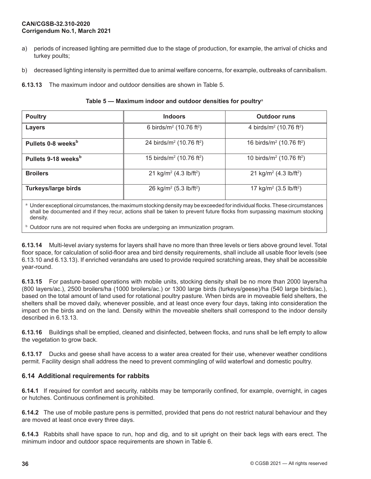- a) periods of increased lighting are permitted due to the stage of production, for example, the arrival of chicks and turkey poults;
- b) decreased lighting intensity is permitted due to animal welfare concerns, for example, outbreaks of cannibalism.

**6.13.13** The maximum indoor and outdoor densities are shown in Table 5.

| Table 5 – Maximum indoor and outdoor densities for poultry <sup>a</sup> |  |  |  |
|-------------------------------------------------------------------------|--|--|--|
|-------------------------------------------------------------------------|--|--|--|

| <b>Poultry</b>                  | <b>Indoors</b>                                 | <b>Outdoor runs</b>                            |
|---------------------------------|------------------------------------------------|------------------------------------------------|
| <b>Layers</b>                   | 6 birds/ $m^2$ (10.76 ft <sup>2</sup> )        | 4 birds/ $m^2$ (10.76 ft <sup>2</sup> )        |
| Pullets 0-8 weeks <sup>b</sup>  | 24 birds/ $m^2$ (10.76 ft <sup>2</sup> )       | 16 birds/ $m^2$ (10.76 ft <sup>2</sup> )       |
| Pullets 9-18 weeks <sup>b</sup> | 15 birds/ $m^2$ (10.76 ft <sup>2</sup> )       | 10 birds/ $m^2$ (10.76 ft <sup>2</sup> )       |
| <b>Broilers</b>                 | 21 kg/m <sup>2</sup> (4.3 lb/ft <sup>2</sup> ) | 21 kg/m <sup>2</sup> (4.3 lb/ft <sup>2</sup> ) |
| <b>Turkeys/large birds</b>      | 26 kg/m <sup>2</sup> (5.3 lb/ft <sup>2</sup> ) | 17 kg/m <sup>2</sup> (3.5 lb/ft <sup>2</sup> ) |

a Under exceptional circumstances, the maximum stocking density may be exceeded for individual flocks. These circumstances shall be documented and if they recur, actions shall be taken to prevent future flocks from surpassing maximum stocking density.

 $b$  Outdoor runs are not required when flocks are undergoing an immunization program.

**6.13.14** Multi-level aviary systems for layers shall have no more than three levels or tiers above ground level. Total floor space, for calculation of solid-floor area and bird density requirements, shall include all usable floor levels (see 6.13.10 and 6.13.13). If enriched verandahs are used to provide required scratching areas, they shall be accessible year-round.

**6.13.15** For pasture-based operations with mobile units, stocking density shall be no more than 2000 layers/ha (800 layers/ac.), 2500 broilers/ha (1000 broilers/ac.) or 1300 large birds (turkeys/geese)/ha (540 large birds/ac.), based on the total amount of land used for rotational poultry pasture. When birds are in moveable field shelters, the shelters shall be moved daily, whenever possible, and at least once every four days, taking into consideration the impact on the birds and on the land. Density within the moveable shelters shall correspond to the indoor density described in 6.13.13.

**6.13.16** Buildings shall be emptied, cleaned and disinfected, between flocks, and runs shall be left empty to allow the vegetation to grow back.

**6.13.17** Ducks and geese shall have access to a water area created for their use, whenever weather conditions permit. Facility design shall address the need to prevent commingling of wild waterfowl and domestic poultry.

# **6.14 Additional requirements for rabbits**

**6.14.1** If required for comfort and security, rabbits may be temporarily confined, for example, overnight, in cages or hutches. Continuous confinement is prohibited.

**6.14.2** The use of mobile pasture pens is permitted, provided that pens do not restrict natural behaviour and they are moved at least once every three days.

**6.14.3** Rabbits shall have space to run, hop and dig, and to sit upright on their back legs with ears erect. The minimum indoor and outdoor space requirements are shown in Table 6.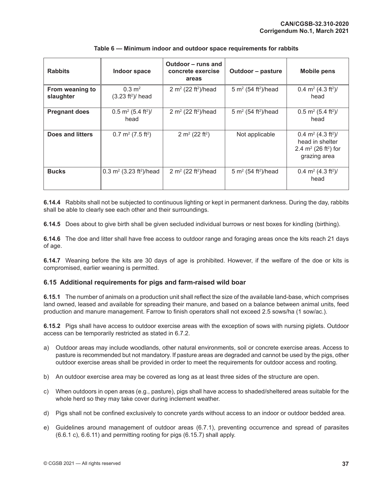| <b>Rabbits</b>               | Indoor space                                         | Outdoor – runs and<br>concrete exercise<br>areas | Outdoor - pasture                           | <b>Mobile pens</b>                                                                                                   |
|------------------------------|------------------------------------------------------|--------------------------------------------------|---------------------------------------------|----------------------------------------------------------------------------------------------------------------------|
| From weaning to<br>slaughter | $0.3 \text{ m}^2$<br>$(3.23 ft2)$ head               | 2 m <sup>2</sup> (22 ft <sup>2</sup> )/head      | 5 m <sup>2</sup> (54 ft <sup>2</sup> )/head | 0.4 m <sup>2</sup> (4.3 ft <sup>2</sup> )/<br>head                                                                   |
| <b>Pregnant does</b>         | $0.5$ m <sup>2</sup> (5.4 ft <sup>2</sup> )/<br>head | 2 m <sup>2</sup> (22 ft <sup>2</sup> )/head      | 5 m <sup>2</sup> (54 ft <sup>2</sup> )/head | $0.5$ m <sup>2</sup> (5.4 ft <sup>2</sup> )/<br>head                                                                 |
| Does and litters             | $0.7 \text{ m}^2$ (7.5 ft <sup>2</sup> )             | 2 m <sup>2</sup> (22 ft <sup>2</sup> )           | Not applicable                              | 0.4 m <sup>2</sup> (4.3 ft <sup>2</sup> )/<br>head in shelter<br>2.4 $m^2$ (26 ft <sup>2</sup> ) for<br>grazing area |
| <b>Bucks</b>                 | 0.3 m <sup>2</sup> (3.23 ft <sup>2</sup> )/head      | 2 m <sup>2</sup> (22 ft <sup>2</sup> )/head      | 5 m <sup>2</sup> (54 ft <sup>2</sup> )/head | 0.4 m <sup>2</sup> (4.3 ft <sup>2</sup> )/<br>head                                                                   |

## **Table 6 — Minimum indoor and outdoor space requirements for rabbits**

**6.14.4** Rabbits shall not be subjected to continuous lighting or kept in permanent darkness. During the day, rabbits shall be able to clearly see each other and their surroundings.

**6.14.5** Does about to give birth shall be given secluded individual burrows or nest boxes for kindling (birthing).

**6.14.6** The doe and litter shall have free access to outdoor range and foraging areas once the kits reach 21 days of age.

**6.14.7** Weaning before the kits are 30 days of age is prohibited. However, if the welfare of the doe or kits is compromised, earlier weaning is permitted.

## **6.15 Additional requirements for pigs and farm-raised wild boar**

**6.15.1** The number of animals on a production unit shall reflect the size of the available land-base, which comprises land owned, leased and available for spreading their manure, and based on a balance between animal units, feed production and manure management. Farrow to finish operators shall not exceed 2.5 sows/ha (1 sow/ac.).

**6.15.2** Pigs shall have access to outdoor exercise areas with the exception of sows with nursing piglets. Outdoor access can be temporarily restricted as stated in 6.7.2.

- a) Outdoor areas may include woodlands, other natural environments, soil or concrete exercise areas. Access to pasture is recommended but not mandatory. If pasture areas are degraded and cannot be used by the pigs, other outdoor exercise areas shall be provided in order to meet the requirements for outdoor access and rooting.
- b) An outdoor exercise area may be covered as long as at least three sides of the structure are open.
- c) When outdoors in open areas (e.g., pasture), pigs shall have access to shaded/sheltered areas suitable for the whole herd so they may take cover during inclement weather.
- d) Pigs shall not be confined exclusively to concrete yards without access to an indoor or outdoor bedded area.
- e) Guidelines around management of outdoor areas (6.7.1), preventing occurrence and spread of parasites (6.6.1 c), 6.6.11) and permitting rooting for pigs (6.15.7) shall apply.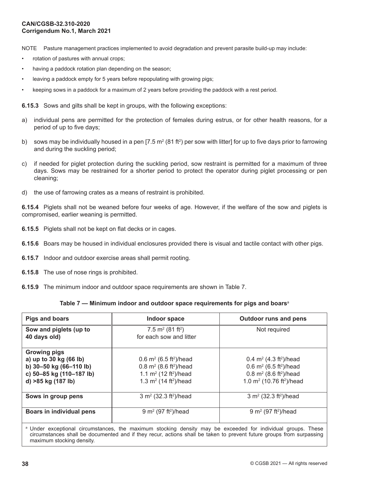NOTE Pasture management practices implemented to avoid degradation and prevent parasite build-up may include:

- rotation of pastures with annual crops;
- having a paddock rotation plan depending on the season;
- leaving a paddock empty for 5 years before repopulating with growing pigs;
- keeping sows in a paddock for a maximum of 2 years before providing the paddock with a rest period.

**6.15.3** Sows and gilts shall be kept in groups, with the following exceptions:

- a) individual pens are permitted for the protection of females during estrus, or for other health reasons, for a period of up to five days;
- b) sows may be individually housed in a pen [7.5 m<sup>2</sup> (81 ft<sup>2</sup>) per sow with litter] for up to five days prior to farrowing and during the suckling period;
- c) if needed for piglet protection during the suckling period, sow restraint is permitted for a maximum of three days. Sows may be restrained for a shorter period to protect the operator during piglet processing or pen cleaning;
- d) the use of farrowing crates as a means of restraint is prohibited.

**6.15.4** Piglets shall not be weaned before four weeks of age. However, if the welfare of the sow and piglets is compromised, earlier weaning is permitted.

- **6.15.5** Piglets shall not be kept on flat decks or in cages.
- **6.15.6** Boars may be housed in individual enclosures provided there is visual and tactile contact with other pigs.
- **6.15.7** Indoor and outdoor exercise areas shall permit rooting.
- **6.15.8** The use of nose rings is prohibited.
- **6.15.9** The minimum indoor and outdoor space requirements are shown in Table 7.

#### **Table 7 — Minimum indoor and outdoor space requirements for pigs and boars**<sup>a</sup>

| <b>Pigs and boars</b>                                                                                                      | Indoor space                                                                                                                                                   | <b>Outdoor runs and pens</b>                                                                                                                                       |
|----------------------------------------------------------------------------------------------------------------------------|----------------------------------------------------------------------------------------------------------------------------------------------------------------|--------------------------------------------------------------------------------------------------------------------------------------------------------------------|
| Sow and piglets (up to<br>40 days old)                                                                                     | 7.5 $m2$ (81 ft <sup>2</sup> )<br>for each sow and litter                                                                                                      | Not required                                                                                                                                                       |
| <b>Growing pigs</b><br>a) up to 30 kg (66 lb)<br>b) 30-50 kg (66-110 lb)<br>c) 50-85 kg (110-187 lb)<br>d) >85 kg (187 lb) | 0.6 $m^2$ (6.5 ft <sup>2</sup> )/head<br>0.8 $m^2$ (8.6 ft <sup>2</sup> )/head<br>1.1 $m^2$ (12 ft <sup>2</sup> )/head<br>1.3 $m^2$ (14 ft <sup>2</sup> )/head | 0.4 $m^2$ (4.3 ft <sup>2</sup> )/head<br>0.6 $m^2$ (6.5 ft <sup>2</sup> )/head<br>0.8 $m^2$ (8.6 ft <sup>2</sup> )/head<br>1.0 $m^2$ (10.76 ft <sup>2</sup> )/head |
| Sows in group pens                                                                                                         | 3 m <sup>2</sup> (32.3 ft <sup>2</sup> )/head                                                                                                                  | 3 $m^2$ (32.3 ft <sup>2</sup> )/head                                                                                                                               |
| Boars in individual pens                                                                                                   | 9 m <sup>2</sup> (97 ft <sup>2</sup> )/head                                                                                                                    | 9 m <sup>2</sup> (97 ft <sup>2</sup> )/head                                                                                                                        |

a Under exceptional circumstances, the maximum stocking density may be exceeded for individual groups. These circumstances shall be documented and if they recur, actions shall be taken to prevent future groups from surpassing maximum stocking density.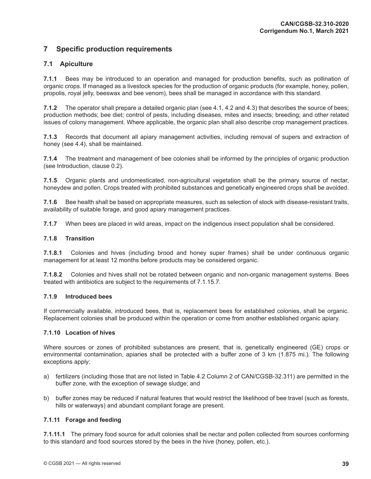# **7 Specific production requirements**

## **7.1 Apiculture**

**7.1.1** Bees may be introduced to an operation and managed for production benefits, such as pollination of organic crops. If managed as a livestock species for the production of organic products (for example, honey, pollen, propolis, royal jelly, beeswax and bee venom), bees shall be managed in accordance with this standard.

**7.1.2** The operator shall prepare a detailed organic plan (see 4.1, 4.2 and 4.3) that describes the source of bees; production methods; bee diet; control of pests, including diseases, mites and insects; breeding; and other related issues of colony management. Where applicable, the organic plan shall also describe crop management practices.

**7.1.3** Records that document all apiary management activities, including removal of supers and extraction of honey (see 4.4), shall be maintained.

**7.1.4** The treatment and management of bee colonies shall be informed by the principles of organic production (see Introduction, clause 0.2).

**7.1.5** Organic plants and undomesticated, non-agricultural vegetation shall be the primary source of nectar, honeydew and pollen. Crops treated with prohibited substances and genetically engineered crops shall be avoided.

**7.1.6** Bee health shall be based on appropriate measures, such as selection of stock with disease-resistant traits, availability of suitable forage, and good apiary management practices.

**7.1.7** When bees are placed in wild areas, impact on the indigenous insect population shall be considered.

## **7.1.8 Transition**

**7.1.8.1** Colonies and hives (including brood and honey super frames) shall be under continuous organic management for at least 12 months before products may be considered organic.

**7.1.8.2** Colonies and hives shall not be rotated between organic and non-organic management systems. Bees treated with antibiotics are subject to the requirements of 7.1.15.7.

## **7.1.9 Introduced bees**

If commercially available, introduced bees, that is, replacement bees for established colonies, shall be organic. Replacement colonies shall be produced within the operation or come from another established organic apiary.

## **7.1.10 Location of hives**

Where sources or zones of prohibited substances are present, that is, genetically engineered (GE) crops or environmental contamination, apiaries shall be protected with a buffer zone of 3 km (1.875 mi.). The following exceptions apply:

- a) fertilizers (including those that are not listed in Table 4.2 Column 2 of CAN/CGSB-32.311) are permitted in the buffer zone, with the exception of sewage sludge; and
- b) buffer zones may be reduced if natural features that would restrict the likelihood of bee travel (such as forests, hills or waterways) and abundant compliant forage are present.

#### **7.1.11 Forage and feeding**

**7.1.11.1** The primary food source for adult colonies shall be nectar and pollen collected from sources conforming to this standard and food sources stored by the bees in the hive (honey, pollen, etc.).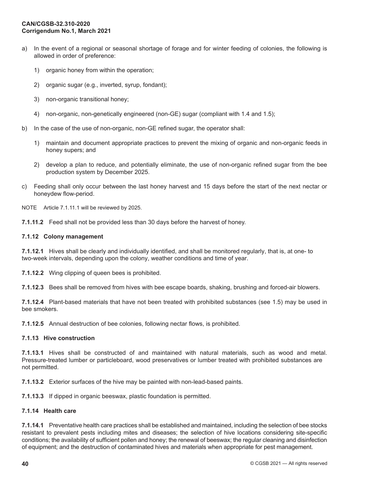- a) In the event of a regional or seasonal shortage of forage and for winter feeding of colonies, the following is allowed in order of preference:
	- 1) organic honey from within the operation;
	- 2) organic sugar (e.g., inverted, syrup, fondant);
	- 3) non-organic transitional honey;
	- 4) non-organic, non-genetically engineered (non-GE) sugar (compliant with 1.4 and 1.5);
- b) In the case of the use of non-organic, non-GE refined sugar, the operator shall:
	- 1) maintain and document appropriate practices to prevent the mixing of organic and non-organic feeds in honey supers; and
	- 2) develop a plan to reduce, and potentially eliminate, the use of non-organic refined sugar from the bee production system by December 2025.
- c) Feeding shall only occur between the last honey harvest and 15 days before the start of the next nectar or honeydew flow-period.

NOTE Article 7.1.11.1 will be reviewed by 2025.

**7.1.11.2** Feed shall not be provided less than 30 days before the harvest of honey.

#### **7.1.12 Colony management**

**7.1.12.1** Hives shall be clearly and individually identified, and shall be monitored regularly, that is, at one- to two-week intervals, depending upon the colony, weather conditions and time of year.

**7.1.12.2** Wing clipping of queen bees is prohibited.

**7.1.12.3** Bees shall be removed from hives with bee escape boards, shaking, brushing and forced-air blowers.

**7.1.12.4** Plant-based materials that have not been treated with prohibited substances (see 1.5) may be used in bee smokers.

**7.1.12.5** Annual destruction of bee colonies, following nectar flows, is prohibited.

#### **7.1.13 Hive construction**

**7.1.13.1** Hives shall be constructed of and maintained with natural materials, such as wood and metal. Pressure-treated lumber or particleboard, wood preservatives or lumber treated with prohibited substances are not permitted.

**7.1.13.2** Exterior surfaces of the hive may be painted with non-lead-based paints.

**7.1.13.3** If dipped in organic beeswax, plastic foundation is permitted.

## **7.1.14 Health care**

**7.1.14.1** Preventative health care practices shall be established and maintained, including the selection of bee stocks resistant to prevalent pests including mites and diseases; the selection of hive locations considering site-specific conditions; the availability of sufficient pollen and honey; the renewal of beeswax; the regular cleaning and disinfection of equipment; and the destruction of contaminated hives and materials when appropriate for pest management.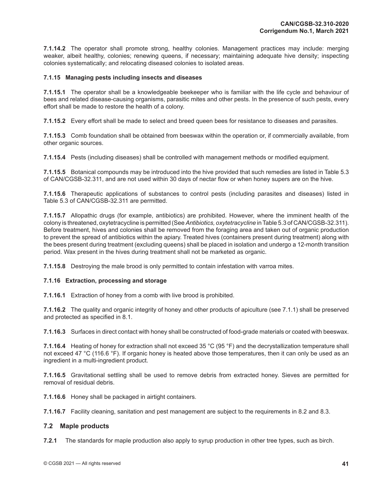**7.1.14.2** The operator shall promote strong, healthy colonies. Management practices may include: merging weaker, albeit healthy, colonies; renewing queens, if necessary; maintaining adequate hive density; inspecting colonies systematically; and relocating diseased colonies to isolated areas.

## **7.1.15 Managing pests including insects and diseases**

**7.1.15.1** The operator shall be a knowledgeable beekeeper who is familiar with the life cycle and behaviour of bees and related disease-causing organisms, parasitic mites and other pests. In the presence of such pests, every effort shall be made to restore the health of a colony.

**7.1.15.2** Every effort shall be made to select and breed queen bees for resistance to diseases and parasites.

**7.1.15.3** Comb foundation shall be obtained from beeswax within the operation or, if commercially available, from other organic sources.

**7.1.15.4** Pests (including diseases) shall be controlled with management methods or modified equipment.

**7.1.15.5** Botanical compounds may be introduced into the hive provided that such remedies are listed in Table 5.3 of CAN/CGSB-32.311, and are not used within 30 days of nectar flow or when honey supers are on the hive.

**7.1.15.6** Therapeutic applications of substances to control pests (including parasites and diseases) listed in Table 5.3 of CAN/CGSB-32.311 are permitted.

**7.1.15.7** Allopathic drugs (for example, antibiotics) are prohibited. However, where the imminent health of the colony is threatened, oxytetracycline is permitted (See *Antibiotics, oxytetracycline* in Table 5.3 of CAN/CGSB-32.311). Before treatment, hives and colonies shall be removed from the foraging area and taken out of organic production to prevent the spread of antibiotics within the apiary. Treated hives (containers present during treatment) along with the bees present during treatment (excluding queens) shall be placed in isolation and undergo a 12-month transition period. Wax present in the hives during treatment shall not be marketed as organic.

**7.1.15.8** Destroying the male brood is only permitted to contain infestation with varroa mites.

#### **7.1.16 Extraction, processing and storage**

**7.1.16.1** Extraction of honey from a comb with live brood is prohibited.

**7.1.16.2** The quality and organic integrity of honey and other products of apiculture (see 7.1.1) shall be preserved and protected as specified in 8.1.

**7.1.16.3** Surfaces in direct contact with honey shall be constructed of food-grade materials or coated with beeswax.

**7.1.16.4** Heating of honey for extraction shall not exceed 35 °C (95 °F) and the decrystallization temperature shall not exceed 47 °C (116.6 °F). If organic honey is heated above those temperatures, then it can only be used as an ingredient in a multi-ingredient product.

**7.1.16.5** Gravitational settling shall be used to remove debris from extracted honey. Sieves are permitted for removal of residual debris.

**7.1.16.6** Honey shall be packaged in airtight containers.

**7.1.16.7** Facility cleaning, sanitation and pest management are subject to the requirements in 8.2 and 8.3.

## **7.2 Maple products**

**7.2.1** The standards for maple production also apply to syrup production in other tree types, such as birch.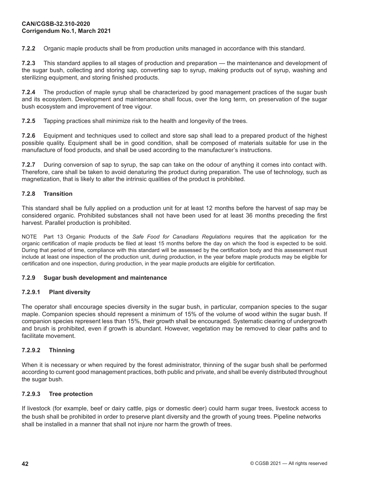**7.2.2** Organic maple products shall be from production units managed in accordance with this standard.

**7.2.3** This standard applies to all stages of production and preparation — the maintenance and development of the sugar bush, collecting and storing sap, converting sap to syrup, making products out of syrup, washing and sterilizing equipment, and storing finished products.

**7.2.4** The production of maple syrup shall be characterized by good management practices of the sugar bush and its ecosystem. Development and maintenance shall focus, over the long term, on preservation of the sugar bush ecosystem and improvement of tree vigour.

**7.2.5** Tapping practices shall minimize risk to the health and longevity of the trees.

**7.2.6** Equipment and techniques used to collect and store sap shall lead to a prepared product of the highest possible quality. Equipment shall be in good condition, shall be composed of materials suitable for use in the manufacture of food products, and shall be used according to the manufacturer's instructions.

**7.2.7** During conversion of sap to syrup, the sap can take on the odour of anything it comes into contact with. Therefore, care shall be taken to avoid denaturing the product during preparation. The use of technology, such as magnetization, that is likely to alter the intrinsic qualities of the product is prohibited.

## **7.2.8 Transition**

This standard shall be fully applied on a production unit for at least 12 months before the harvest of sap may be considered organic. Prohibited substances shall not have been used for at least 36 months preceding the first harvest. Parallel production is prohibited.

NOTE Part 13 Organic Products of the *Safe Food for Canadians Regulations* requires that the application for the organic certification of maple products be filed at least 15 months before the day on which the food is expected to be sold. During that period of time, compliance with this standard will be assessed by the certification body and this assessment must include at least one inspection of the production unit, during production, in the year before maple products may be eligible for certification and one inspection, during production, in the year maple products are eligible for certification.

#### **7.2.9 Sugar bush development and maintenance**

## **7.2.9.1 Plant diversity**

The operator shall encourage species diversity in the sugar bush, in particular, companion species to the sugar maple. Companion species should represent a minimum of 15% of the volume of wood within the sugar bush. If companion species represent less than 15%, their growth shall be encouraged. Systematic clearing of undergrowth and brush is prohibited, even if growth is abundant. However, vegetation may be removed to clear paths and to facilitate movement.

## **7.2.9.2 Thinning**

When it is necessary or when required by the forest administrator, thinning of the sugar bush shall be performed according to current good management practices, both public and private, and shall be evenly distributed throughout the sugar bush.

#### **7.2.9.3 Tree protection**

If livestock (for example, beef or dairy cattle, pigs or domestic deer) could harm sugar trees, livestock access to the bush shall be prohibited in order to preserve plant diversity and the growth of young trees. Pipeline networks shall be installed in a manner that shall not injure nor harm the growth of trees.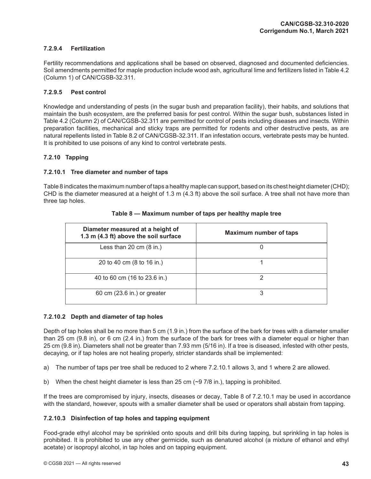## **7.2.9.4 Fertilization**

Fertility recommendations and applications shall be based on observed, diagnosed and documented deficiencies. Soil amendments permitted for maple production include wood ash, agricultural lime and fertilizers listed in Table 4.2 (Column 1) of CAN/CGSB-32.311.

## **7.2.9.5 Pest control**

Knowledge and understanding of pests (in the sugar bush and preparation facility), their habits, and solutions that maintain the bush ecosystem, are the preferred basis for pest control. Within the sugar bush, substances listed in Table 4.2 (Column 2) of CAN/CGSB-32.311 are permitted for control of pests including diseases and insects. Within preparation facilities, mechanical and sticky traps are permitted for rodents and other destructive pests, as are natural repellents listed in Table 8.2 of CAN/CGSB-32.311. If an infestation occurs, vertebrate pests may be hunted. It is prohibited to use poisons of any kind to control vertebrate pests.

## **7.2.10 Tapping**

## **7.2.10.1 Tree diameter and number of taps**

Table 8 indicates the maximum number of taps a healthy maple can support, based on its chest height diameter(CHD); CHD is the diameter measured at a height of 1.3 m (4.3 ft) above the soil surface. A tree shall not have more than three tap holes.

| Diameter measured at a height of<br>1.3 m (4.3 ft) above the soil surface | <b>Maximum number of taps</b> |
|---------------------------------------------------------------------------|-------------------------------|
| Less than 20 cm $(8 \text{ in.})$                                         | U                             |
| 20 to 40 cm (8 to 16 in.)                                                 |                               |
| 40 to 60 cm (16 to 23.6 in.)                                              |                               |
| 60 cm (23.6 in.) or greater                                               | 3                             |

#### **Table 8 — Maximum number of taps per healthy maple tree**

#### **7.2.10.2 Depth and diameter of tap holes**

Depth of tap holes shall be no more than 5 cm (1.9 in.) from the surface of the bark for trees with a diameter smaller than 25 cm (9.8 in), or 6 cm (2.4 in.) from the surface of the bark for trees with a diameter equal or higher than 25 cm (9.8 in). Diameters shall not be greater than 7.93 mm (5/16 in). If a tree is diseased, infested with other pests, decaying, or if tap holes are not healing properly, stricter standards shall be implemented:

a) The number of taps per tree shall be reduced to 2 where 7.2.10.1 allows 3, and 1 where 2 are allowed.

b) When the chest height diameter is less than 25 cm  $(\sim 97/8)$  in.), tapping is prohibited.

If the trees are compromised by injury, insects, diseases or decay, Table 8 of 7.2.10.1 may be used in accordance with the standard, however, spouts with a smaller diameter shall be used or operators shall abstain from tapping.

#### **7.2.10.3 Disinfection of tap holes and tapping equipment**

Food-grade ethyl alcohol may be sprinkled onto spouts and drill bits during tapping, but sprinkling in tap holes is prohibited. It is prohibited to use any other germicide, such as denatured alcohol (a mixture of ethanol and ethyl acetate) or isopropyl alcohol, in tap holes and on tapping equipment.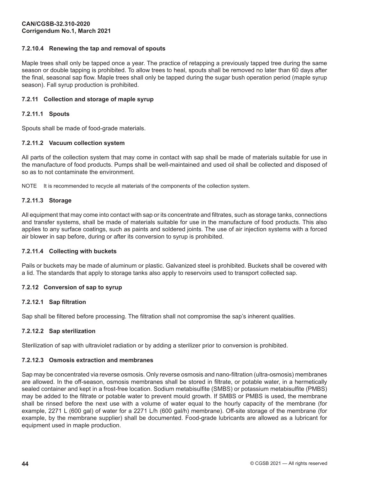## **7.2.10.4 Renewing the tap and removal of spouts**

Maple trees shall only be tapped once a year. The practice of retapping a previously tapped tree during the same season or double tapping is prohibited. To allow trees to heal, spouts shall be removed no later than 60 days after the final, seasonal sap flow. Maple trees shall only be tapped during the sugar bush operation period (maple syrup season). Fall syrup production is prohibited.

## **7.2.11 Collection and storage of maple syrup**

## **7.2.11.1 Spouts**

Spouts shall be made of food-grade materials.

## **7.2.11.2 Vacuum collection system**

All parts of the collection system that may come in contact with sap shall be made of materials suitable for use in the manufacture of food products. Pumps shall be well-maintained and used oil shall be collected and disposed of so as to not contaminate the environment.

NOTE It is recommended to recycle all materials of the components of the collection system.

## **7.2.11.3 Storage**

All equipment that may come into contact with sap or its concentrate and filtrates, such as storage tanks, connections and transfer systems, shall be made of materials suitable for use in the manufacture of food products. This also applies to any surface coatings, such as paints and soldered joints. The use of air injection systems with a forced air blower in sap before, during or after its conversion to syrup is prohibited.

#### **7.2.11.4 Collecting with buckets**

Pails or buckets may be made of aluminum or plastic. Galvanized steel is prohibited. Buckets shall be covered with a lid. The standards that apply to storage tanks also apply to reservoirs used to transport collected sap.

## **7.2.12 Conversion of sap to syrup**

#### **7.2.12.1 Sap filtration**

Sap shall be filtered before processing. The filtration shall not compromise the sap's inherent qualities.

## **7.2.12.2 Sap sterilization**

Sterilization of sap with ultraviolet radiation or by adding a sterilizer prior to conversion is prohibited.

#### **7.2.12.3 Osmosis extraction and membranes**

Sap may be concentrated via reverse osmosis. Only reverse osmosis and nano-filtration (ultra-osmosis) membranes are allowed. In the off-season, osmosis membranes shall be stored in filtrate, or potable water, in a hermetically sealed container and kept in a frost-free location. Sodium metabisulfite (SMBS) or potassium metabisulfite (PMBS) may be added to the filtrate or potable water to prevent mould growth. If SMBS or PMBS is used, the membrane shall be rinsed before the next use with a volume of water equal to the hourly capacity of the membrane (for example, 2271 L (600 gal) of water for a 2271 L/h (600 gal/h) membrane). Off-site storage of the membrane (for example, by the membrane supplier) shall be documented. Food-grade lubricants are allowed as a lubricant for equipment used in maple production.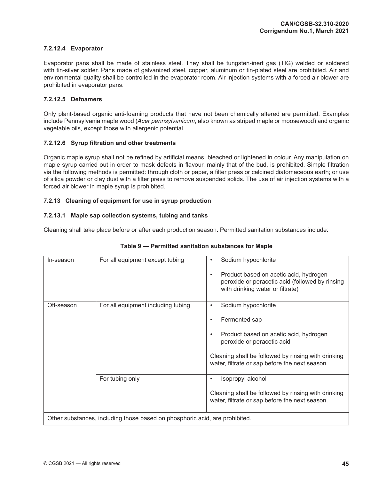## **7.2.12.4 Evaporator**

Evaporator pans shall be made of stainless steel. They shall be tungsten-inert gas (TIG) welded or soldered with tin-silver solder. Pans made of galvanized steel, copper, aluminum or tin-plated steel are prohibited. Air and environmental quality shall be controlled in the evaporator room. Air injection systems with a forced air blower are prohibited in evaporator pans.

## **7.2.12.5 Defoamers**

Only plant-based organic anti-foaming products that have not been chemically altered are permitted. Examples include Pennsylvania maple wood (*Acer pennsylvanicum*, also known as striped maple or moosewood) and organic vegetable oils, except those with allergenic potential.

## **7.2.12.6 Syrup filtration and other treatments**

Organic maple syrup shall not be refined by artificial means, bleached or lightened in colour. Any manipulation on maple syrup carried out in order to mask defects in flavour, mainly that of the bud, is prohibited. Simple filtration via the following methods is permitted: through cloth or paper, a filter press or calcined diatomaceous earth; or use of silica powder or clay dust with a filter press to remove suspended solids. The use of air injection systems with a forced air blower in maple syrup is prohibited.

## **7.2.13 Cleaning of equipment for use in syrup production**

## **7.2.13.1 Maple sap collection systems, tubing and tanks**

Cleaning shall take place before or after each production season. Permitted sanitation substances include:

| In-season  | For all equipment except tubing                                                                | Sodium hypochlorite<br>Product based on acetic acid, hydrogen<br>$\bullet$<br>peroxide or peracetic acid (followed by rinsing<br>with drinking water or filtrate)                                                          |
|------------|------------------------------------------------------------------------------------------------|----------------------------------------------------------------------------------------------------------------------------------------------------------------------------------------------------------------------------|
| Off-season | For all equipment including tubing                                                             | Sodium hypochlorite<br>٠<br>Fermented sap<br>Product based on acetic acid, hydrogen<br>peroxide or peracetic acid<br>Cleaning shall be followed by rinsing with drinking<br>water, filtrate or sap before the next season. |
|            | For tubing only<br>Other substances, including those based on phosphoric acid, are prohibited. | Isopropyl alcohol<br>Cleaning shall be followed by rinsing with drinking<br>water, filtrate or sap before the next season.                                                                                                 |

## **Table 9 — Permitted sanitation substances for Maple**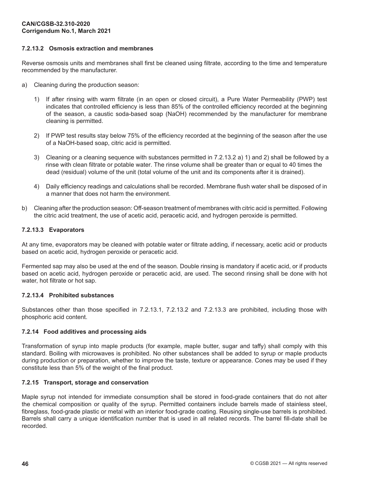## **7.2.13.2 Osmosis extraction and membranes**

Reverse osmosis units and membranes shall first be cleaned using filtrate, according to the time and temperature recommended by the manufacturer.

- a) Cleaning during the production season:
	- 1) If after rinsing with warm filtrate (in an open or closed circuit), a Pure Water Permeability (PWP) test indicates that controlled efficiency is less than 85% of the controlled efficiency recorded at the beginning of the season, a caustic soda-based soap (NaOH) recommended by the manufacturer for membrane cleaning is permitted.
	- 2) If PWP test results stay below 75% of the efficiency recorded at the beginning of the season after the use of a NaOH-based soap, citric acid is permitted.
	- 3) Cleaning or a cleaning sequence with substances permitted in 7.2.13.2 a) 1) and 2) shall be followed by a rinse with clean filtrate or potable water. The rinse volume shall be greater than or equal to 40 times the dead (residual) volume of the unit (total volume of the unit and its components after it is drained).
	- 4) Daily efficiency readings and calculations shall be recorded. Membrane flush water shall be disposed of in a manner that does not harm the environment.
- b) Cleaning after the production season: Off-season treatment of membranes with citric acid is permitted. Following the citric acid treatment, the use of acetic acid, peracetic acid, and hydrogen peroxide is permitted.

## **7.2.13.3 Evaporators**

At any time, evaporators may be cleaned with potable water or filtrate adding, if necessary, acetic acid or products based on acetic acid, hydrogen peroxide or peracetic acid.

Fermented sap may also be used at the end of the season. Double rinsing is mandatory if acetic acid, or if products based on acetic acid, hydrogen peroxide or peracetic acid, are used. The second rinsing shall be done with hot water, hot filtrate or hot sap.

#### **7.2.13.4 Prohibited substances**

Substances other than those specified in 7.2.13.1, 7.2.13.2 and 7.2.13.3 are prohibited, including those with phosphoric acid content.

#### **7.2.14 Food additives and processing aids**

Transformation of syrup into maple products (for example, maple butter, sugar and taffy) shall comply with this standard. Boiling with microwaves is prohibited. No other substances shall be added to syrup or maple products during production or preparation, whether to improve the taste, texture or appearance. Cones may be used if they constitute less than 5% of the weight of the final product.

## **7.2.15 Transport, storage and conservation**

Maple syrup not intended for immediate consumption shall be stored in food-grade containers that do not alter the chemical composition or quality of the syrup. Permitted containers include barrels made of stainless steel, fibreglass, food-grade plastic or metal with an interior food-grade coating. Reusing single-use barrels is prohibited. Barrels shall carry a unique identification number that is used in all related records. The barrel fill-date shall be recorded.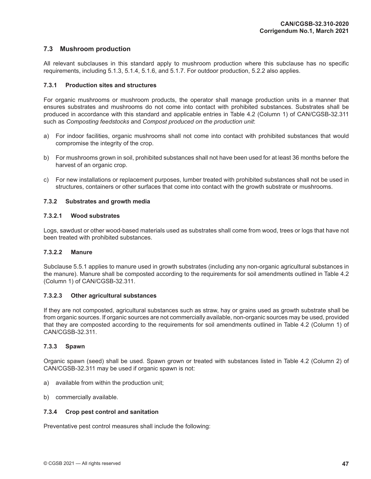## **7.3 Mushroom production**

All relevant subclauses in this standard apply to mushroom production where this subclause has no specific requirements, including 5.1.3, 5.1.4, 5.1.6, and 5.1.7. For outdoor production, 5.2.2 also applies.

## **7.3.1 Production sites and structures**

For organic mushrooms or mushroom products, the operator shall manage production units in a manner that ensures substrates and mushrooms do not come into contact with prohibited substances. Substrates shall be produced in accordance with this standard and applicable entries in Table 4.2 (Column 1) of CAN/CGSB-32.311 such as *Composting feedstocks* and *Compost produced on the production unit*:

- a) For indoor facilities, organic mushrooms shall not come into contact with prohibited substances that would compromise the integrity of the crop.
- b) For mushrooms grown in soil, prohibited substances shall not have been used for at least 36 months before the harvest of an organic crop.
- c) For new installations or replacement purposes, lumber treated with prohibited substances shall not be used in structures, containers or other surfaces that come into contact with the growth substrate or mushrooms.

## **7.3.2 Substrates and growth media**

## **7.3.2.1 Wood substrates**

Logs, sawdust or other wood-based materials used as substrates shall come from wood, trees or logs that have not been treated with prohibited substances.

#### **7.3.2.2 Manure**

Subclause 5.5.1 applies to manure used in growth substrates (including any non-organic agricultural substances in the manure). Manure shall be composted according to the requirements for soil amendments outlined in Table 4.2 (Column 1) of CAN/CGSB-32.311.

#### **7.3.2.3 Other agricultural substances**

If they are not composted, agricultural substances such as straw, hay or grains used as growth substrate shall be from organic sources. If organic sources are not commercially available, non-organic sources may be used, provided that they are composted according to the requirements for soil amendments outlined in Table 4.2 (Column 1) of CAN/CGSB-32.311.

#### **7.3.3 Spawn**

Organic spawn (seed) shall be used. Spawn grown or treated with substances listed in Table 4.2 (Column 2) of CAN/CGSB-32.311 may be used if organic spawn is not:

- a) available from within the production unit;
- b) commercially available.

#### **7.3.4 Crop pest control and sanitation**

Preventative pest control measures shall include the following: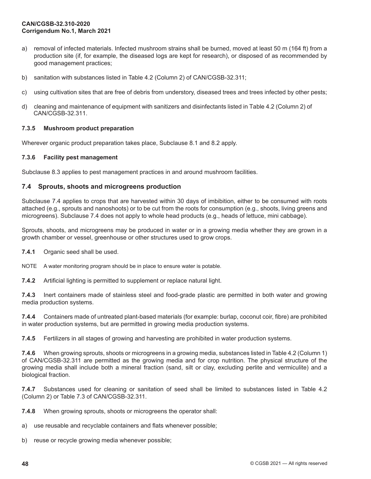- a) removal of infected materials. Infected mushroom strains shall be burned, moved at least 50 m (164 ft) from a production site (if, for example, the diseased logs are kept for research), or disposed of as recommended by good management practices;
- b) sanitation with substances listed in Table 4.2 (Column 2) of CAN/CGSB-32.311;
- c) using cultivation sites that are free of debris from understory, diseased trees and trees infected by other pests;
- d) cleaning and maintenance of equipment with sanitizers and disinfectants listed in Table 4.2 (Column 2) of CAN/CGSB-32.311.

#### **7.3.5 Mushroom product preparation**

Wherever organic product preparation takes place, Subclause 8.1 and 8.2 apply.

#### **7.3.6 Facility pest management**

Subclause 8.3 applies to pest management practices in and around mushroom facilities.

#### **7.4 Sprouts, shoots and microgreens production**

Subclause 7.4 applies to crops that are harvested within 30 days of imbibition, either to be consumed with roots attached (e.g., sprouts and nanoshoots) or to be cut from the roots for consumption (e.g., shoots, living greens and microgreens). Subclause 7.4 does not apply to whole head products (e.g., heads of lettuce, mini cabbage).

Sprouts, shoots, and microgreens may be produced in water or in a growing media whether they are grown in a growth chamber or vessel, greenhouse or other structures used to grow crops.

**7.4.1** Organic seed shall be used.

NOTE A water monitoring program should be in place to ensure water is potable.

**7.4.2** Artificial lighting is permitted to supplement or replace natural light.

**7.4.3** Inert containers made of stainless steel and food-grade plastic are permitted in both water and growing media production systems.

**7.4.4** Containers made of untreated plant-based materials (for example: burlap, coconut coir, fibre) are prohibited in water production systems, but are permitted in growing media production systems.

**7.4.5** Fertilizers in all stages of growing and harvesting are prohibited in water production systems.

**7.4.6** When growing sprouts, shoots or microgreens in a growing media, substances listed in Table 4.2 (Column 1) of CAN/CGSB-32.311 are permitted as the growing media and for crop nutrition. The physical structure of the growing media shall include both a mineral fraction (sand, silt or clay, excluding perlite and vermiculite) and a biological fraction.

**7.4.7** Substances used for cleaning or sanitation of seed shall be limited to substances listed in Table 4.2 (Column 2) or Table 7.3 of CAN/CGSB-32.311.

**7.4.8** When growing sprouts, shoots or microgreens the operator shall:

- a) use reusable and recyclable containers and flats whenever possible;
- b) reuse or recycle growing media whenever possible;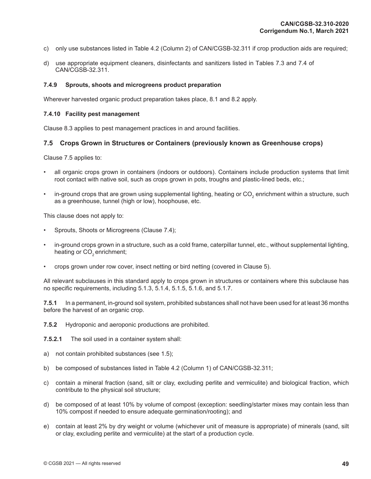- c) only use substances listed in Table 4.2 (Column 2) of CAN/CGSB-32.311 if crop production aids are required;
- d) use appropriate equipment cleaners, disinfectants and sanitizers listed in Tables 7.3 and 7.4 of CAN/CGSB-32.311.

#### **7.4.9 Sprouts, shoots and microgreens product preparation**

Wherever harvested organic product preparation takes place, 8.1 and 8.2 apply.

#### **7.4.10 Facility pest management**

Clause 8.3 applies to pest management practices in and around facilities.

## **7.5 Crops Grown in Structures or Containers (previously known as Greenhouse crops)**

Clause 7.5 applies to:

- all organic crops grown in containers (indoors or outdoors). Containers include production systems that limit root contact with native soil, such as crops grown in pots, troughs and plastic-lined beds, etc.;
- in-ground crops that are grown using supplemental lighting, heating or CO<sub>2</sub> enrichment within a structure, such as a greenhouse, tunnel (high or low), hoophouse, etc.

This clause does not apply to:

- Sprouts, Shoots or Microgreens (Clause 7.4);
- in-ground crops grown in a structure, such as a cold frame, caterpillar tunnel, etc., without supplemental lighting, heating or CO<sub>2</sub> enrichment;
- crops grown under row cover, insect netting or bird netting (covered in Clause 5).

All relevant subclauses in this standard apply to crops grown in structures or containers where this subclause has no specific requirements, including 5.1.3, 5.1.4, 5.1.5, 5.1.6, and 5.1.7.

**7.5.1** In a permanent, in-ground soil system, prohibited substances shall not have been used for at least 36 months before the harvest of an organic crop.

**7.5.2** Hydroponic and aeroponic productions are prohibited.

**7.5.2.1** The soil used in a container system shall:

- a) not contain prohibited substances (see 1.5);
- b) be composed of substances listed in Table 4.2 (Column 1) of CAN/CGSB-32.311;
- c) contain a mineral fraction (sand, silt or clay, excluding perlite and vermiculite) and biological fraction, which contribute to the physical soil structure;
- d) be composed of at least 10% by volume of compost (exception: seedling/starter mixes may contain less than 10% compost if needed to ensure adequate germination/rooting); and
- e) contain at least 2% by dry weight or volume (whichever unit of measure is appropriate) of minerals (sand, silt or clay, excluding perlite and vermiculite) at the start of a production cycle.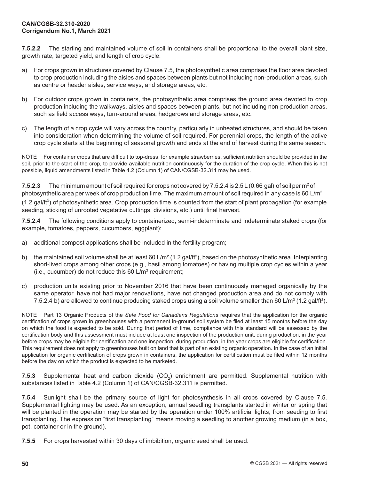**7.5.2.2** The starting and maintained volume of soil in containers shall be proportional to the overall plant size, growth rate, targeted yield, and length of crop cycle.

- a) For crops grown in structures covered by Clause 7.5, the photosynthetic area comprises the floor area devoted to crop production including the aisles and spaces between plants but not including non-production areas, such as centre or header aisles, service ways, and storage areas, etc.
- b) For outdoor crops grown in containers, the photosynthetic area comprises the ground area devoted to crop production including the walkways, aisles and spaces between plants, but not including non-production areas, such as field access ways, turn-around areas, hedgerows and storage areas, etc.
- c) The length of a crop cycle will vary across the country, particularly in unheated structures, and should be taken into consideration when determining the volume of soil required. For perennial crops, the length of the active crop cycle starts at the beginning of seasonal growth and ends at the end of harvest during the same season.

NOTE For container crops that are difficult to top-dress, for example strawberries, sufficient nutrition should be provided in the soil, prior to the start of the crop, to provide available nutrition continuously for the duration of the crop cycle. When this is not possible, liquid amendments listed in Table 4.2 (Column 1) of CAN/CGSB-32.311 may be used.

**7.5.2.3** The minimum amount of soil required for crops not covered by 7.5.2.4 is 2.5 L (0.66 gal) of soil per m<sup>2</sup> of photosynthetic area per week of crop production time. The maximum amount of soil required in any case is 60  $L/m^2$ (1.2 gal/ft<sup>2</sup>) of photosynthetic area. Crop production time is counted from the start of plant propagation (for example seeding, sticking of unrooted vegetative cuttings, divisions, etc.) until final harvest.

**7.5.2.4** The following conditions apply to containerized, semi-indeterminate and indeterminate staked crops (for example, tomatoes, peppers, cucumbers, eggplant):

- a) additional compost applications shall be included in the fertility program;
- b) the maintained soil volume shall be at least 60 L/m<sup>2</sup> (1.2 gal/ft<sup>2</sup>), based on the photosynthetic area. Interplanting short-lived crops among other crops (e.g., basil among tomatoes) or having multiple crop cycles within a year (i.e., cucumber) do not reduce this 60 L/m² requirement;
- c) production units existing prior to November 2016 that have been continuously managed organically by the same operator, have not had major renovations, have not changed production area and do not comply with 7.5.2.4 b) are allowed to continue producing staked crops using a soil volume smaller than 60 L/m<sup>2</sup> (1.2 gal/ft<sup>2</sup>).

NOTE Part 13 Organic Products of the *Safe Food for Canadians Regulations* requires that the application for the organic certification of crops grown in greenhouses with a permanent in-ground soil system be filed at least 15 months before the day on which the food is expected to be sold. During that period of time, compliance with this standard will be assessed by the certification body and this assessment must include at least one inspection of the production unit, during production, in the year before crops may be eligible for certification and one inspection, during production, in the year crops are eligible for certification. This requirement does not apply to greenhouses built on land that is part of an existing organic operation. In the case of an initial application for organic certification of crops grown in containers, the application for certification must be filed within 12 months before the day on which the product is expected to be marketed.

**7.5.3** Supplemental heat and carbon dioxide (CO<sub>2</sub>) enrichment are permitted. Supplemental nutrition with substances listed in Table 4.2 (Column 1) of CAN/CGSB-32.311 is permitted.

**7.5.4** Sunlight shall be the primary source of light for photosynthesis in all crops covered by Clause 7.5. Supplemental lighting may be used. As an exception, annual seedling transplants started in winter or spring that will be planted in the operation may be started by the operation under 100% artificial lights, from seeding to first transplanting. The expression "first transplanting" means moving a seedling to another growing medium (in a box, pot, container or in the ground).

**7.5.5** For crops harvested within 30 days of imbibition, organic seed shall be used.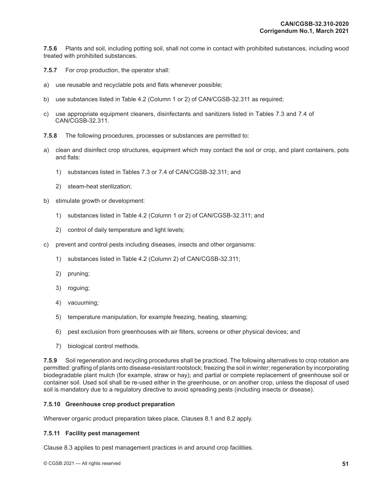**7.5.6** Plants and soil, including potting soil, shall not come in contact with prohibited substances, including wood treated with prohibited substances.

- **7.5.7** For crop production, the operator shall:
- a) use reusable and recyclable pots and flats whenever possible;
- b) use substances listed in Table 4.2 (Column 1 or 2) of CAN/CGSB-32.311 as required;
- c) use appropriate equipment cleaners, disinfectants and sanitizers listed in Tables 7.3 and 7.4 of CAN/CGSB-32.311.
- **7.5.8** The following procedures, processes or substances are permitted to:
- a) clean and disinfect crop structures, equipment which may contact the soil or crop, and plant containers, pots and flats:
	- 1) substances listed in Tables 7.3 or 7.4 of CAN/CGSB-32.311; and
	- 2) steam-heat sterilization;
- b) stimulate growth or development:
	- 1) substances listed in Table 4.2 (Column 1 or 2) of CAN/CGSB-32.311; and
	- 2) control of daily temperature and light levels;
- c) prevent and control pests including diseases, insects and other organisms:
	- 1) substances listed in Table 4.2 (Column 2) of CAN/CGSB-32.311;
	- 2) pruning;
	- 3) roguing;
	- 4) vacuuming;
	- 5) temperature manipulation, for example freezing, heating, steaming;
	- 6) pest exclusion from greenhouses with air filters, screens or other physical devices; and
	- 7) biological control methods.

**7.5.9** Soil regeneration and recycling procedures shall be practiced. The following alternatives to crop rotation are permitted: grafting of plants onto disease-resistant rootstock; freezing the soil in winter; regeneration by incorporating biodegradable plant mulch (for example, straw or hay); and partial or complete replacement of greenhouse soil or container soil. Used soil shall be re-used either in the greenhouse, or on another crop, unless the disposal of used soil is mandatory due to a regulatory directive to avoid spreading pests (including insects or disease).

#### **7.5.10 Greenhouse crop product preparation**

Wherever organic product preparation takes place, Clauses 8.1 and 8.2 apply.

#### **7.5.11 Facility pest management**

Clause 8.3 applies to pest management practices in and around crop facilities.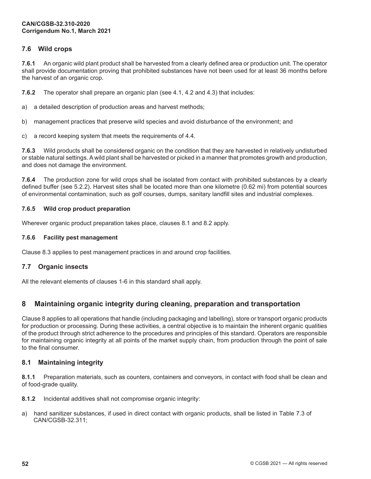# **7.6 Wild crops**

**7.6.1** An organic wild plant product shall be harvested from a clearly defined area or production unit. The operator shall provide documentation proving that prohibited substances have not been used for at least 36 months before the harvest of an organic crop.

**7.6.2** The operator shall prepare an organic plan (see 4.1, 4.2 and 4.3) that includes:

a) a detailed description of production areas and harvest methods;

b) management practices that preserve wild species and avoid disturbance of the environment; and

c) a record keeping system that meets the requirements of 4.4.

**7.6.3** Wild products shall be considered organic on the condition that they are harvested in relatively undisturbed or stable natural settings. A wild plant shall be harvested or picked in a manner that promotes growth and production, and does not damage the environment.

**7.6.4** The production zone for wild crops shall be isolated from contact with prohibited substances by a clearly defined buffer (see 5.2.2). Harvest sites shall be located more than one kilometre (0.62 mi) from potential sources of environmental contamination, such as golf courses, dumps, sanitary landfill sites and industrial complexes.

## **7.6.5 Wild crop product preparation**

Wherever organic product preparation takes place, clauses 8.1 and 8.2 apply.

## **7.6.6 Facility pest management**

Clause 8.3 applies to pest management practices in and around crop facilities.

## **7.7 Organic insects**

All the relevant elements of clauses 1-6 in this standard shall apply.

# **8 Maintaining organic integrity during cleaning, preparation and transportation**

Clause 8 applies to all operations that handle (including packaging and labelling), store or transport organic products for production or processing. During these activities, a central objective is to maintain the inherent organic qualities of the product through strict adherence to the procedures and principles of this standard. Operators are responsible for maintaining organic integrity at all points of the market supply chain, from production through the point of sale to the final consumer.

## **8.1 Maintaining integrity**

**8.1.1** Preparation materials, such as counters, containers and conveyors, in contact with food shall be clean and of food-grade quality.

**8.1.2** Incidental additives shall not compromise organic integrity:

a) hand sanitizer substances, if used in direct contact with organic products, shall be listed in Table 7.3 of CAN/CGSB-32.311;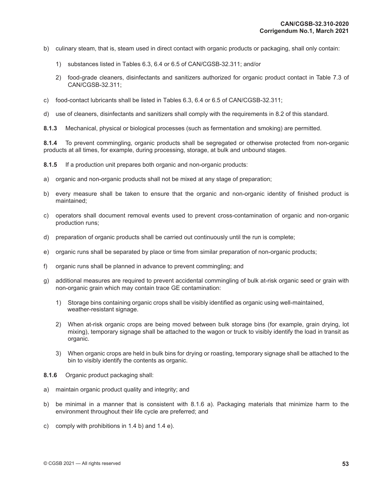- b) culinary steam, that is, steam used in direct contact with organic products or packaging, shall only contain:
	- 1) substances listed in Tables 6.3, 6.4 or 6.5 of CAN/CGSB-32.311; and/or
	- 2) food-grade cleaners, disinfectants and sanitizers authorized for organic product contact in Table 7.3 of CAN/CGSB-32.311;
- c) food-contact lubricants shall be listed in Tables 6.3, 6.4 or 6.5 of CAN/CGSB-32.311;
- d) use of cleaners, disinfectants and sanitizers shall comply with the requirements in 8.2 of this standard.

**8.1.3** Mechanical, physical or biological processes (such as fermentation and smoking) are permitted.

**8.1.4** To prevent commingling, organic products shall be segregated or otherwise protected from non-organic products at all times, for example, during processing, storage, at bulk and unbound stages.

**8.1.5** If a production unit prepares both organic and non-organic products:

- a) organic and non-organic products shall not be mixed at any stage of preparation;
- b) every measure shall be taken to ensure that the organic and non-organic identity of finished product is maintained;
- c) operators shall document removal events used to prevent cross-contamination of organic and non-organic production runs;
- d) preparation of organic products shall be carried out continuously until the run is complete;
- e) organic runs shall be separated by place or time from similar preparation of non-organic products;
- f) organic runs shall be planned in advance to prevent commingling; and
- g) additional measures are required to prevent accidental commingling of bulk at-risk organic seed or grain with non-organic grain which may contain trace GE contamination:
	- 1) Storage bins containing organic crops shall be visibly identified as organic using well-maintained, weather-resistant signage.
	- 2) When at-risk organic crops are being moved between bulk storage bins (for example, grain drying, lot mixing), temporary signage shall be attached to the wagon or truck to visibly identify the load in transit as organic.
	- 3) When organic crops are held in bulk bins for drying or roasting, temporary signage shall be attached to the bin to visibly identify the contents as organic.
- **8.1.6** Organic product packaging shall:
- a) maintain organic product quality and integrity; and
- b) be minimal in a manner that is consistent with 8.1.6 a). Packaging materials that minimize harm to the environment throughout their life cycle are preferred; and
- c) comply with prohibitions in 1.4 b) and 1.4 e).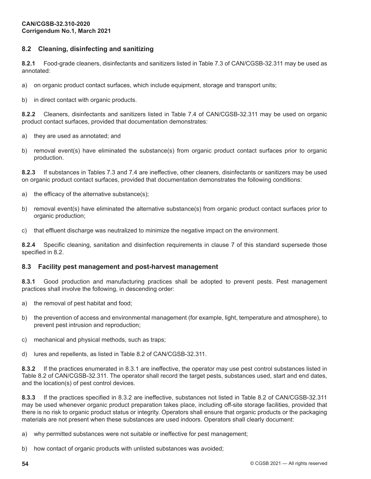# **8.2 Cleaning, disinfecting and sanitizing**

**8.2.1** Food-grade cleaners, disinfectants and sanitizers listed in Table 7.3 of CAN/CGSB-32.311 may be used as annotated:

- a) on organic product contact surfaces, which include equipment, storage and transport units;
- b) in direct contact with organic products.

**8.2.2** Cleaners, disinfectants and sanitizers listed in Table 7.4 of CAN/CGSB-32.311 may be used on organic product contact surfaces, provided that documentation demonstrates:

- a) they are used as annotated; and
- b) removal event(s) have eliminated the substance(s) from organic product contact surfaces prior to organic production.

**8.2.3** If substances in Tables 7.3 and 7.4 are ineffective, other cleaners, disinfectants or sanitizers may be used on organic product contact surfaces, provided that documentation demonstrates the following conditions:

- a) the efficacy of the alternative substance(s);
- b) removal event(s) have eliminated the alternative substance(s) from organic product contact surfaces prior to organic production;
- c) that effluent discharge was neutralized to minimize the negative impact on the environment.

**8.2.4** Specific cleaning, sanitation and disinfection requirements in clause 7 of this standard supersede those specified in 8.2.

## **8.3 Facility pest management and post-harvest management**

**8.3.1** Good production and manufacturing practices shall be adopted to prevent pests. Pest management practices shall involve the following, in descending order:

- a) the removal of pest habitat and food;
- b) the prevention of access and environmental management (for example, light, temperature and atmosphere), to prevent pest intrusion and reproduction;
- c) mechanical and physical methods, such as traps;
- d) lures and repellents, as listed in Table 8.2 of CAN/CGSB-32.311.

**8.3.2** If the practices enumerated in 8.3.1 are ineffective, the operator may use pest control substances listed in Table 8.2 of CAN/CGSB-32.311. The operator shall record the target pests, substances used, start and end dates, and the location(s) of pest control devices.

**8.3.3** If the practices specified in 8.3.2 are ineffective, substances not listed in Table 8.2 of CAN/CGSB-32.311 may be used whenever organic product preparation takes place, including off-site storage facilities, provided that there is no risk to organic product status or integrity. Operators shall ensure that organic products or the packaging materials are not present when these substances are used indoors. Operators shall clearly document:

a) why permitted substances were not suitable or ineffective for pest management;

b) how contact of organic products with unlisted substances was avoided;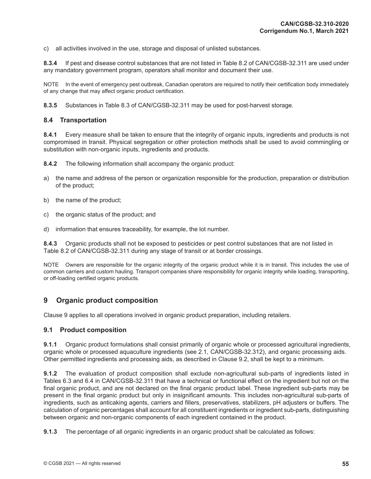c) all activities involved in the use, storage and disposal of unlisted substances.

**8.3.4** If pest and disease control substances that are not listed in Table 8.2 of CAN/CGSB-32.311 are used under any mandatory government program, operators shall monitor and document their use.

NOTE In the event of emergency pest outbreak, Canadian operators are required to notify their certification body immediately of any change that may affect organic product certification.

**8.3.5** Substances in Table 8.3 of CAN/CGSB-32.311 may be used for post-harvest storage.

## **8.4 Transportation**

**8.4.1** Every measure shall be taken to ensure that the integrity of organic inputs, ingredients and products is not compromised in transit. Physical segregation or other protection methods shall be used to avoid commingling or substitution with non-organic inputs, ingredients and products.

**8.4.2** The following information shall accompany the organic product:

- a) the name and address of the person or organization responsible for the production, preparation or distribution of the product;
- b) the name of the product;
- c) the organic status of the product; and
- d) information that ensures traceability, for example, the lot number.

**8.4.3** Organic products shall not be exposed to pesticides or pest control substances that are not listed in Table 8.2 of CAN/CGSB-32.311 during any stage of transit or at border crossings.

NOTE Owners are responsible for the organic integrity of the organic product while it is in transit. This includes the use of common carriers and custom hauling. Transport companies share responsibility for organic integrity while loading, transporting, or off-loading certified organic products.

# **9 Organic product composition**

Clause 9 applies to all operations involved in organic product preparation, including retailers.

#### **9.1 Product composition**

**9.1.1** Organic product formulations shall consist primarily of organic whole or processed agricultural ingredients, organic whole or processed aquaculture ingredients (see 2.1, CAN/CGSB-32.312), and organic processing aids. Other permitted ingredients and processing aids, as described in Clause 9.2, shall be kept to a minimum.

**9.1.2** The evaluation of product composition shall exclude non-agricultural sub-parts of ingredients listed in Tables 6.3 and 6.4 in CAN/CGSB-32.311 that have a technical or functional effect on the ingredient but not on the final organic product, and are not declared on the final organic product label. These ingredient sub-parts may be present in the final organic product but only in insignificant amounts. This includes non-agricultural sub-parts of ingredients, such as anticaking agents, carriers and fillers, preservatives, stabilizers, pH adjusters or buffers. The calculation of organic percentages shall account for all constituent ingredients or ingredient sub-parts, distinguishing between organic and non-organic components of each ingredient contained in the product.

**9.1.3** The percentage of all organic ingredients in an organic product shall be calculated as follows: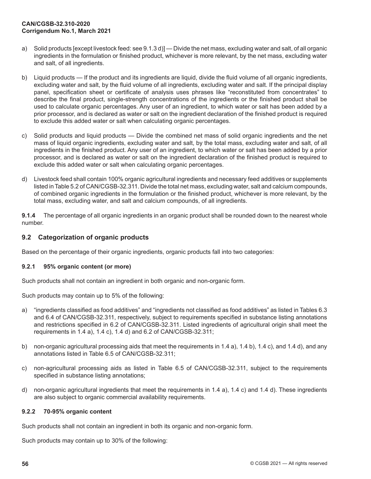- a) Solid products [except livestock feed: see 9.1.3 d)] Divide the net mass, excluding water and salt, of all organic ingredients in the formulation or finished product, whichever is more relevant, by the net mass, excluding water and salt, of all ingredients.
- b) Liquid products If the product and its ingredients are liquid, divide the fluid volume of all organic ingredients, excluding water and salt, by the fluid volume of all ingredients, excluding water and salt. If the principal display panel, specification sheet or certificate of analysis uses phrases like "reconstituted from concentrates" to describe the final product, single-strength concentrations of the ingredients or the finished product shall be used to calculate organic percentages. Any user of an ingredient, to which water or salt has been added by a prior processor, and is declared as water or salt on the ingredient declaration of the finished product is required to exclude this added water or salt when calculating organic percentages.
- c) Solid products and liquid products Divide the combined net mass of solid organic ingredients and the net mass of liquid organic ingredients, excluding water and salt, by the total mass, excluding water and salt, of all ingredients in the finished product. Any user of an ingredient, to which water or salt has been added by a prior processor, and is declared as water or salt on the ingredient declaration of the finished product is required to exclude this added water or salt when calculating organic percentages.
- d) Livestock feed shall contain 100% organic agricultural ingredients and necessary feed additives or supplements listed in Table 5.2 of CAN/CGSB-32.311. Divide the total net mass, excluding water, salt and calcium compounds, of combined organic ingredients in the formulation or the finished product, whichever is more relevant, by the total mass, excluding water, and salt and calcium compounds, of all ingredients.

**9.1.4** The percentage of all organic ingredients in an organic product shall be rounded down to the nearest whole number.

## **9.2 Categorization of organic products**

Based on the percentage of their organic ingredients, organic products fall into two categories:

#### **9.2.1 95% organic content (or more)**

Such products shall not contain an ingredient in both organic and non-organic form.

Such products may contain up to 5% of the following:

- a) "ingredients classified as food additives" and "ingredients not classified as food additives" as listed in Tables 6.3 and 6.4 of CAN/CGSB-32.311, respectively, subject to requirements specified in substance listing annotations and restrictions specified in 6.2 of CAN/CGSB-32.311. Listed ingredients of agricultural origin shall meet the requirements in 1.4 a), 1.4 c), 1.4 d) and 6.2 of CAN/CGSB-32.311;
- b) non-organic agricultural processing aids that meet the requirements in 1.4 a), 1.4 b), 1.4 c), and 1.4 d), and any annotations listed in Table 6.5 of CAN/CGSB-32.311;
- c) non-agricultural processing aids as listed in Table 6.5 of CAN/CGSB-32.311, subject to the requirements specified in substance listing annotations;
- d) non-organic agricultural ingredients that meet the requirements in 1.4 a), 1.4 c) and 1.4 d). These ingredients are also subject to organic commercial availability requirements.

## **9.2.2 70-95% organic content**

Such products shall not contain an ingredient in both its organic and non-organic form.

Such products may contain up to 30% of the following: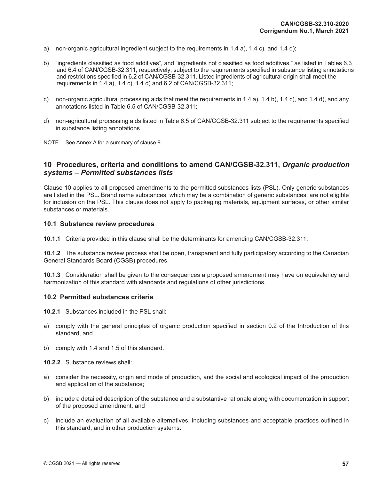- a) non-organic agricultural ingredient subject to the requirements in 1.4 a), 1.4 c), and 1.4 d);
- b) "ingredients classified as food additives", and "ingredients not classified as food additives," as listed in Tables 6.3 and 6.4 of CAN/CGSB-32.311, respectively, subject to the requirements specified in substance listing annotations and restrictions specified in 6.2 of CAN/CGSB-32.311. Listed ingredients of agricultural origin shall meet the requirements in 1.4 a), 1.4 c), 1.4 d) and 6.2 of CAN/CGSB-32.311;
- c) non-organic agricultural processing aids that meet the requirements in 1.4 a), 1.4 b), 1.4 c), and 1.4 d), and any annotations listed in Table 6.5 of CAN/CGSB-32.311;
- d) non-agricultural processing aids listed in Table 6.5 of CAN/CGSB-32.311 subject to the requirements specified in substance listing annotations.
- NOTE See Annex A for a summary of clause 9.

# **10 Procedures, criteria and conditions to amend CAN/CGSB-32.311,** *Organic production systems – Permitted substances lists*

Clause 10 applies to all proposed amendments to the permitted substances lists (PSL). Only generic substances are listed in the PSL. Brand name substances, which may be a combination of generic substances, are not eligible for inclusion on the PSL. This clause does not apply to packaging materials, equipment surfaces, or other similar substances or materials.

#### **10.1 Substance review procedures**

**10.1.1** Criteria provided in this clause shall be the determinants for amending CAN/CGSB-32.311.

**10.1.2** The substance review process shall be open, transparent and fully participatory according to the Canadian General Standards Board (CGSB) procedures.

**10.1.3** Consideration shall be given to the consequences a proposed amendment may have on equivalency and harmonization of this standard with standards and regulations of other jurisdictions.

#### **10.2 Permitted substances criteria**

**10.2.1** Substances included in the PSL shall:

- a) comply with the general principles of organic production specified in section 0.2 of the Introduction of this standard, and
- b) comply with 1.4 and 1.5 of this standard.

**10.2.2** Substance reviews shall:

- a) consider the necessity, origin and mode of production, and the social and ecological impact of the production and application of the substance;
- b) include a detailed description of the substance and a substantive rationale along with documentation in support of the proposed amendment; and
- c) include an evaluation of all available alternatives, including substances and acceptable practices outlined in this standard, and in other production systems.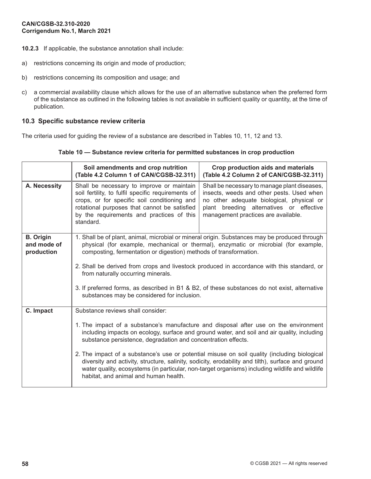- **10.2.3** If applicable, the substance annotation shall include:
- a) restrictions concerning its origin and mode of production;
- b) restrictions concerning its composition and usage; and
- c) a commercial availability clause which allows for the use of an alternative substance when the preferred form of the substance as outlined in the following tables is not available in sufficient quality or quantity, at the time of publication.

## **10.3 Specific substance review criteria**

The criteria used for guiding the review of a substance are described in Tables 10, 11, 12 and 13.

#### **Table 10 — Substance review criteria for permitted substances in crop production**

|                                               | Soil amendments and crop nutrition<br>(Table 4.2 Column 1 of CAN/CGSB-32.311)                                                                                                                                                                                                                                                                                                                                                                                                                                                                 | Crop production aids and materials<br>(Table 4.2 Column 2 of CAN/CGSB-32.311)                                                                                                                                                                                                                                                                                                                                                                                                               |
|-----------------------------------------------|-----------------------------------------------------------------------------------------------------------------------------------------------------------------------------------------------------------------------------------------------------------------------------------------------------------------------------------------------------------------------------------------------------------------------------------------------------------------------------------------------------------------------------------------------|---------------------------------------------------------------------------------------------------------------------------------------------------------------------------------------------------------------------------------------------------------------------------------------------------------------------------------------------------------------------------------------------------------------------------------------------------------------------------------------------|
| A. Necessity                                  | Shall be necessary to improve or maintain<br>soil fertility, to fulfil specific requirements of<br>crops, or for specific soil conditioning and<br>rotational purposes that cannot be satisfied<br>by the requirements and practices of this<br>standard.                                                                                                                                                                                                                                                                                     | Shall be necessary to manage plant diseases,<br>insects, weeds and other pests. Used when<br>no other adequate biological, physical or<br>plant breeding alternatives or effective<br>management practices are available.                                                                                                                                                                                                                                                                   |
| <b>B.</b> Origin<br>and mode of<br>production | 1. Shall be of plant, animal, microbial or mineral origin. Substances may be produced through<br>physical (for example, mechanical or thermal), enzymatic or microbial (for example,<br>composting, fermentation or digestion) methods of transformation.<br>2. Shall be derived from crops and livestock produced in accordance with this standard, or<br>from naturally occurring minerals.<br>3. If preferred forms, as described in B1 & B2, of these substances do not exist, alternative<br>substances may be considered for inclusion. |                                                                                                                                                                                                                                                                                                                                                                                                                                                                                             |
| C. Impact                                     | Substance reviews shall consider:<br>substance persistence, degradation and concentration effects.<br>habitat, and animal and human health.                                                                                                                                                                                                                                                                                                                                                                                                   | 1. The impact of a substance's manufacture and disposal after use on the environment<br>including impacts on ecology, surface and ground water, and soil and air quality, including<br>2. The impact of a substance's use or potential misuse on soil quality (including biological<br>diversity and activity, structure, salinity, sodicity, erodability and tilth), surface and ground<br>water quality, ecosystems (in particular, non-target organisms) including wildlife and wildlife |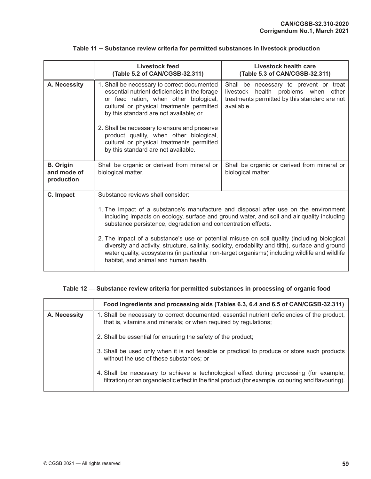|                                               | Livestock feed<br>(Table 5.2 of CAN/CGSB-32.311)                                                                                                                                                                                                                                                                                                                                                             | Livestock health care<br>(Table 5.3 of CAN/CGSB-32.311)                                                                                          |
|-----------------------------------------------|--------------------------------------------------------------------------------------------------------------------------------------------------------------------------------------------------------------------------------------------------------------------------------------------------------------------------------------------------------------------------------------------------------------|--------------------------------------------------------------------------------------------------------------------------------------------------|
| A. Necessity                                  | 1. Shall be necessary to correct documented<br>essential nutrient deficiencies in the forage<br>or feed ration, when other biological,<br>cultural or physical treatments permitted<br>by this standard are not available; or<br>2. Shall be necessary to ensure and preserve<br>product quality, when other biological,<br>cultural or physical treatments permitted<br>by this standard are not available. | Shall be necessary to prevent or treat<br>health problems when other<br>livestock<br>treatments permitted by this standard are not<br>available. |
|                                               |                                                                                                                                                                                                                                                                                                                                                                                                              |                                                                                                                                                  |
| <b>B.</b> Origin<br>and mode of<br>production | Shall be organic or derived from mineral or<br>biological matter.                                                                                                                                                                                                                                                                                                                                            | Shall be organic or derived from mineral or<br>biological matter.                                                                                |
| C. Impact                                     | Substance reviews shall consider:                                                                                                                                                                                                                                                                                                                                                                            |                                                                                                                                                  |
|                                               | 1. The impact of a substance's manufacture and disposal after use on the environment<br>including impacts on ecology, surface and ground water, and soil and air quality including<br>substance persistence, degradation and concentration effects.                                                                                                                                                          |                                                                                                                                                  |
|                                               | 2. The impact of a substance's use or potential misuse on soil quality (including biological<br>diversity and activity, structure, salinity, sodicity, erodability and tilth), surface and ground<br>water quality, ecosystems (in particular non-target organisms) including wildlife and wildlife<br>habitat, and animal and human health.                                                                 |                                                                                                                                                  |

## **Table 11 ─ Substance review criteria for permitted substances in livestock production**

# **Table 12 — Substance review criteria for permitted substances in processing of organic food**

|              | Food ingredients and processing aids (Tables 6.3, 6.4 and 6.5 of CAN/CGSB-32.311)                                                                                                              |
|--------------|------------------------------------------------------------------------------------------------------------------------------------------------------------------------------------------------|
| A. Necessity | 1. Shall be necessary to correct documented, essential nutrient deficiencies of the product,<br>that is, vitamins and minerals; or when required by regulations;                               |
|              | 2. Shall be essential for ensuring the safety of the product;                                                                                                                                  |
|              | 3. Shall be used only when it is not feasible or practical to produce or store such products<br>without the use of these substances; or                                                        |
|              | 4. Shall be necessary to achieve a technological effect during processing (for example,<br>filtration) or an organoleptic effect in the final product (for example, colouring and flavouring). |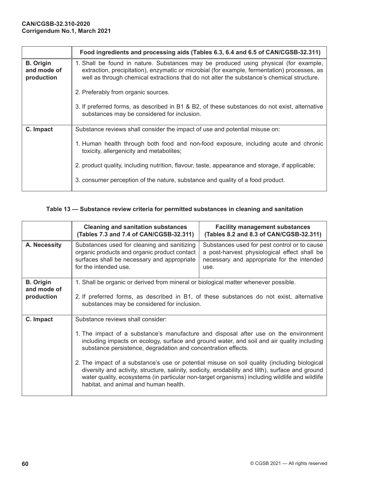|                                               | Food ingredients and processing aids (Tables 6.3, 6.4 and 6.5 of CAN/CGSB-32.311)                                                                                                                                                                                                  |
|-----------------------------------------------|------------------------------------------------------------------------------------------------------------------------------------------------------------------------------------------------------------------------------------------------------------------------------------|
| <b>B.</b> Origin<br>and mode of<br>production | 1. Shall be found in nature. Substances may be produced using physical (for example,<br>extraction, precipitation), enzymatic or microbial (for example, fermentation) processes, as<br>well as through chemical extractions that do not alter the substance's chemical structure. |
|                                               | 2. Preferably from organic sources.                                                                                                                                                                                                                                                |
|                                               | 3. If preferred forms, as described in B1 & B2, of these substances do not exist, alternative<br>substances may be considered for inclusion.                                                                                                                                       |
| C. Impact                                     | Substance reviews shall consider the impact of use and potential misuse on:                                                                                                                                                                                                        |
|                                               | 1. Human health through both food and non-food exposure, including acute and chronic<br>toxicity, allergenicity and metabolites;                                                                                                                                                   |
|                                               | 2. product quality, including nutrition, flavour, taste, appearance and storage, if applicable;                                                                                                                                                                                    |
|                                               | 3. consumer perception of the nature, substance and quality of a food product.                                                                                                                                                                                                     |

# **Table 13 — Substance review criteria for permitted substances in cleaning and sanitation**

|                                               | <b>Cleaning and sanitation substances</b><br>(Tables 7.3 and 7.4 of CAN/CGSB-32.311)                                                                                                                                           | <b>Facility management substances</b><br>(Tables 8.2 and 8.3 of CAN/CGSB-32.311)                                                                                                                                                                                                                                                                                                                                                                                                          |  |  |
|-----------------------------------------------|--------------------------------------------------------------------------------------------------------------------------------------------------------------------------------------------------------------------------------|-------------------------------------------------------------------------------------------------------------------------------------------------------------------------------------------------------------------------------------------------------------------------------------------------------------------------------------------------------------------------------------------------------------------------------------------------------------------------------------------|--|--|
| A. Necessity                                  | Substances used for cleaning and sanitizing<br>organic products and organic product contact<br>surfaces shall be necessary and appropriate<br>for the intended use.                                                            | Substances used for pest control or to cause<br>a post-harvest physiological effect shall be<br>necessary and appropriate for the intended<br>use.                                                                                                                                                                                                                                                                                                                                        |  |  |
| <b>B.</b> Origin<br>and mode of<br>production | 1. Shall be organic or derived from mineral or biological matter whenever possible.<br>2. If preferred forms, as described in B1, of these substances do not exist, alternative<br>substances may be considered for inclusion. |                                                                                                                                                                                                                                                                                                                                                                                                                                                                                           |  |  |
| C. Impact                                     | Substance reviews shall consider:<br>substance persistence, degradation and concentration effects.<br>habitat, and animal and human health.                                                                                    | 1. The impact of a substance's manufacture and disposal after use on the environment<br>including impacts on ecology, surface and ground water, and soil and air quality including<br>2. The impact of a substance's use or potential misuse on soil quality (including biological<br>diversity and activity, structure, salinity, sodicity, erodability and tilth), surface and ground<br>water quality, ecosystems (in particular non-target organisms) including wildlife and wildlife |  |  |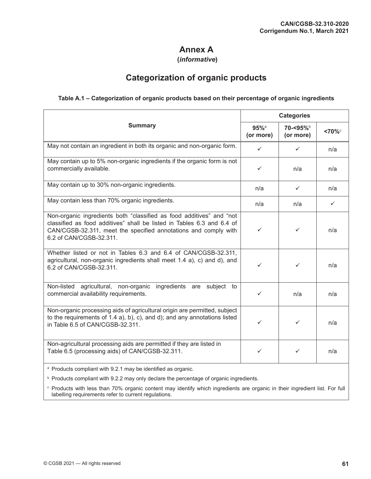# **Annex A**

## **(***informative***)**

# **Categorization of organic products**

## **Table A.1 – Categorization of organic products based on their percentage of organic ingredients**

|                                                                                                                                                                                                                                              | <b>Categories</b>               |                      |              |
|----------------------------------------------------------------------------------------------------------------------------------------------------------------------------------------------------------------------------------------------|---------------------------------|----------------------|--------------|
| <b>Summary</b>                                                                                                                                                                                                                               | $95%$ <sup>a</sup><br>(or more) | 70-<95%<br>(or more) | $<70\%$      |
| May not contain an ingredient in both its organic and non-organic form.                                                                                                                                                                      | $\checkmark$                    | $\checkmark$         | n/a          |
| May contain up to 5% non-organic ingredients if the organic form is not<br>commercially available.                                                                                                                                           | ✓                               | n/a                  | n/a          |
| May contain up to 30% non-organic ingredients.                                                                                                                                                                                               | n/a                             | $\checkmark$         | n/a          |
| May contain less than 70% organic ingredients.                                                                                                                                                                                               | n/a                             | n/a                  | $\checkmark$ |
| Non-organic ingredients both "classified as food additives" and "not<br>classified as food additives" shall be listed in Tables 6.3 and 6.4 of<br>CAN/CGSB-32.311, meet the specified annotations and comply with<br>6.2 of CAN/CGSB-32.311. | $\checkmark$                    | $\checkmark$         | n/a          |
| Whether listed or not in Tables 6.3 and 6.4 of CAN/CGSB-32.311,<br>agricultural, non-organic ingredients shall meet 1.4 a), c) and d), and<br>6.2 of CAN/CGSB-32.311.                                                                        | ✓                               | ✓                    | n/a          |
| ingredients are<br>Non-listed<br>agricultural, non-organic<br>subject to<br>commercial availability requirements.                                                                                                                            | ✓                               | n/a                  | n/a          |
| Non-organic processing aids of agricultural origin are permitted, subject<br>to the requirements of 1.4 a), b), c), and d); and any annotations listed<br>in Table 6.5 of CAN/CGSB-32.311.                                                   | ✓                               | ✓                    | n/a          |
| Non-agricultural processing aids are permitted if they are listed in<br>Table 6.5 (processing aids) of CAN/CGSB-32.311.                                                                                                                      | ✓                               | ✓                    | n/a          |
| <sup>a</sup> Products compliant with 9.2.1 may be identified as organic.                                                                                                                                                                     |                                 |                      |              |

**b** Products compliant with 9.2.2 may only declare the percentage of organic ingredients.

<sup>c</sup> Products with less than 70% organic content may identify which ingredients are organic in their ingredient list. For full labelling requirements refer to current regulations.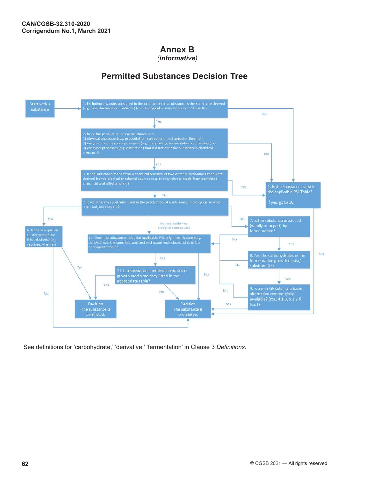# **Annex B**

*(informative)*

# **Permitted Substances Decision Tree**



See definitions for 'carbohydrate,' 'derivative,' 'fermentation' in Clause 3 *Definitions.*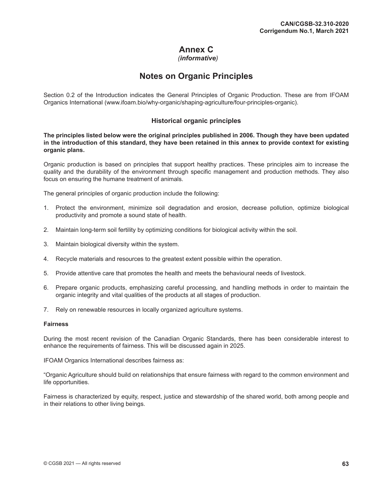# **Annex C**

### *(informative)*

### **Notes on Organic Principles**

Section 0.2 of the Introduction indicates the General Principles of Organic Production. These are from IFOAM Organics International ([www.ifoam.bio/why-organic/shaping-agriculture/four-principles-organic\)](http://www.ifoam.bio/why-organic/shaping-agriculture/four-principles-organic).

#### **Historical organic principles**

**The principles listed below were the original principles published in 2006. Though they have been updated in the introduction of this standard, they have been retained in this annex to provide context for existing organic plans.**

Organic production is based on principles that support healthy practices. These principles aim to increase the quality and the durability of the environment through specific management and production methods. They also focus on ensuring the humane treatment of animals.

The general principles of organic production include the following:

- 1. Protect the environment, minimize soil degradation and erosion, decrease pollution, optimize biological productivity and promote a sound state of health.
- 2. Maintain long-term soil fertility by optimizing conditions for biological activity within the soil.
- 3. Maintain biological diversity within the system.
- 4. Recycle materials and resources to the greatest extent possible within the operation.
- 5. Provide attentive care that promotes the health and meets the behavioural needs of livestock.
- 6. Prepare organic products, emphasizing careful processing, and handling methods in order to maintain the organic integrity and vital qualities of the products at all stages of production.
- 7. Rely on renewable resources in locally organized agriculture systems.

#### **Fairness**

During the most recent revision of the Canadian Organic Standards, there has been considerable interest to enhance the requirements of fairness. This will be discussed again in 2025.

IFOAM Organics International describes fairness as:

"Organic Agriculture should build on relationships that ensure fairness with regard to the common environment and life opportunities.

Fairness is characterized by equity, respect, justice and stewardship of the shared world, both among people and in their relations to other living beings.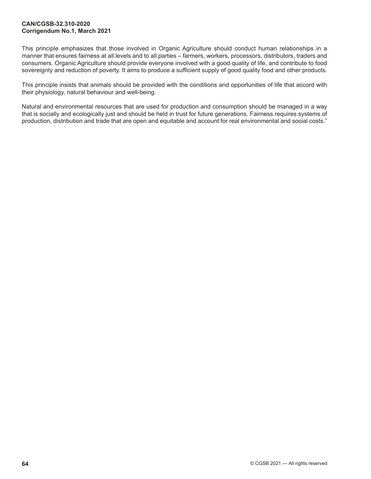#### **[CAN/CGSB-32.310-2020](#page-0-0) Corrigendum No.1, March 2021**

This principle emphasizes that those involved in Organic Agriculture should conduct human relationships in a manner that ensures fairness at all levels and to all parties – farmers, workers, processors, distributors, traders and consumers. Organic Agriculture should provide everyone involved with a good quality of life, and contribute to food sovereignty and reduction of poverty. It aims to produce a sufficient supply of good quality food and other products.

This principle insists that animals should be provided with the conditions and opportunities of life that accord with their physiology, natural behaviour and well-being.

Natural and environmental resources that are used for production and consumption should be managed in a way that is socially and ecologically just and should be held in trust for future generations. Fairness requires systems of production, distribution and trade that are open and equitable and account for real environmental and social costs."